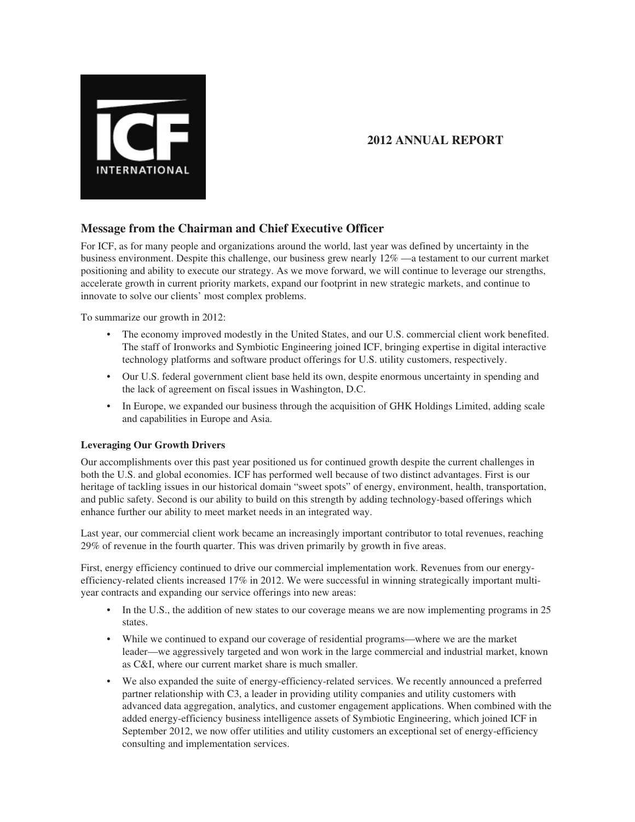

## **2012 ANNUAL REPORT**

## **Message from the Chairman and Chief Executive Officer**

For ICF, as for many people and organizations around the world, last year was defined by uncertainty in the business environment. Despite this challenge, our business grew nearly 12% —a testament to our current market positioning and ability to execute our strategy. As we move forward, we will continue to leverage our strengths, accelerate growth in current priority markets, expand our footprint in new strategic markets, and continue to innovate to solve our clients' most complex problems.

To summarize our growth in 2012:

- The economy improved modestly in the United States, and our U.S. commercial client work benefited. The staff of Ironworks and Symbiotic Engineering joined ICF, bringing expertise in digital interactive technology platforms and software product offerings for U.S. utility customers, respectively.
- Our U.S. federal government client base held its own, despite enormous uncertainty in spending and the lack of agreement on fiscal issues in Washington, D.C.
- In Europe, we expanded our business through the acquisition of GHK Holdings Limited, adding scale and capabilities in Europe and Asia.

## **Leveraging Our Growth Drivers**

Our accomplishments over this past year positioned us for continued growth despite the current challenges in both the U.S. and global economies. ICF has performed well because of two distinct advantages. First is our heritage of tackling issues in our historical domain "sweet spots" of energy, environment, health, transportation, and public safety. Second is our ability to build on this strength by adding technology-based offerings which enhance further our ability to meet market needs in an integrated way.

Last year, our commercial client work became an increasingly important contributor to total revenues, reaching 29% of revenue in the fourth quarter. This was driven primarily by growth in five areas.

First, energy efficiency continued to drive our commercial implementation work. Revenues from our energyefficiency-related clients increased 17% in 2012. We were successful in winning strategically important multiyear contracts and expanding our service offerings into new areas:

- In the U.S., the addition of new states to our coverage means we are now implementing programs in 25 states.
- While we continued to expand our coverage of residential programs—where we are the market leader—we aggressively targeted and won work in the large commercial and industrial market, known as C&I, where our current market share is much smaller.
- We also expanded the suite of energy-efficiency-related services. We recently announced a preferred partner relationship with C3, a leader in providing utility companies and utility customers with advanced data aggregation, analytics, and customer engagement applications. When combined with the added energy-efficiency business intelligence assets of Symbiotic Engineering, which joined ICF in September 2012, we now offer utilities and utility customers an exceptional set of energy-efficiency consulting and implementation services.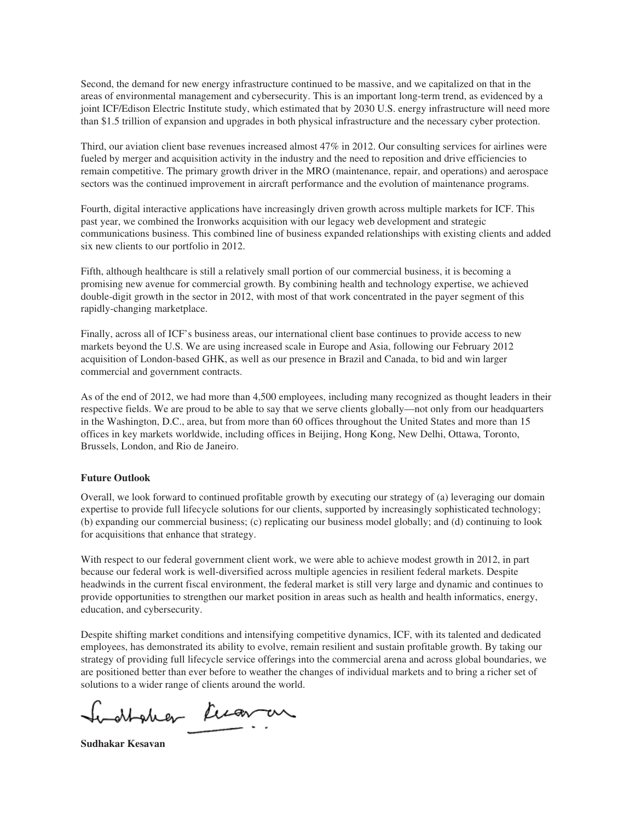Second, the demand for new energy infrastructure continued to be massive, and we capitalized on that in the areas of environmental management and cybersecurity. This is an important long-term trend, as evidenced by a joint ICF/Edison Electric Institute study, which estimated that by 2030 U.S. energy infrastructure will need more than \$1.5 trillion of expansion and upgrades in both physical infrastructure and the necessary cyber protection.

Third, our aviation client base revenues increased almost 47% in 2012. Our consulting services for airlines were fueled by merger and acquisition activity in the industry and the need to reposition and drive efficiencies to remain competitive. The primary growth driver in the MRO (maintenance, repair, and operations) and aerospace sectors was the continued improvement in aircraft performance and the evolution of maintenance programs.

Fourth, digital interactive applications have increasingly driven growth across multiple markets for ICF. This past year, we combined the Ironworks acquisition with our legacy web development and strategic communications business. This combined line of business expanded relationships with existing clients and added six new clients to our portfolio in 2012.

Fifth, although healthcare is still a relatively small portion of our commercial business, it is becoming a promising new avenue for commercial growth. By combining health and technology expertise, we achieved double-digit growth in the sector in 2012, with most of that work concentrated in the payer segment of this rapidly-changing marketplace.

Finally, across all of ICF's business areas, our international client base continues to provide access to new markets beyond the U.S. We are using increased scale in Europe and Asia, following our February 2012 acquisition of London-based GHK, as well as our presence in Brazil and Canada, to bid and win larger commercial and government contracts.

As of the end of 2012, we had more than 4,500 employees, including many recognized as thought leaders in their respective fields. We are proud to be able to say that we serve clients globally—not only from our headquarters in the Washington, D.C., area, but from more than 60 offices throughout the United States and more than 15 offices in key markets worldwide, including offices in Beijing, Hong Kong, New Delhi, Ottawa, Toronto, Brussels, London, and Rio de Janeiro.

## **Future Outlook**

Overall, we look forward to continued profitable growth by executing our strategy of (a) leveraging our domain expertise to provide full lifecycle solutions for our clients, supported by increasingly sophisticated technology; (b) expanding our commercial business; (c) replicating our business model globally; and (d) continuing to look for acquisitions that enhance that strategy.

With respect to our federal government client work, we were able to achieve modest growth in 2012, in part because our federal work is well-diversified across multiple agencies in resilient federal markets. Despite headwinds in the current fiscal environment, the federal market is still very large and dynamic and continues to provide opportunities to strengthen our market position in areas such as health and health informatics, energy, education, and cybersecurity.

Despite shifting market conditions and intensifying competitive dynamics, ICF, with its talented and dedicated employees, has demonstrated its ability to evolve, remain resilient and sustain profitable growth. By taking our strategy of providing full lifecycle service offerings into the commercial arena and across global boundaries, we are positioned better than ever before to weather the changes of individual markets and to bring a richer set of solutions to a wider range of clients around the world.

Sudbaker Recoran

**Sudhakar Kesavan**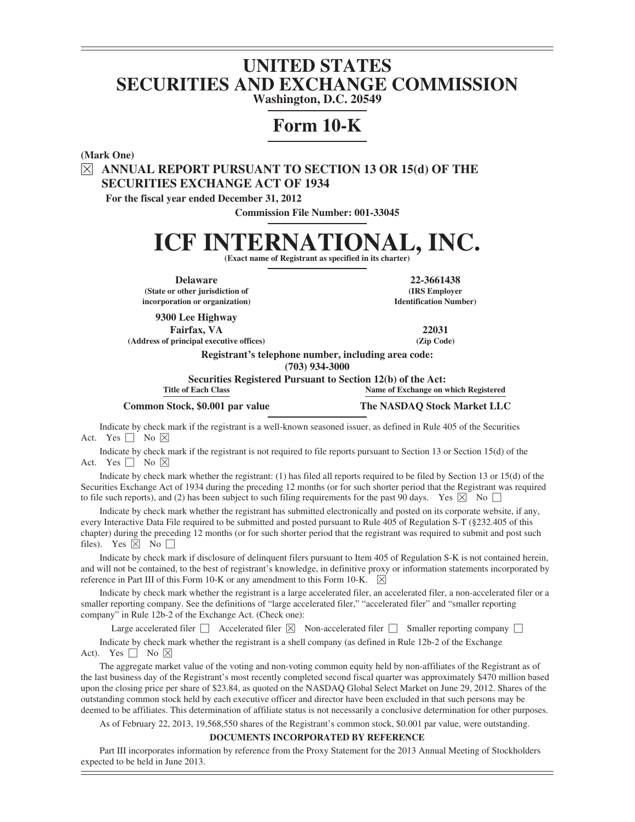# **UNITED STATES SECURITIES AND EXCHANGE COMMISSION Washington, D.C. 20549**

# **Form 10-K**

**(Mark One)**

È **ANNUAL REPORT PURSUANT TO SECTION 13 OR 15(d) OF THE SECURITIES EXCHANGE ACT OF 1934**

**For the fiscal year ended December 31, 2012**

**Commission File Number: 001-33045**

# **ICF INTERNATIONAL, INC.**

**(Exact name of Registrant as specified in its charter)**

**Delaware 22-3661438 (State or other jurisdiction of incorporation or organization)**

**9300 Lee Highway**

**Fairfax, VA** 22031<br>
Principal executive offices and the security of the security of the security of the security of the security of the security of the security of the security of the security of the security of the secur (Address of principal executive offices)

**(IRS Employer Identification Number)**

**Registrant's telephone number, including area code:**

**(703) 934-3000**

**Securities Registered Pursuant to Section 12(b) of the Act:**

**Title of Each Class Name of Exchange on which Registered**

**Common Stock, \$0.001 par value The NASDAQ Stock Market LLC**

Indicate by check mark if the registrant is a well-known seasoned issuer, as defined in Rule 405 of the Securities Act. Yes  $\Box$  No  $\boxtimes$ 

Indicate by check mark if the registrant is not required to file reports pursuant to Section 13 or Section 15(d) of the Act. Yes  $\Box$  No  $\boxtimes$ 

Indicate by check mark whether the registrant: (1) has filed all reports required to be filed by Section 13 or 15(d) of the Securities Exchange Act of 1934 during the preceding 12 months (or for such shorter period that the Registrant was required to file such reports), and (2) has been subject to such filing requirements for the past 90 days. Yes  $\boxtimes$  No  $\Box$ 

Indicate by check mark whether the registrant has submitted electronically and posted on its corporate website, if any, every Interactive Data File required to be submitted and posted pursuant to Rule 405 of Regulation S-T (§232.405 of this chapter) during the preceding 12 months (or for such shorter period that the registrant was required to submit and post such files). Yes  $\boxtimes$  No  $\Box$ 

Indicate by check mark if disclosure of delinquent filers pursuant to Item 405 of Regulation S-K is not contained herein, and will not be contained, to the best of registrant's knowledge, in definitive proxy or information statements incorporated by reference in Part III of this Form 10-K or any amendment to this Form 10-K.  $\boxtimes$ 

Indicate by check mark whether the registrant is a large accelerated filer, an accelerated filer, a non-accelerated filer or a smaller reporting company. See the definitions of "large accelerated filer," "accelerated filer" and "smaller reporting company" in Rule 12b-2 of the Exchange Act. (Check one):

Large accelerated filer  $\Box$  Accelerated filer  $\boxtimes$  Non-accelerated filer  $\Box$  Smaller reporting company  $\Box$ 

Indicate by check mark whether the registrant is a shell company (as defined in Rule 12b-2 of the Exchange Act). Yes  $\Box$  No  $\boxtimes$ 

The aggregate market value of the voting and non-voting common equity held by non-affiliates of the Registrant as of the last business day of the Registrant's most recently completed second fiscal quarter was approximately \$470 million based upon the closing price per share of \$23.84, as quoted on the NASDAQ Global Select Market on June 29, 2012. Shares of the outstanding common stock held by each executive officer and director have been excluded in that such persons may be deemed to be affiliates. This determination of affiliate status is not necessarily a conclusive determination for other purposes.

As of February 22, 2013, 19,568,550 shares of the Registrant's common stock, \$0.001 par value, were outstanding.

#### **DOCUMENTS INCORPORATED BY REFERENCE**

Part III incorporates information by reference from the Proxy Statement for the 2013 Annual Meeting of Stockholders expected to be held in June 2013.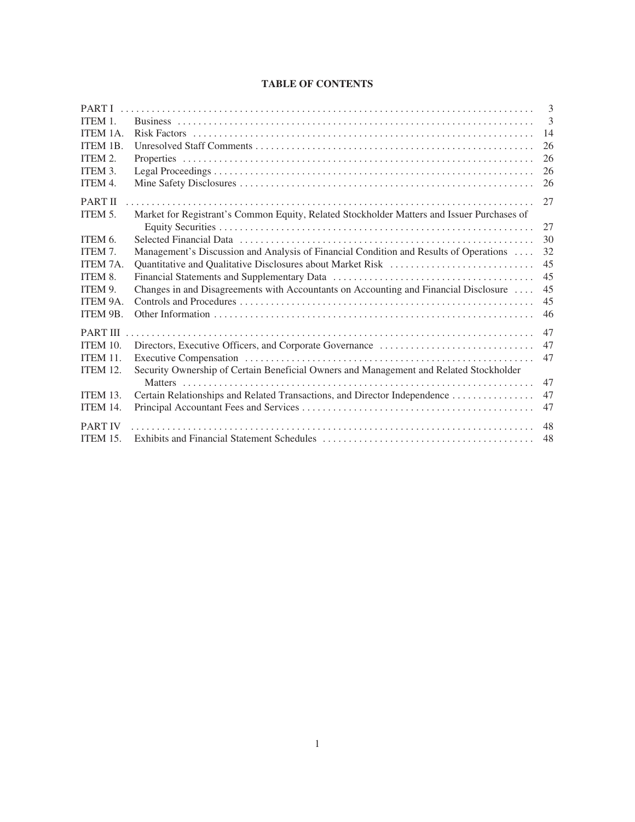## **TABLE OF CONTENTS**

|                 |                                                                                            | 3  |
|-----------------|--------------------------------------------------------------------------------------------|----|
| ITEM 1.         |                                                                                            | 3  |
| <b>ITEM 1A.</b> |                                                                                            | 14 |
| <b>ITEM 1B.</b> |                                                                                            | 26 |
| ITEM 2.         |                                                                                            | 26 |
| ITEM 3.         |                                                                                            | 26 |
| ITEM 4.         |                                                                                            | 26 |
| <b>PART II</b>  |                                                                                            | 27 |
| ITEM 5.         | Market for Registrant's Common Equity, Related Stockholder Matters and Issuer Purchases of |    |
|                 |                                                                                            | 27 |
| ITEM 6.         |                                                                                            | 30 |
| ITEM 7.         | Management's Discussion and Analysis of Financial Condition and Results of Operations      | 32 |
| ITEM 7A.        |                                                                                            | 45 |
| ITEM 8.         |                                                                                            | 45 |
| ITEM 9.         | Changes in and Disagreements with Accountants on Accounting and Financial Disclosure       | 45 |
| ITEM 9A.        |                                                                                            | 45 |
| ITEM 9B.        |                                                                                            | 46 |
|                 |                                                                                            | 47 |
| <b>ITEM 10.</b> |                                                                                            | 47 |
| ITEM 11.        |                                                                                            | 47 |
| <b>ITEM 12.</b> | Security Ownership of Certain Beneficial Owners and Management and Related Stockholder     |    |
|                 |                                                                                            | 47 |
| ITEM 13.        | Certain Relationships and Related Transactions, and Director Independence                  | 47 |
| <b>ITEM 14.</b> |                                                                                            | 47 |
| <b>PART IV</b>  |                                                                                            | 48 |
| <b>ITEM 15.</b> |                                                                                            | 48 |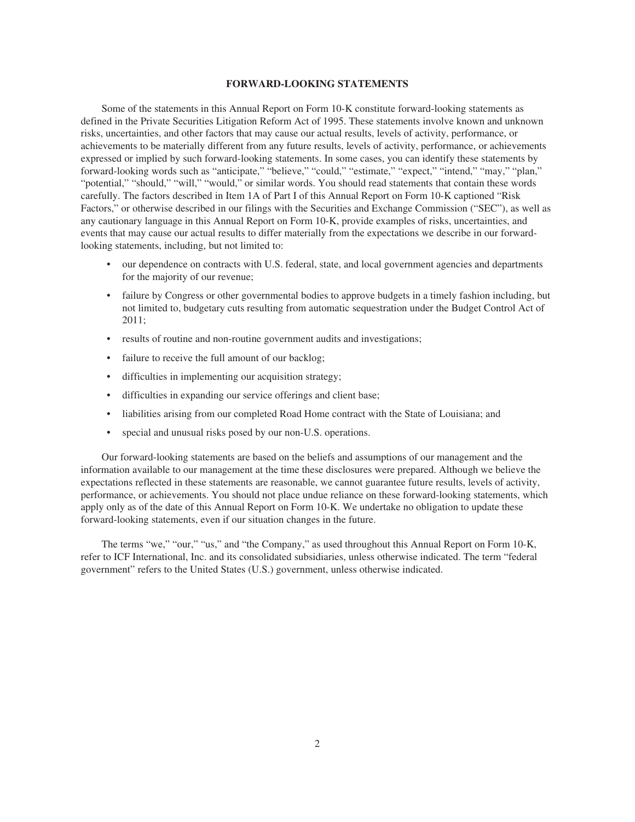## **FORWARD-LOOKING STATEMENTS**

Some of the statements in this Annual Report on Form 10-K constitute forward-looking statements as defined in the Private Securities Litigation Reform Act of 1995. These statements involve known and unknown risks, uncertainties, and other factors that may cause our actual results, levels of activity, performance, or achievements to be materially different from any future results, levels of activity, performance, or achievements expressed or implied by such forward-looking statements. In some cases, you can identify these statements by forward-looking words such as "anticipate," "believe," "could," "estimate," "expect," "intend," "may," "plan," "potential," "should," "will," "would," or similar words. You should read statements that contain these words carefully. The factors described in Item 1A of Part I of this Annual Report on Form 10-K captioned "Risk Factors," or otherwise described in our filings with the Securities and Exchange Commission ("SEC"), as well as any cautionary language in this Annual Report on Form 10-K, provide examples of risks, uncertainties, and events that may cause our actual results to differ materially from the expectations we describe in our forwardlooking statements, including, but not limited to:

- our dependence on contracts with U.S. federal, state, and local government agencies and departments for the majority of our revenue;
- failure by Congress or other governmental bodies to approve budgets in a timely fashion including, but not limited to, budgetary cuts resulting from automatic sequestration under the Budget Control Act of 2011;
- results of routine and non-routine government audits and investigations;
- failure to receive the full amount of our backlog;
- difficulties in implementing our acquisition strategy;
- difficulties in expanding our service offerings and client base;
- liabilities arising from our completed Road Home contract with the State of Louisiana; and
- special and unusual risks posed by our non-U.S. operations.

Our forward-looking statements are based on the beliefs and assumptions of our management and the information available to our management at the time these disclosures were prepared. Although we believe the expectations reflected in these statements are reasonable, we cannot guarantee future results, levels of activity, performance, or achievements. You should not place undue reliance on these forward-looking statements, which apply only as of the date of this Annual Report on Form 10-K. We undertake no obligation to update these forward-looking statements, even if our situation changes in the future.

The terms "we," "our," "us," and "the Company," as used throughout this Annual Report on Form 10-K, refer to ICF International, Inc. and its consolidated subsidiaries, unless otherwise indicated. The term "federal government" refers to the United States (U.S.) government, unless otherwise indicated.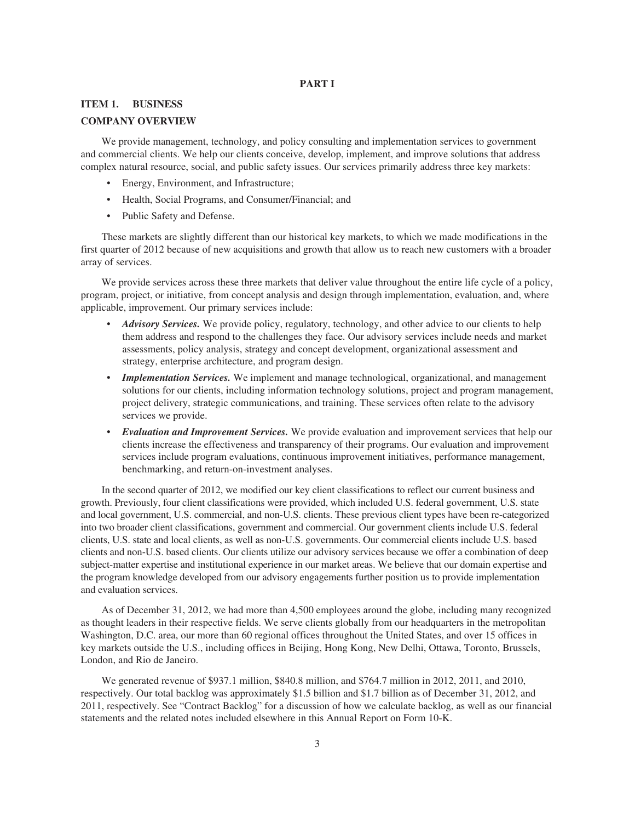## **PART I**

## **ITEM 1. BUSINESS**

#### **COMPANY OVERVIEW**

We provide management, technology, and policy consulting and implementation services to government and commercial clients. We help our clients conceive, develop, implement, and improve solutions that address complex natural resource, social, and public safety issues. Our services primarily address three key markets:

- Energy, Environment, and Infrastructure;
- Health, Social Programs, and Consumer/Financial; and
- Public Safety and Defense.

These markets are slightly different than our historical key markets, to which we made modifications in the first quarter of 2012 because of new acquisitions and growth that allow us to reach new customers with a broader array of services.

We provide services across these three markets that deliver value throughout the entire life cycle of a policy, program, project, or initiative, from concept analysis and design through implementation, evaluation, and, where applicable, improvement. Our primary services include:

- *Advisory Services.* We provide policy, regulatory, technology, and other advice to our clients to help them address and respond to the challenges they face. Our advisory services include needs and market assessments, policy analysis, strategy and concept development, organizational assessment and strategy, enterprise architecture, and program design.
- *Implementation Services*. We implement and manage technological, organizational, and management solutions for our clients, including information technology solutions, project and program management, project delivery, strategic communications, and training. These services often relate to the advisory services we provide.
- *Evaluation and Improvement Services.* We provide evaluation and improvement services that help our clients increase the effectiveness and transparency of their programs. Our evaluation and improvement services include program evaluations, continuous improvement initiatives, performance management, benchmarking, and return-on-investment analyses.

In the second quarter of 2012, we modified our key client classifications to reflect our current business and growth. Previously, four client classifications were provided, which included U.S. federal government, U.S. state and local government, U.S. commercial, and non-U.S. clients. These previous client types have been re-categorized into two broader client classifications, government and commercial. Our government clients include U.S. federal clients, U.S. state and local clients, as well as non-U.S. governments. Our commercial clients include U.S. based clients and non-U.S. based clients. Our clients utilize our advisory services because we offer a combination of deep subject-matter expertise and institutional experience in our market areas. We believe that our domain expertise and the program knowledge developed from our advisory engagements further position us to provide implementation and evaluation services.

As of December 31, 2012, we had more than 4,500 employees around the globe, including many recognized as thought leaders in their respective fields. We serve clients globally from our headquarters in the metropolitan Washington, D.C. area, our more than 60 regional offices throughout the United States, and over 15 offices in key markets outside the U.S., including offices in Beijing, Hong Kong, New Delhi, Ottawa, Toronto, Brussels, London, and Rio de Janeiro.

We generated revenue of \$937.1 million, \$840.8 million, and \$764.7 million in 2012, 2011, and 2010, respectively. Our total backlog was approximately \$1.5 billion and \$1.7 billion as of December 31, 2012, and 2011, respectively. See "Contract Backlog" for a discussion of how we calculate backlog, as well as our financial statements and the related notes included elsewhere in this Annual Report on Form 10-K.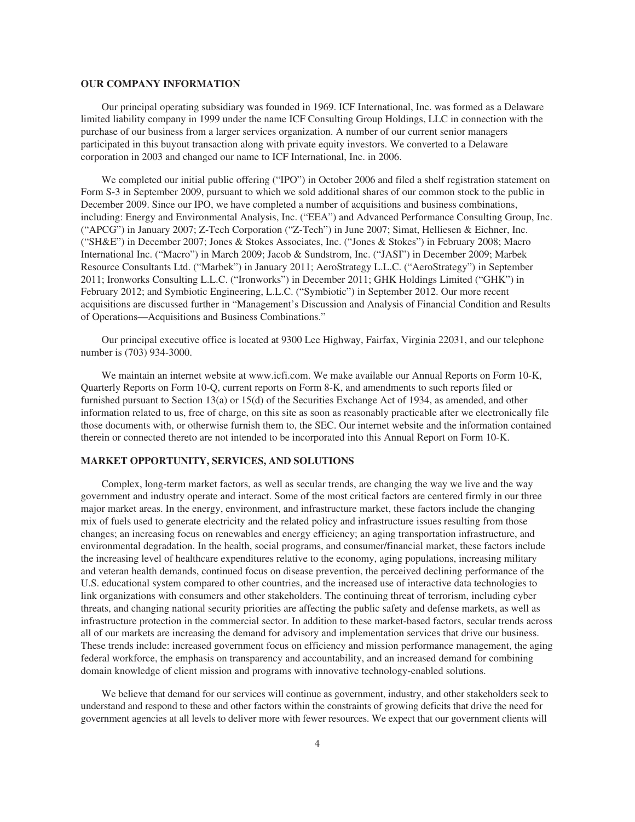## **OUR COMPANY INFORMATION**

Our principal operating subsidiary was founded in 1969. ICF International, Inc. was formed as a Delaware limited liability company in 1999 under the name ICF Consulting Group Holdings, LLC in connection with the purchase of our business from a larger services organization. A number of our current senior managers participated in this buyout transaction along with private equity investors. We converted to a Delaware corporation in 2003 and changed our name to ICF International, Inc. in 2006.

We completed our initial public offering ("IPO") in October 2006 and filed a shelf registration statement on Form S-3 in September 2009, pursuant to which we sold additional shares of our common stock to the public in December 2009. Since our IPO, we have completed a number of acquisitions and business combinations, including: Energy and Environmental Analysis, Inc. ("EEA") and Advanced Performance Consulting Group, Inc. ("APCG") in January 2007; Z-Tech Corporation ("Z-Tech") in June 2007; Simat, Helliesen & Eichner, Inc. ("SH&E") in December 2007; Jones & Stokes Associates, Inc. ("Jones & Stokes") in February 2008; Macro International Inc. ("Macro") in March 2009; Jacob & Sundstrom, Inc. ("JASI") in December 2009; Marbek Resource Consultants Ltd. ("Marbek") in January 2011; AeroStrategy L.L.C. ("AeroStrategy") in September 2011; Ironworks Consulting L.L.C. ("Ironworks") in December 2011; GHK Holdings Limited ("GHK") in February 2012; and Symbiotic Engineering, L.L.C. ("Symbiotic") in September 2012. Our more recent acquisitions are discussed further in "Management's Discussion and Analysis of Financial Condition and Results of Operations—Acquisitions and Business Combinations."

Our principal executive office is located at 9300 Lee Highway, Fairfax, Virginia 22031, and our telephone number is (703) 934-3000.

We maintain an internet website at www.icfi.com. We make available our Annual Reports on Form 10-K, Quarterly Reports on Form 10-Q, current reports on Form 8-K, and amendments to such reports filed or furnished pursuant to Section 13(a) or 15(d) of the Securities Exchange Act of 1934, as amended, and other information related to us, free of charge, on this site as soon as reasonably practicable after we electronically file those documents with, or otherwise furnish them to, the SEC. Our internet website and the information contained therein or connected thereto are not intended to be incorporated into this Annual Report on Form 10-K.

## **MARKET OPPORTUNITY, SERVICES, AND SOLUTIONS**

Complex, long-term market factors, as well as secular trends, are changing the way we live and the way government and industry operate and interact. Some of the most critical factors are centered firmly in our three major market areas. In the energy, environment, and infrastructure market, these factors include the changing mix of fuels used to generate electricity and the related policy and infrastructure issues resulting from those changes; an increasing focus on renewables and energy efficiency; an aging transportation infrastructure, and environmental degradation. In the health, social programs, and consumer/financial market, these factors include the increasing level of healthcare expenditures relative to the economy, aging populations, increasing military and veteran health demands, continued focus on disease prevention, the perceived declining performance of the U.S. educational system compared to other countries, and the increased use of interactive data technologies to link organizations with consumers and other stakeholders. The continuing threat of terrorism, including cyber threats, and changing national security priorities are affecting the public safety and defense markets, as well as infrastructure protection in the commercial sector. In addition to these market-based factors, secular trends across all of our markets are increasing the demand for advisory and implementation services that drive our business. These trends include: increased government focus on efficiency and mission performance management, the aging federal workforce, the emphasis on transparency and accountability, and an increased demand for combining domain knowledge of client mission and programs with innovative technology-enabled solutions.

We believe that demand for our services will continue as government, industry, and other stakeholders seek to understand and respond to these and other factors within the constraints of growing deficits that drive the need for government agencies at all levels to deliver more with fewer resources. We expect that our government clients will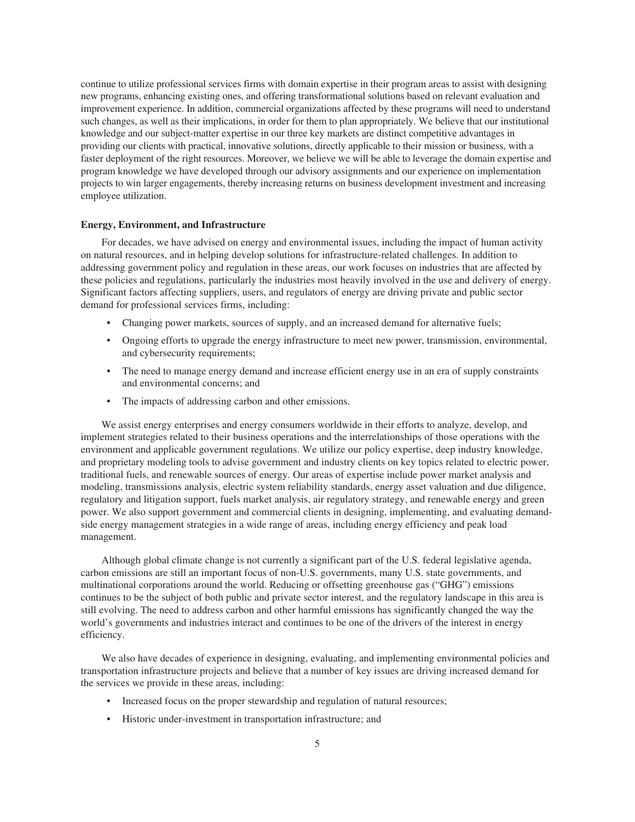continue to utilize professional services firms with domain expertise in their program areas to assist with designing new programs, enhancing existing ones, and offering transformational solutions based on relevant evaluation and improvement experience. In addition, commercial organizations affected by these programs will need to understand such changes, as well as their implications, in order for them to plan appropriately. We believe that our institutional knowledge and our subject-matter expertise in our three key markets are distinct competitive advantages in providing our clients with practical, innovative solutions, directly applicable to their mission or business, with a faster deployment of the right resources. Moreover, we believe we will be able to leverage the domain expertise and program knowledge we have developed through our advisory assignments and our experience on implementation projects to win larger engagements, thereby increasing returns on business development investment and increasing employee utilization.

#### **Energy, Environment, and Infrastructure**

For decades, we have advised on energy and environmental issues, including the impact of human activity on natural resources, and in helping develop solutions for infrastructure-related challenges. In addition to addressing government policy and regulation in these areas, our work focuses on industries that are affected by these policies and regulations, particularly the industries most heavily involved in the use and delivery of energy. Significant factors affecting suppliers, users, and regulators of energy are driving private and public sector demand for professional services firms, including:

- Changing power markets, sources of supply, and an increased demand for alternative fuels;
- Ongoing efforts to upgrade the energy infrastructure to meet new power, transmission, environmental, and cybersecurity requirements;
- The need to manage energy demand and increase efficient energy use in an era of supply constraints and environmental concerns; and
- The impacts of addressing carbon and other emissions.

We assist energy enterprises and energy consumers worldwide in their efforts to analyze, develop, and implement strategies related to their business operations and the interrelationships of those operations with the environment and applicable government regulations. We utilize our policy expertise, deep industry knowledge, and proprietary modeling tools to advise government and industry clients on key topics related to electric power, traditional fuels, and renewable sources of energy. Our areas of expertise include power market analysis and modeling, transmissions analysis, electric system reliability standards, energy asset valuation and due diligence, regulatory and litigation support, fuels market analysis, air regulatory strategy, and renewable energy and green power. We also support government and commercial clients in designing, implementing, and evaluating demandside energy management strategies in a wide range of areas, including energy efficiency and peak load management.

Although global climate change is not currently a significant part of the U.S. federal legislative agenda, carbon emissions are still an important focus of non-U.S. governments, many U.S. state governments, and multinational corporations around the world. Reducing or offsetting greenhouse gas ("GHG") emissions continues to be the subject of both public and private sector interest, and the regulatory landscape in this area is still evolving. The need to address carbon and other harmful emissions has significantly changed the way the world's governments and industries interact and continues to be one of the drivers of the interest in energy efficiency.

We also have decades of experience in designing, evaluating, and implementing environmental policies and transportation infrastructure projects and believe that a number of key issues are driving increased demand for the services we provide in these areas, including:

- Increased focus on the proper stewardship and regulation of natural resources;
- Historic under-investment in transportation infrastructure; and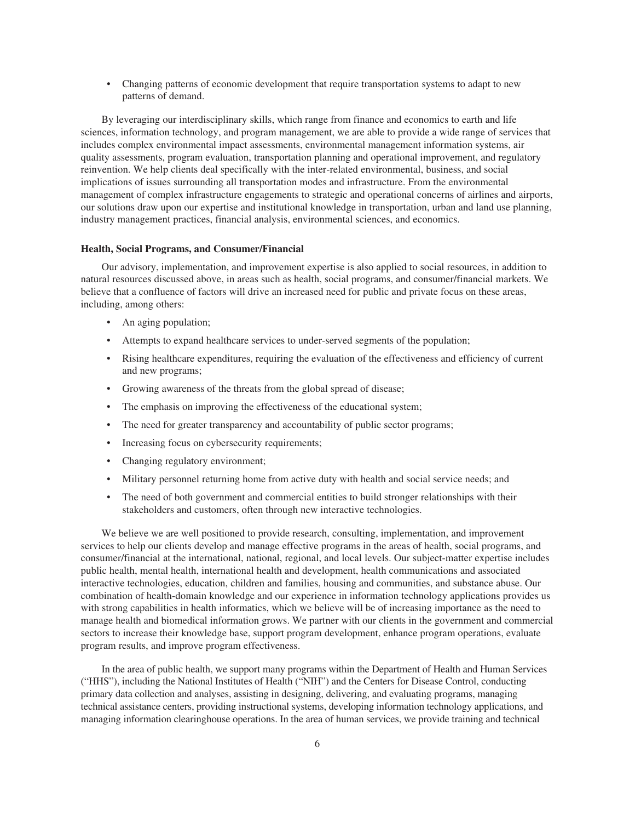• Changing patterns of economic development that require transportation systems to adapt to new patterns of demand.

By leveraging our interdisciplinary skills, which range from finance and economics to earth and life sciences, information technology, and program management, we are able to provide a wide range of services that includes complex environmental impact assessments, environmental management information systems, air quality assessments, program evaluation, transportation planning and operational improvement, and regulatory reinvention. We help clients deal specifically with the inter-related environmental, business, and social implications of issues surrounding all transportation modes and infrastructure. From the environmental management of complex infrastructure engagements to strategic and operational concerns of airlines and airports, our solutions draw upon our expertise and institutional knowledge in transportation, urban and land use planning, industry management practices, financial analysis, environmental sciences, and economics.

#### **Health, Social Programs, and Consumer/Financial**

Our advisory, implementation, and improvement expertise is also applied to social resources, in addition to natural resources discussed above, in areas such as health, social programs, and consumer/financial markets. We believe that a confluence of factors will drive an increased need for public and private focus on these areas, including, among others:

- An aging population;
- Attempts to expand healthcare services to under-served segments of the population;
- Rising healthcare expenditures, requiring the evaluation of the effectiveness and efficiency of current and new programs;
- Growing awareness of the threats from the global spread of disease;
- The emphasis on improving the effectiveness of the educational system;
- The need for greater transparency and accountability of public sector programs;
- Increasing focus on cybersecurity requirements;
- Changing regulatory environment;
- Military personnel returning home from active duty with health and social service needs; and
- The need of both government and commercial entities to build stronger relationships with their stakeholders and customers, often through new interactive technologies.

We believe we are well positioned to provide research, consulting, implementation, and improvement services to help our clients develop and manage effective programs in the areas of health, social programs, and consumer/financial at the international, national, regional, and local levels. Our subject-matter expertise includes public health, mental health, international health and development, health communications and associated interactive technologies, education, children and families, housing and communities, and substance abuse. Our combination of health-domain knowledge and our experience in information technology applications provides us with strong capabilities in health informatics, which we believe will be of increasing importance as the need to manage health and biomedical information grows. We partner with our clients in the government and commercial sectors to increase their knowledge base, support program development, enhance program operations, evaluate program results, and improve program effectiveness.

In the area of public health, we support many programs within the Department of Health and Human Services ("HHS"), including the National Institutes of Health ("NIH") and the Centers for Disease Control, conducting primary data collection and analyses, assisting in designing, delivering, and evaluating programs, managing technical assistance centers, providing instructional systems, developing information technology applications, and managing information clearinghouse operations. In the area of human services, we provide training and technical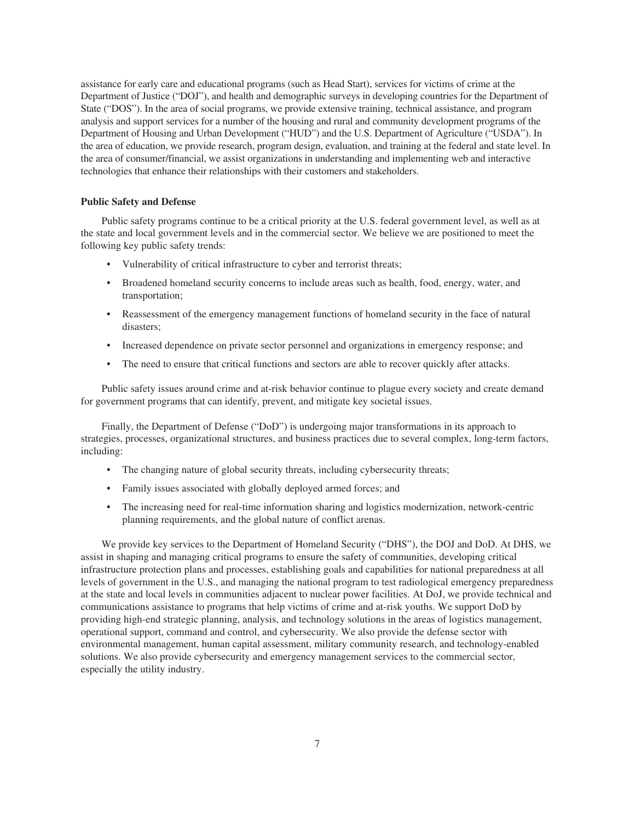assistance for early care and educational programs (such as Head Start), services for victims of crime at the Department of Justice ("DOJ"), and health and demographic surveys in developing countries for the Department of State ("DOS"). In the area of social programs, we provide extensive training, technical assistance, and program analysis and support services for a number of the housing and rural and community development programs of the Department of Housing and Urban Development ("HUD") and the U.S. Department of Agriculture ("USDA"). In the area of education, we provide research, program design, evaluation, and training at the federal and state level. In the area of consumer/financial, we assist organizations in understanding and implementing web and interactive technologies that enhance their relationships with their customers and stakeholders.

## **Public Safety and Defense**

Public safety programs continue to be a critical priority at the U.S. federal government level, as well as at the state and local government levels and in the commercial sector. We believe we are positioned to meet the following key public safety trends:

- Vulnerability of critical infrastructure to cyber and terrorist threats;
- Broadened homeland security concerns to include areas such as health, food, energy, water, and transportation;
- Reassessment of the emergency management functions of homeland security in the face of natural disasters;
- Increased dependence on private sector personnel and organizations in emergency response; and
- The need to ensure that critical functions and sectors are able to recover quickly after attacks.

Public safety issues around crime and at-risk behavior continue to plague every society and create demand for government programs that can identify, prevent, and mitigate key societal issues.

Finally, the Department of Defense ("DoD") is undergoing major transformations in its approach to strategies, processes, organizational structures, and business practices due to several complex, long-term factors, including:

- The changing nature of global security threats, including cybersecurity threats;
- Family issues associated with globally deployed armed forces; and
- The increasing need for real-time information sharing and logistics modernization, network-centric planning requirements, and the global nature of conflict arenas.

We provide key services to the Department of Homeland Security ("DHS"), the DOJ and DoD. At DHS, we assist in shaping and managing critical programs to ensure the safety of communities, developing critical infrastructure protection plans and processes, establishing goals and capabilities for national preparedness at all levels of government in the U.S., and managing the national program to test radiological emergency preparedness at the state and local levels in communities adjacent to nuclear power facilities. At DoJ, we provide technical and communications assistance to programs that help victims of crime and at-risk youths. We support DoD by providing high-end strategic planning, analysis, and technology solutions in the areas of logistics management, operational support, command and control, and cybersecurity. We also provide the defense sector with environmental management, human capital assessment, military community research, and technology-enabled solutions. We also provide cybersecurity and emergency management services to the commercial sector, especially the utility industry.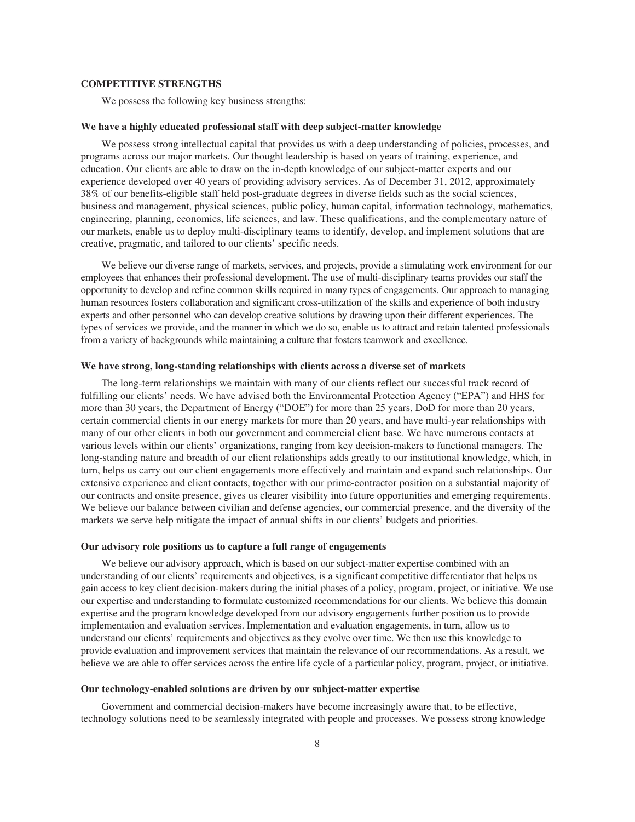## **COMPETITIVE STRENGTHS**

We possess the following key business strengths:

## **We have a highly educated professional staff with deep subject-matter knowledge**

We possess strong intellectual capital that provides us with a deep understanding of policies, processes, and programs across our major markets. Our thought leadership is based on years of training, experience, and education. Our clients are able to draw on the in-depth knowledge of our subject-matter experts and our experience developed over 40 years of providing advisory services. As of December 31, 2012, approximately 38% of our benefits-eligible staff held post-graduate degrees in diverse fields such as the social sciences, business and management, physical sciences, public policy, human capital, information technology, mathematics, engineering, planning, economics, life sciences, and law. These qualifications, and the complementary nature of our markets, enable us to deploy multi-disciplinary teams to identify, develop, and implement solutions that are creative, pragmatic, and tailored to our clients' specific needs.

We believe our diverse range of markets, services, and projects, provide a stimulating work environment for our employees that enhances their professional development. The use of multi-disciplinary teams provides our staff the opportunity to develop and refine common skills required in many types of engagements. Our approach to managing human resources fosters collaboration and significant cross-utilization of the skills and experience of both industry experts and other personnel who can develop creative solutions by drawing upon their different experiences. The types of services we provide, and the manner in which we do so, enable us to attract and retain talented professionals from a variety of backgrounds while maintaining a culture that fosters teamwork and excellence.

#### **We have strong, long-standing relationships with clients across a diverse set of markets**

The long-term relationships we maintain with many of our clients reflect our successful track record of fulfilling our clients' needs. We have advised both the Environmental Protection Agency ("EPA") and HHS for more than 30 years, the Department of Energy ("DOE") for more than 25 years, DoD for more than 20 years, certain commercial clients in our energy markets for more than 20 years, and have multi-year relationships with many of our other clients in both our government and commercial client base. We have numerous contacts at various levels within our clients' organizations, ranging from key decision-makers to functional managers. The long-standing nature and breadth of our client relationships adds greatly to our institutional knowledge, which, in turn, helps us carry out our client engagements more effectively and maintain and expand such relationships. Our extensive experience and client contacts, together with our prime-contractor position on a substantial majority of our contracts and onsite presence, gives us clearer visibility into future opportunities and emerging requirements. We believe our balance between civilian and defense agencies, our commercial presence, and the diversity of the markets we serve help mitigate the impact of annual shifts in our clients' budgets and priorities.

#### **Our advisory role positions us to capture a full range of engagements**

We believe our advisory approach, which is based on our subject-matter expertise combined with an understanding of our clients' requirements and objectives, is a significant competitive differentiator that helps us gain access to key client decision-makers during the initial phases of a policy, program, project, or initiative. We use our expertise and understanding to formulate customized recommendations for our clients. We believe this domain expertise and the program knowledge developed from our advisory engagements further position us to provide implementation and evaluation services. Implementation and evaluation engagements, in turn, allow us to understand our clients' requirements and objectives as they evolve over time. We then use this knowledge to provide evaluation and improvement services that maintain the relevance of our recommendations. As a result, we believe we are able to offer services across the entire life cycle of a particular policy, program, project, or initiative.

#### **Our technology-enabled solutions are driven by our subject-matter expertise**

Government and commercial decision-makers have become increasingly aware that, to be effective, technology solutions need to be seamlessly integrated with people and processes. We possess strong knowledge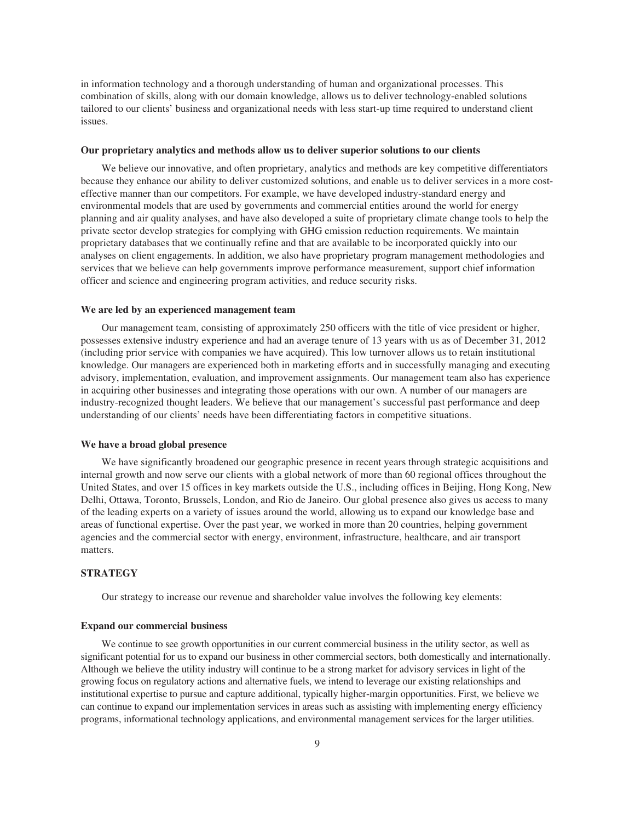in information technology and a thorough understanding of human and organizational processes. This combination of skills, along with our domain knowledge, allows us to deliver technology-enabled solutions tailored to our clients' business and organizational needs with less start-up time required to understand client issues.

#### **Our proprietary analytics and methods allow us to deliver superior solutions to our clients**

We believe our innovative, and often proprietary, analytics and methods are key competitive differentiators because they enhance our ability to deliver customized solutions, and enable us to deliver services in a more costeffective manner than our competitors. For example, we have developed industry-standard energy and environmental models that are used by governments and commercial entities around the world for energy planning and air quality analyses, and have also developed a suite of proprietary climate change tools to help the private sector develop strategies for complying with GHG emission reduction requirements. We maintain proprietary databases that we continually refine and that are available to be incorporated quickly into our analyses on client engagements. In addition, we also have proprietary program management methodologies and services that we believe can help governments improve performance measurement, support chief information officer and science and engineering program activities, and reduce security risks.

## **We are led by an experienced management team**

Our management team, consisting of approximately 250 officers with the title of vice president or higher, possesses extensive industry experience and had an average tenure of 13 years with us as of December 31, 2012 (including prior service with companies we have acquired). This low turnover allows us to retain institutional knowledge. Our managers are experienced both in marketing efforts and in successfully managing and executing advisory, implementation, evaluation, and improvement assignments. Our management team also has experience in acquiring other businesses and integrating those operations with our own. A number of our managers are industry-recognized thought leaders. We believe that our management's successful past performance and deep understanding of our clients' needs have been differentiating factors in competitive situations.

## **We have a broad global presence**

We have significantly broadened our geographic presence in recent years through strategic acquisitions and internal growth and now serve our clients with a global network of more than 60 regional offices throughout the United States, and over 15 offices in key markets outside the U.S., including offices in Beijing, Hong Kong, New Delhi, Ottawa, Toronto, Brussels, London, and Rio de Janeiro. Our global presence also gives us access to many of the leading experts on a variety of issues around the world, allowing us to expand our knowledge base and areas of functional expertise. Over the past year, we worked in more than 20 countries, helping government agencies and the commercial sector with energy, environment, infrastructure, healthcare, and air transport matters.

## **STRATEGY**

Our strategy to increase our revenue and shareholder value involves the following key elements:

#### **Expand our commercial business**

We continue to see growth opportunities in our current commercial business in the utility sector, as well as significant potential for us to expand our business in other commercial sectors, both domestically and internationally. Although we believe the utility industry will continue to be a strong market for advisory services in light of the growing focus on regulatory actions and alternative fuels, we intend to leverage our existing relationships and institutional expertise to pursue and capture additional, typically higher-margin opportunities. First, we believe we can continue to expand our implementation services in areas such as assisting with implementing energy efficiency programs, informational technology applications, and environmental management services for the larger utilities.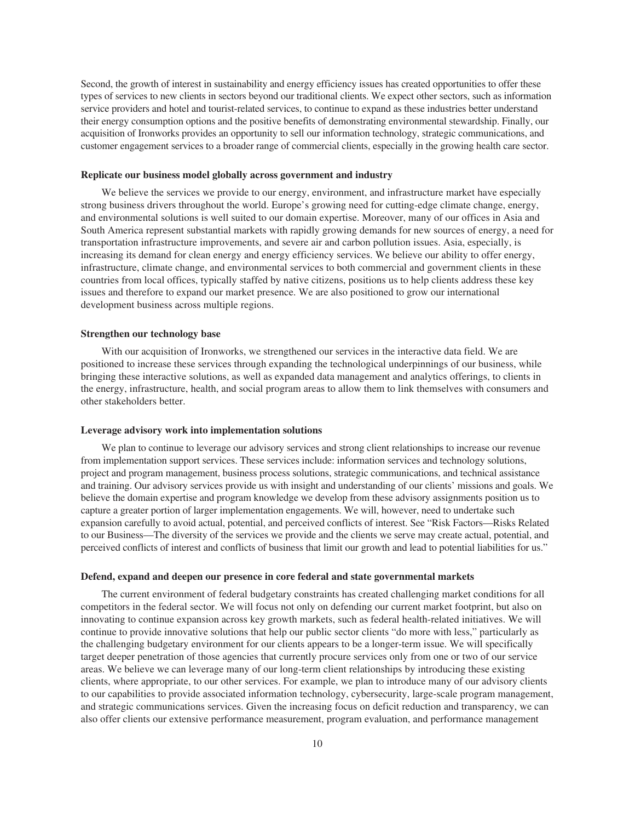Second, the growth of interest in sustainability and energy efficiency issues has created opportunities to offer these types of services to new clients in sectors beyond our traditional clients. We expect other sectors, such as information service providers and hotel and tourist-related services, to continue to expand as these industries better understand their energy consumption options and the positive benefits of demonstrating environmental stewardship. Finally, our acquisition of Ironworks provides an opportunity to sell our information technology, strategic communications, and customer engagement services to a broader range of commercial clients, especially in the growing health care sector.

#### **Replicate our business model globally across government and industry**

We believe the services we provide to our energy, environment, and infrastructure market have especially strong business drivers throughout the world. Europe's growing need for cutting-edge climate change, energy, and environmental solutions is well suited to our domain expertise. Moreover, many of our offices in Asia and South America represent substantial markets with rapidly growing demands for new sources of energy, a need for transportation infrastructure improvements, and severe air and carbon pollution issues. Asia, especially, is increasing its demand for clean energy and energy efficiency services. We believe our ability to offer energy, infrastructure, climate change, and environmental services to both commercial and government clients in these countries from local offices, typically staffed by native citizens, positions us to help clients address these key issues and therefore to expand our market presence. We are also positioned to grow our international development business across multiple regions.

#### **Strengthen our technology base**

With our acquisition of Ironworks, we strengthened our services in the interactive data field. We are positioned to increase these services through expanding the technological underpinnings of our business, while bringing these interactive solutions, as well as expanded data management and analytics offerings, to clients in the energy, infrastructure, health, and social program areas to allow them to link themselves with consumers and other stakeholders better.

#### **Leverage advisory work into implementation solutions**

We plan to continue to leverage our advisory services and strong client relationships to increase our revenue from implementation support services. These services include: information services and technology solutions, project and program management, business process solutions, strategic communications, and technical assistance and training. Our advisory services provide us with insight and understanding of our clients' missions and goals. We believe the domain expertise and program knowledge we develop from these advisory assignments position us to capture a greater portion of larger implementation engagements. We will, however, need to undertake such expansion carefully to avoid actual, potential, and perceived conflicts of interest. See "Risk Factors—Risks Related to our Business—The diversity of the services we provide and the clients we serve may create actual, potential, and perceived conflicts of interest and conflicts of business that limit our growth and lead to potential liabilities for us."

#### **Defend, expand and deepen our presence in core federal and state governmental markets**

The current environment of federal budgetary constraints has created challenging market conditions for all competitors in the federal sector. We will focus not only on defending our current market footprint, but also on innovating to continue expansion across key growth markets, such as federal health-related initiatives. We will continue to provide innovative solutions that help our public sector clients "do more with less," particularly as the challenging budgetary environment for our clients appears to be a longer-term issue. We will specifically target deeper penetration of those agencies that currently procure services only from one or two of our service areas. We believe we can leverage many of our long-term client relationships by introducing these existing clients, where appropriate, to our other services. For example, we plan to introduce many of our advisory clients to our capabilities to provide associated information technology, cybersecurity, large-scale program management, and strategic communications services. Given the increasing focus on deficit reduction and transparency, we can also offer clients our extensive performance measurement, program evaluation, and performance management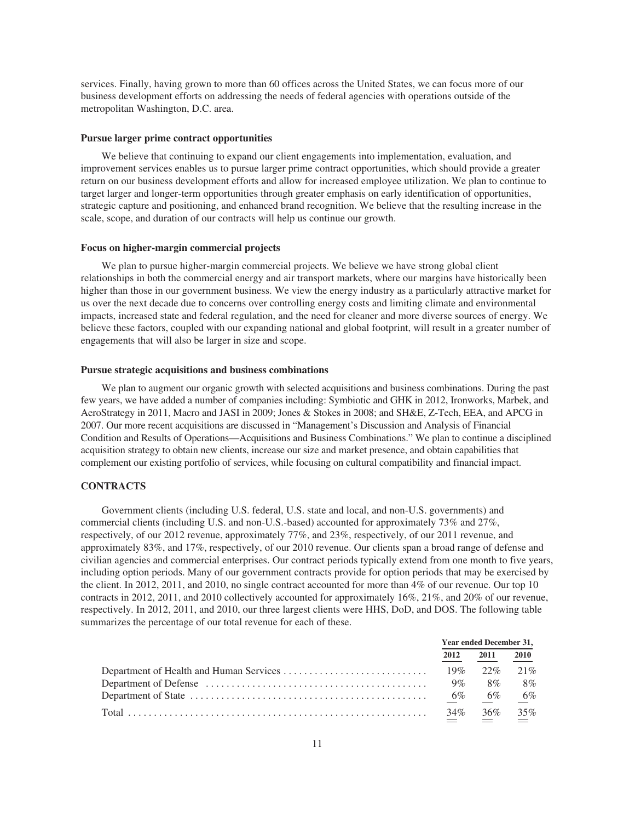services. Finally, having grown to more than 60 offices across the United States, we can focus more of our business development efforts on addressing the needs of federal agencies with operations outside of the metropolitan Washington, D.C. area.

#### **Pursue larger prime contract opportunities**

We believe that continuing to expand our client engagements into implementation, evaluation, and improvement services enables us to pursue larger prime contract opportunities, which should provide a greater return on our business development efforts and allow for increased employee utilization. We plan to continue to target larger and longer-term opportunities through greater emphasis on early identification of opportunities, strategic capture and positioning, and enhanced brand recognition. We believe that the resulting increase in the scale, scope, and duration of our contracts will help us continue our growth.

#### **Focus on higher-margin commercial projects**

We plan to pursue higher-margin commercial projects. We believe we have strong global client relationships in both the commercial energy and air transport markets, where our margins have historically been higher than those in our government business. We view the energy industry as a particularly attractive market for us over the next decade due to concerns over controlling energy costs and limiting climate and environmental impacts, increased state and federal regulation, and the need for cleaner and more diverse sources of energy. We believe these factors, coupled with our expanding national and global footprint, will result in a greater number of engagements that will also be larger in size and scope.

#### **Pursue strategic acquisitions and business combinations**

We plan to augment our organic growth with selected acquisitions and business combinations. During the past few years, we have added a number of companies including: Symbiotic and GHK in 2012, Ironworks, Marbek, and AeroStrategy in 2011, Macro and JASI in 2009; Jones & Stokes in 2008; and SH&E, Z-Tech, EEA, and APCG in 2007. Our more recent acquisitions are discussed in "Management's Discussion and Analysis of Financial Condition and Results of Operations—Acquisitions and Business Combinations." We plan to continue a disciplined acquisition strategy to obtain new clients, increase our size and market presence, and obtain capabilities that complement our existing portfolio of services, while focusing on cultural compatibility and financial impact.

## **CONTRACTS**

Government clients (including U.S. federal, U.S. state and local, and non-U.S. governments) and commercial clients (including U.S. and non-U.S.-based) accounted for approximately 73% and 27%, respectively, of our 2012 revenue, approximately 77%, and 23%, respectively, of our 2011 revenue, and approximately 83%, and 17%, respectively, of our 2010 revenue. Our clients span a broad range of defense and civilian agencies and commercial enterprises. Our contract periods typically extend from one month to five years, including option periods. Many of our government contracts provide for option periods that may be exercised by the client. In 2012, 2011, and 2010, no single contract accounted for more than 4% of our revenue. Our top 10 contracts in 2012, 2011, and 2010 collectively accounted for approximately 16%, 21%, and 20% of our revenue, respectively. In 2012, 2011, and 2010, our three largest clients were HHS, DoD, and DOS. The following table summarizes the percentage of our total revenue for each of these.

| Year ended December 31, |            |                   |
|-------------------------|------------|-------------------|
| 2012                    | 2011       | $\frac{2010}{20}$ |
|                         | $22\%$ 21% |                   |
| $9\%$                   | $8\%$      | 8%                |
| 6%                      | $6\%$      | 6%                |
| 34%                     | 36%        | 35%               |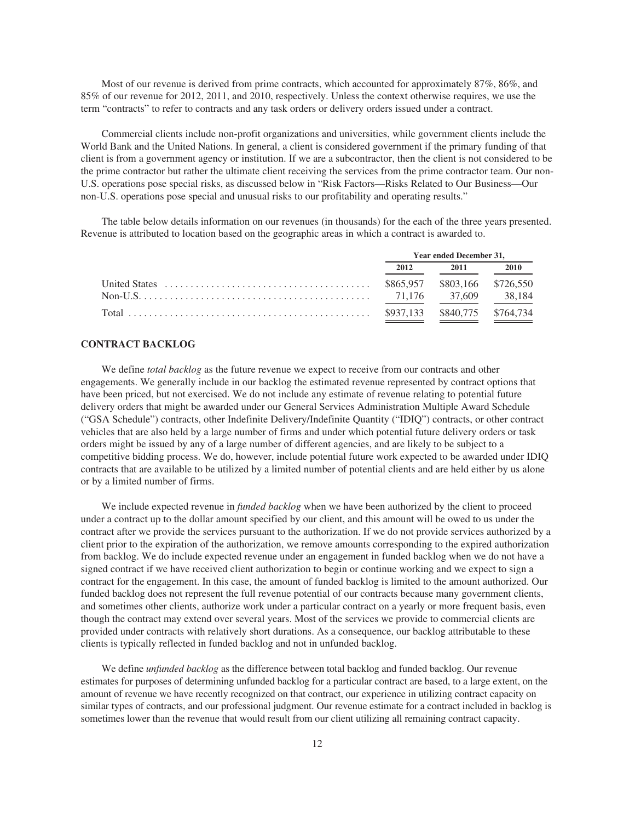Most of our revenue is derived from prime contracts, which accounted for approximately 87%, 86%, and 85% of our revenue for 2012, 2011, and 2010, respectively. Unless the context otherwise requires, we use the term "contracts" to refer to contracts and any task orders or delivery orders issued under a contract.

Commercial clients include non-profit organizations and universities, while government clients include the World Bank and the United Nations. In general, a client is considered government if the primary funding of that client is from a government agency or institution. If we are a subcontractor, then the client is not considered to be the prime contractor but rather the ultimate client receiving the services from the prime contractor team. Our non-U.S. operations pose special risks, as discussed below in "Risk Factors—Risks Related to Our Business—Our non-U.S. operations pose special and unusual risks to our profitability and operating results."

The table below details information on our revenues (in thousands) for the each of the three years presented. Revenue is attributed to location based on the geographic areas in which a contract is awarded to.

| Year ended December 31, |                               |      |  |
|-------------------------|-------------------------------|------|--|
| 2012                    | 2011                          | 2010 |  |
|                         | \$865,957 \$803,166 \$726,550 |      |  |
|                         |                               |      |  |
|                         | \$937,133 \$840,775 \$764,734 |      |  |

## **CONTRACT BACKLOG**

We define *total backlog* as the future revenue we expect to receive from our contracts and other engagements. We generally include in our backlog the estimated revenue represented by contract options that have been priced, but not exercised. We do not include any estimate of revenue relating to potential future delivery orders that might be awarded under our General Services Administration Multiple Award Schedule ("GSA Schedule") contracts, other Indefinite Delivery/Indefinite Quantity ("IDIQ") contracts, or other contract vehicles that are also held by a large number of firms and under which potential future delivery orders or task orders might be issued by any of a large number of different agencies, and are likely to be subject to a competitive bidding process. We do, however, include potential future work expected to be awarded under IDIQ contracts that are available to be utilized by a limited number of potential clients and are held either by us alone or by a limited number of firms.

We include expected revenue in *funded backlog* when we have been authorized by the client to proceed under a contract up to the dollar amount specified by our client, and this amount will be owed to us under the contract after we provide the services pursuant to the authorization. If we do not provide services authorized by a client prior to the expiration of the authorization, we remove amounts corresponding to the expired authorization from backlog. We do include expected revenue under an engagement in funded backlog when we do not have a signed contract if we have received client authorization to begin or continue working and we expect to sign a contract for the engagement. In this case, the amount of funded backlog is limited to the amount authorized. Our funded backlog does not represent the full revenue potential of our contracts because many government clients, and sometimes other clients, authorize work under a particular contract on a yearly or more frequent basis, even though the contract may extend over several years. Most of the services we provide to commercial clients are provided under contracts with relatively short durations. As a consequence, our backlog attributable to these clients is typically reflected in funded backlog and not in unfunded backlog.

We define *unfunded backlog* as the difference between total backlog and funded backlog. Our revenue estimates for purposes of determining unfunded backlog for a particular contract are based, to a large extent, on the amount of revenue we have recently recognized on that contract, our experience in utilizing contract capacity on similar types of contracts, and our professional judgment. Our revenue estimate for a contract included in backlog is sometimes lower than the revenue that would result from our client utilizing all remaining contract capacity.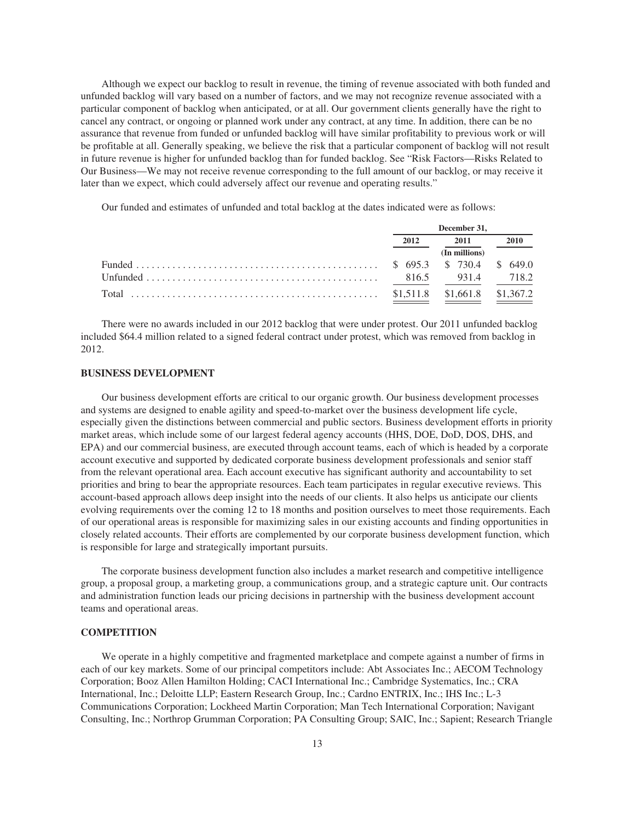Although we expect our backlog to result in revenue, the timing of revenue associated with both funded and unfunded backlog will vary based on a number of factors, and we may not recognize revenue associated with a particular component of backlog when anticipated, or at all. Our government clients generally have the right to cancel any contract, or ongoing or planned work under any contract, at any time. In addition, there can be no assurance that revenue from funded or unfunded backlog will have similar profitability to previous work or will be profitable at all. Generally speaking, we believe the risk that a particular component of backlog will not result in future revenue is higher for unfunded backlog than for funded backlog. See "Risk Factors—Risks Related to Our Business—We may not receive revenue corresponding to the full amount of our backlog, or may receive it later than we expect, which could adversely affect our revenue and operating results."

Our funded and estimates of unfunded and total backlog at the dates indicated were as follows:

| December 31. |               |             |  |
|--------------|---------------|-------------|--|
| 2012<br>2011 |               | 2010        |  |
|              | (In millions) |             |  |
|              |               |             |  |
|              |               | 931.4 718.2 |  |
|              |               |             |  |

There were no awards included in our 2012 backlog that were under protest. Our 2011 unfunded backlog included \$64.4 million related to a signed federal contract under protest, which was removed from backlog in 2012.

## **BUSINESS DEVELOPMENT**

Our business development efforts are critical to our organic growth. Our business development processes and systems are designed to enable agility and speed-to-market over the business development life cycle, especially given the distinctions between commercial and public sectors. Business development efforts in priority market areas, which include some of our largest federal agency accounts (HHS, DOE, DoD, DOS, DHS, and EPA) and our commercial business, are executed through account teams, each of which is headed by a corporate account executive and supported by dedicated corporate business development professionals and senior staff from the relevant operational area. Each account executive has significant authority and accountability to set priorities and bring to bear the appropriate resources. Each team participates in regular executive reviews. This account-based approach allows deep insight into the needs of our clients. It also helps us anticipate our clients evolving requirements over the coming 12 to 18 months and position ourselves to meet those requirements. Each of our operational areas is responsible for maximizing sales in our existing accounts and finding opportunities in closely related accounts. Their efforts are complemented by our corporate business development function, which is responsible for large and strategically important pursuits.

The corporate business development function also includes a market research and competitive intelligence group, a proposal group, a marketing group, a communications group, and a strategic capture unit. Our contracts and administration function leads our pricing decisions in partnership with the business development account teams and operational areas.

## **COMPETITION**

We operate in a highly competitive and fragmented marketplace and compete against a number of firms in each of our key markets. Some of our principal competitors include: Abt Associates Inc.; AECOM Technology Corporation; Booz Allen Hamilton Holding; CACI International Inc.; Cambridge Systematics, Inc.; CRA International, Inc.; Deloitte LLP; Eastern Research Group, Inc.; Cardno ENTRIX, Inc.; IHS Inc.; L-3 Communications Corporation; Lockheed Martin Corporation; Man Tech International Corporation; Navigant Consulting, Inc.; Northrop Grumman Corporation; PA Consulting Group; SAIC, Inc.; Sapient; Research Triangle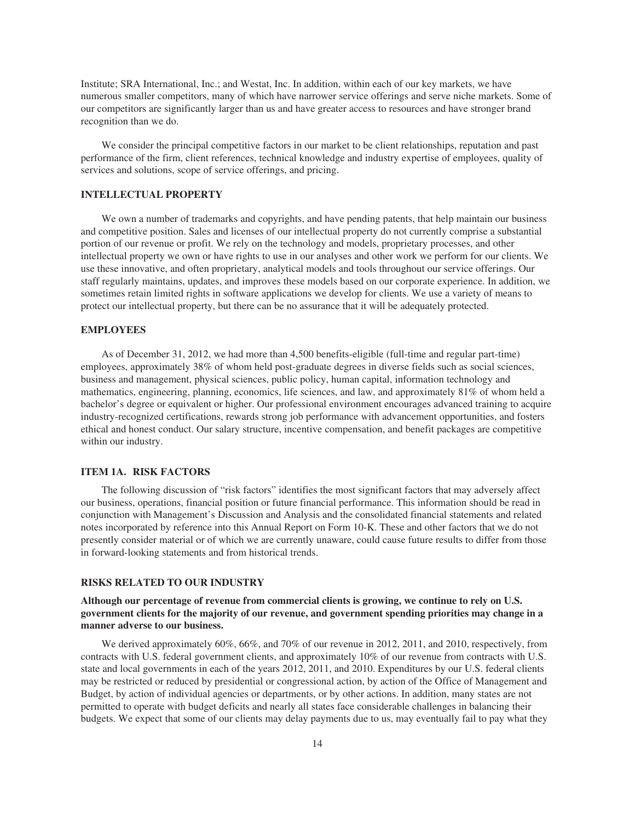Institute; SRA International, Inc.; and Westat, Inc. In addition, within each of our key markets, we have numerous smaller competitors, many of which have narrower service offerings and serve niche markets. Some of our competitors are significantly larger than us and have greater access to resources and have stronger brand recognition than we do.

We consider the principal competitive factors in our market to be client relationships, reputation and past performance of the firm, client references, technical knowledge and industry expertise of employees, quality of services and solutions, scope of service offerings, and pricing.

## **INTELLECTUAL PROPERTY**

We own a number of trademarks and copyrights, and have pending patents, that help maintain our business and competitive position. Sales and licenses of our intellectual property do not currently comprise a substantial portion of our revenue or profit. We rely on the technology and models, proprietary processes, and other intellectual property we own or have rights to use in our analyses and other work we perform for our clients. We use these innovative, and often proprietary, analytical models and tools throughout our service offerings. Our staff regularly maintains, updates, and improves these models based on our corporate experience. In addition, we sometimes retain limited rights in software applications we develop for clients. We use a variety of means to protect our intellectual property, but there can be no assurance that it will be adequately protected.

## **EMPLOYEES**

As of December 31, 2012, we had more than 4,500 benefits-eligible (full-time and regular part-time) employees, approximately 38% of whom held post-graduate degrees in diverse fields such as social sciences, business and management, physical sciences, public policy, human capital, information technology and mathematics, engineering, planning, economics, life sciences, and law, and approximately 81% of whom held a bachelor's degree or equivalent or higher. Our professional environment encourages advanced training to acquire industry-recognized certifications, rewards strong job performance with advancement opportunities, and fosters ethical and honest conduct. Our salary structure, incentive compensation, and benefit packages are competitive within our industry.

## **ITEM 1A. RISK FACTORS**

The following discussion of "risk factors" identifies the most significant factors that may adversely affect our business, operations, financial position or future financial performance. This information should be read in conjunction with Management's Discussion and Analysis and the consolidated financial statements and related notes incorporated by reference into this Annual Report on Form 10-K. These and other factors that we do not presently consider material or of which we are currently unaware, could cause future results to differ from those in forward-looking statements and from historical trends.

## **RISKS RELATED TO OUR INDUSTRY**

## **Although our percentage of revenue from commercial clients is growing, we continue to rely on U.S. government clients for the majority of our revenue, and government spending priorities may change in a manner adverse to our business.**

We derived approximately 60%, 66%, and 70% of our revenue in 2012, 2011, and 2010, respectively, from contracts with U.S. federal government clients, and approximately 10% of our revenue from contracts with U.S. state and local governments in each of the years 2012, 2011, and 2010. Expenditures by our U.S. federal clients may be restricted or reduced by presidential or congressional action, by action of the Office of Management and Budget, by action of individual agencies or departments, or by other actions. In addition, many states are not permitted to operate with budget deficits and nearly all states face considerable challenges in balancing their budgets. We expect that some of our clients may delay payments due to us, may eventually fail to pay what they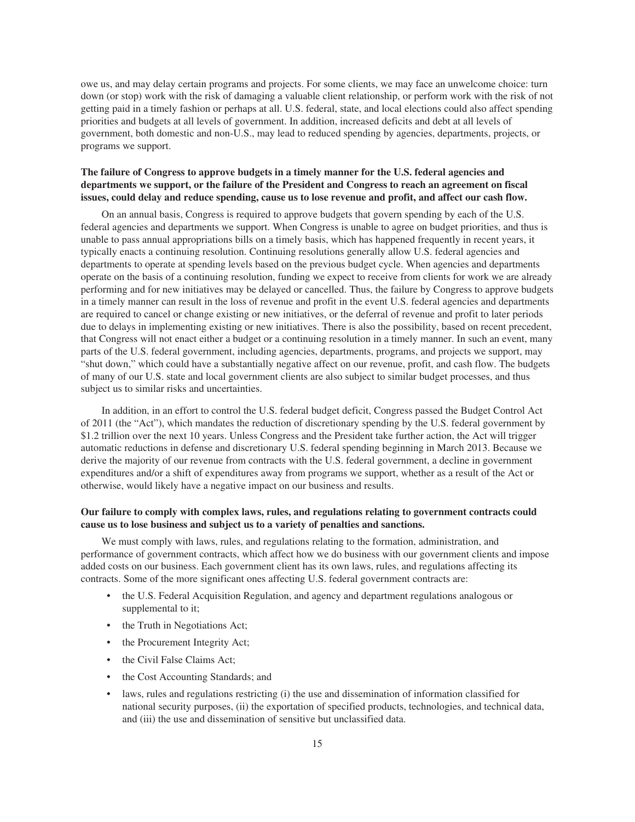owe us, and may delay certain programs and projects. For some clients, we may face an unwelcome choice: turn down (or stop) work with the risk of damaging a valuable client relationship, or perform work with the risk of not getting paid in a timely fashion or perhaps at all. U.S. federal, state, and local elections could also affect spending priorities and budgets at all levels of government. In addition, increased deficits and debt at all levels of government, both domestic and non-U.S., may lead to reduced spending by agencies, departments, projects, or programs we support.

## **The failure of Congress to approve budgets in a timely manner for the U.S. federal agencies and departments we support, or the failure of the President and Congress to reach an agreement on fiscal issues, could delay and reduce spending, cause us to lose revenue and profit, and affect our cash flow.**

On an annual basis, Congress is required to approve budgets that govern spending by each of the U.S. federal agencies and departments we support. When Congress is unable to agree on budget priorities, and thus is unable to pass annual appropriations bills on a timely basis, which has happened frequently in recent years, it typically enacts a continuing resolution. Continuing resolutions generally allow U.S. federal agencies and departments to operate at spending levels based on the previous budget cycle. When agencies and departments operate on the basis of a continuing resolution, funding we expect to receive from clients for work we are already performing and for new initiatives may be delayed or cancelled. Thus, the failure by Congress to approve budgets in a timely manner can result in the loss of revenue and profit in the event U.S. federal agencies and departments are required to cancel or change existing or new initiatives, or the deferral of revenue and profit to later periods due to delays in implementing existing or new initiatives. There is also the possibility, based on recent precedent, that Congress will not enact either a budget or a continuing resolution in a timely manner. In such an event, many parts of the U.S. federal government, including agencies, departments, programs, and projects we support, may "shut down," which could have a substantially negative affect on our revenue, profit, and cash flow. The budgets of many of our U.S. state and local government clients are also subject to similar budget processes, and thus subject us to similar risks and uncertainties.

In addition, in an effort to control the U.S. federal budget deficit, Congress passed the Budget Control Act of 2011 (the "Act"), which mandates the reduction of discretionary spending by the U.S. federal government by \$1.2 trillion over the next 10 years. Unless Congress and the President take further action, the Act will trigger automatic reductions in defense and discretionary U.S. federal spending beginning in March 2013. Because we derive the majority of our revenue from contracts with the U.S. federal government, a decline in government expenditures and/or a shift of expenditures away from programs we support, whether as a result of the Act or otherwise, would likely have a negative impact on our business and results.

## **Our failure to comply with complex laws, rules, and regulations relating to government contracts could cause us to lose business and subject us to a variety of penalties and sanctions.**

We must comply with laws, rules, and regulations relating to the formation, administration, and performance of government contracts, which affect how we do business with our government clients and impose added costs on our business. Each government client has its own laws, rules, and regulations affecting its contracts. Some of the more significant ones affecting U.S. federal government contracts are:

- the U.S. Federal Acquisition Regulation, and agency and department regulations analogous or supplemental to it;
- the Truth in Negotiations Act;
- the Procurement Integrity Act;
- the Civil False Claims Act;
- the Cost Accounting Standards; and
- laws, rules and regulations restricting (i) the use and dissemination of information classified for national security purposes, (ii) the exportation of specified products, technologies, and technical data, and (iii) the use and dissemination of sensitive but unclassified data.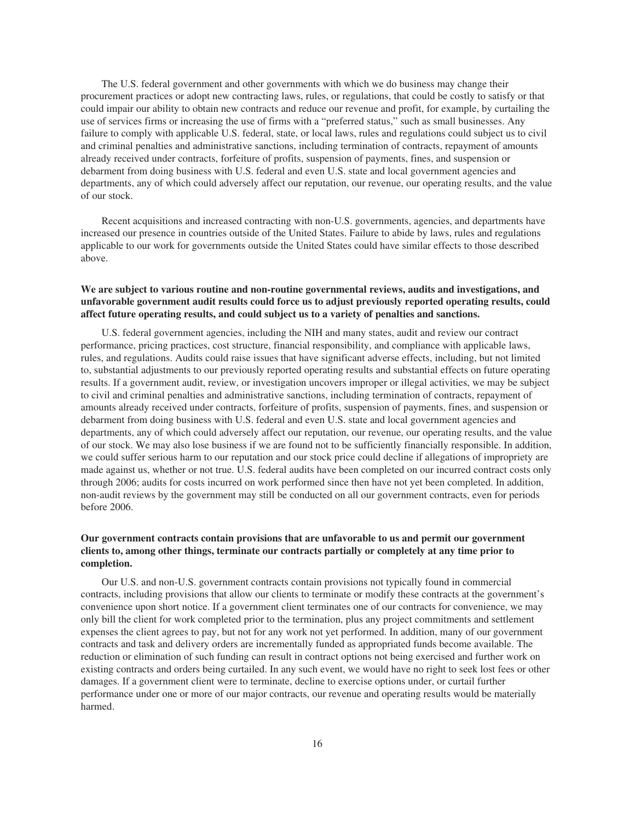The U.S. federal government and other governments with which we do business may change their procurement practices or adopt new contracting laws, rules, or regulations, that could be costly to satisfy or that could impair our ability to obtain new contracts and reduce our revenue and profit, for example, by curtailing the use of services firms or increasing the use of firms with a "preferred status," such as small businesses. Any failure to comply with applicable U.S. federal, state, or local laws, rules and regulations could subject us to civil and criminal penalties and administrative sanctions, including termination of contracts, repayment of amounts already received under contracts, forfeiture of profits, suspension of payments, fines, and suspension or debarment from doing business with U.S. federal and even U.S. state and local government agencies and departments, any of which could adversely affect our reputation, our revenue, our operating results, and the value of our stock.

Recent acquisitions and increased contracting with non-U.S. governments, agencies, and departments have increased our presence in countries outside of the United States. Failure to abide by laws, rules and regulations applicable to our work for governments outside the United States could have similar effects to those described above.

## **We are subject to various routine and non-routine governmental reviews, audits and investigations, and unfavorable government audit results could force us to adjust previously reported operating results, could affect future operating results, and could subject us to a variety of penalties and sanctions.**

U.S. federal government agencies, including the NIH and many states, audit and review our contract performance, pricing practices, cost structure, financial responsibility, and compliance with applicable laws, rules, and regulations. Audits could raise issues that have significant adverse effects, including, but not limited to, substantial adjustments to our previously reported operating results and substantial effects on future operating results. If a government audit, review, or investigation uncovers improper or illegal activities, we may be subject to civil and criminal penalties and administrative sanctions, including termination of contracts, repayment of amounts already received under contracts, forfeiture of profits, suspension of payments, fines, and suspension or debarment from doing business with U.S. federal and even U.S. state and local government agencies and departments, any of which could adversely affect our reputation, our revenue, our operating results, and the value of our stock. We may also lose business if we are found not to be sufficiently financially responsible. In addition, we could suffer serious harm to our reputation and our stock price could decline if allegations of impropriety are made against us, whether or not true. U.S. federal audits have been completed on our incurred contract costs only through 2006; audits for costs incurred on work performed since then have not yet been completed. In addition, non-audit reviews by the government may still be conducted on all our government contracts, even for periods before 2006.

## **Our government contracts contain provisions that are unfavorable to us and permit our government clients to, among other things, terminate our contracts partially or completely at any time prior to completion.**

Our U.S. and non-U.S. government contracts contain provisions not typically found in commercial contracts, including provisions that allow our clients to terminate or modify these contracts at the government's convenience upon short notice. If a government client terminates one of our contracts for convenience, we may only bill the client for work completed prior to the termination, plus any project commitments and settlement expenses the client agrees to pay, but not for any work not yet performed. In addition, many of our government contracts and task and delivery orders are incrementally funded as appropriated funds become available. The reduction or elimination of such funding can result in contract options not being exercised and further work on existing contracts and orders being curtailed. In any such event, we would have no right to seek lost fees or other damages. If a government client were to terminate, decline to exercise options under, or curtail further performance under one or more of our major contracts, our revenue and operating results would be materially harmed.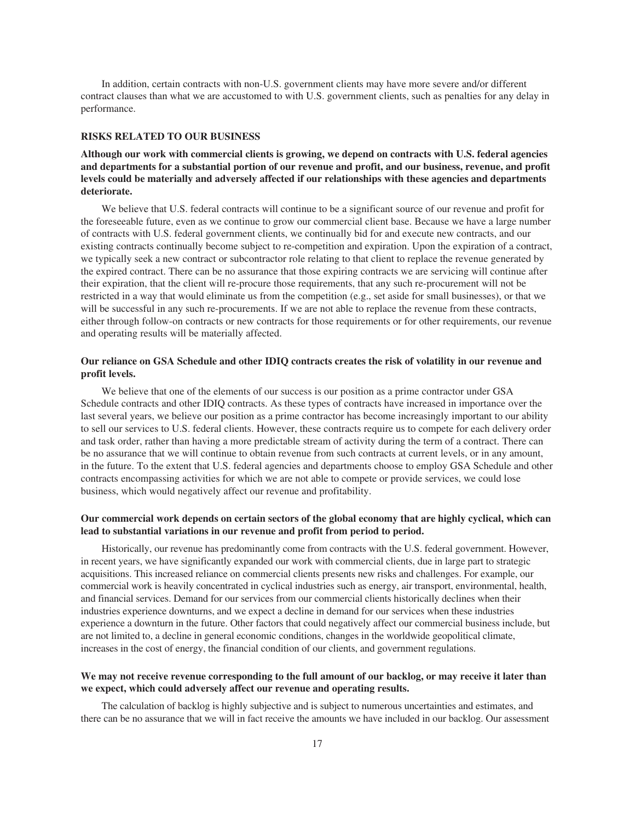In addition, certain contracts with non-U.S. government clients may have more severe and/or different contract clauses than what we are accustomed to with U.S. government clients, such as penalties for any delay in performance.

#### **RISKS RELATED TO OUR BUSINESS**

## **Although our work with commercial clients is growing, we depend on contracts with U.S. federal agencies and departments for a substantial portion of our revenue and profit, and our business, revenue, and profit levels could be materially and adversely affected if our relationships with these agencies and departments deteriorate.**

We believe that U.S. federal contracts will continue to be a significant source of our revenue and profit for the foreseeable future, even as we continue to grow our commercial client base. Because we have a large number of contracts with U.S. federal government clients, we continually bid for and execute new contracts, and our existing contracts continually become subject to re-competition and expiration. Upon the expiration of a contract, we typically seek a new contract or subcontractor role relating to that client to replace the revenue generated by the expired contract. There can be no assurance that those expiring contracts we are servicing will continue after their expiration, that the client will re-procure those requirements, that any such re-procurement will not be restricted in a way that would eliminate us from the competition (e.g., set aside for small businesses), or that we will be successful in any such re-procurements. If we are not able to replace the revenue from these contracts, either through follow-on contracts or new contracts for those requirements or for other requirements, our revenue and operating results will be materially affected.

## **Our reliance on GSA Schedule and other IDIQ contracts creates the risk of volatility in our revenue and profit levels.**

We believe that one of the elements of our success is our position as a prime contractor under GSA Schedule contracts and other IDIQ contracts. As these types of contracts have increased in importance over the last several years, we believe our position as a prime contractor has become increasingly important to our ability to sell our services to U.S. federal clients. However, these contracts require us to compete for each delivery order and task order, rather than having a more predictable stream of activity during the term of a contract. There can be no assurance that we will continue to obtain revenue from such contracts at current levels, or in any amount, in the future. To the extent that U.S. federal agencies and departments choose to employ GSA Schedule and other contracts encompassing activities for which we are not able to compete or provide services, we could lose business, which would negatively affect our revenue and profitability.

## **Our commercial work depends on certain sectors of the global economy that are highly cyclical, which can lead to substantial variations in our revenue and profit from period to period.**

Historically, our revenue has predominantly come from contracts with the U.S. federal government. However, in recent years, we have significantly expanded our work with commercial clients, due in large part to strategic acquisitions. This increased reliance on commercial clients presents new risks and challenges. For example, our commercial work is heavily concentrated in cyclical industries such as energy, air transport, environmental, health, and financial services. Demand for our services from our commercial clients historically declines when their industries experience downturns, and we expect a decline in demand for our services when these industries experience a downturn in the future. Other factors that could negatively affect our commercial business include, but are not limited to, a decline in general economic conditions, changes in the worldwide geopolitical climate, increases in the cost of energy, the financial condition of our clients, and government regulations.

## **We may not receive revenue corresponding to the full amount of our backlog, or may receive it later than we expect, which could adversely affect our revenue and operating results.**

The calculation of backlog is highly subjective and is subject to numerous uncertainties and estimates, and there can be no assurance that we will in fact receive the amounts we have included in our backlog. Our assessment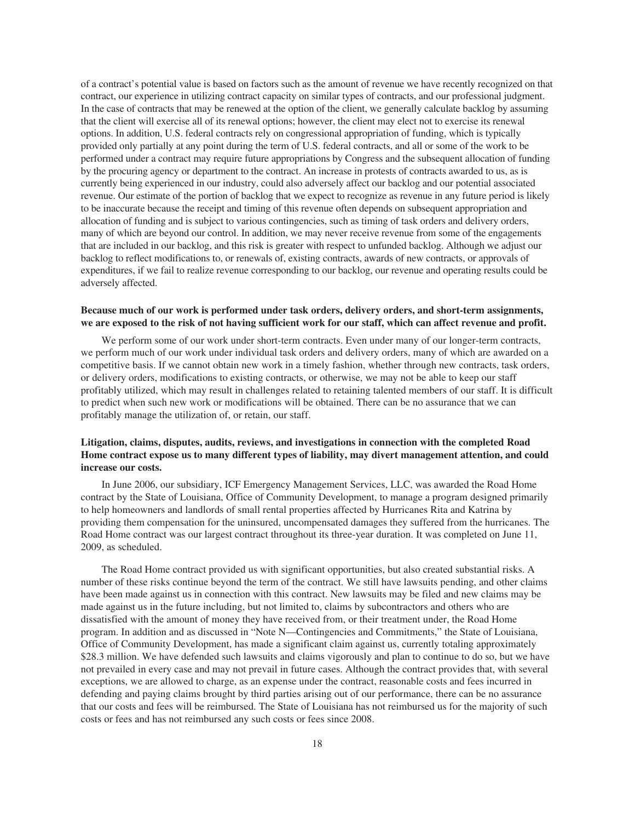of a contract's potential value is based on factors such as the amount of revenue we have recently recognized on that contract, our experience in utilizing contract capacity on similar types of contracts, and our professional judgment. In the case of contracts that may be renewed at the option of the client, we generally calculate backlog by assuming that the client will exercise all of its renewal options; however, the client may elect not to exercise its renewal options. In addition, U.S. federal contracts rely on congressional appropriation of funding, which is typically provided only partially at any point during the term of U.S. federal contracts, and all or some of the work to be performed under a contract may require future appropriations by Congress and the subsequent allocation of funding by the procuring agency or department to the contract. An increase in protests of contracts awarded to us, as is currently being experienced in our industry, could also adversely affect our backlog and our potential associated revenue. Our estimate of the portion of backlog that we expect to recognize as revenue in any future period is likely to be inaccurate because the receipt and timing of this revenue often depends on subsequent appropriation and allocation of funding and is subject to various contingencies, such as timing of task orders and delivery orders, many of which are beyond our control. In addition, we may never receive revenue from some of the engagements that are included in our backlog, and this risk is greater with respect to unfunded backlog. Although we adjust our backlog to reflect modifications to, or renewals of, existing contracts, awards of new contracts, or approvals of expenditures, if we fail to realize revenue corresponding to our backlog, our revenue and operating results could be adversely affected.

## **Because much of our work is performed under task orders, delivery orders, and short-term assignments, we are exposed to the risk of not having sufficient work for our staff, which can affect revenue and profit.**

We perform some of our work under short-term contracts. Even under many of our longer-term contracts, we perform much of our work under individual task orders and delivery orders, many of which are awarded on a competitive basis. If we cannot obtain new work in a timely fashion, whether through new contracts, task orders, or delivery orders, modifications to existing contracts, or otherwise, we may not be able to keep our staff profitably utilized, which may result in challenges related to retaining talented members of our staff. It is difficult to predict when such new work or modifications will be obtained. There can be no assurance that we can profitably manage the utilization of, or retain, our staff.

## **Litigation, claims, disputes, audits, reviews, and investigations in connection with the completed Road Home contract expose us to many different types of liability, may divert management attention, and could increase our costs.**

In June 2006, our subsidiary, ICF Emergency Management Services, LLC, was awarded the Road Home contract by the State of Louisiana, Office of Community Development, to manage a program designed primarily to help homeowners and landlords of small rental properties affected by Hurricanes Rita and Katrina by providing them compensation for the uninsured, uncompensated damages they suffered from the hurricanes. The Road Home contract was our largest contract throughout its three-year duration. It was completed on June 11, 2009, as scheduled.

The Road Home contract provided us with significant opportunities, but also created substantial risks. A number of these risks continue beyond the term of the contract. We still have lawsuits pending, and other claims have been made against us in connection with this contract. New lawsuits may be filed and new claims may be made against us in the future including, but not limited to, claims by subcontractors and others who are dissatisfied with the amount of money they have received from, or their treatment under, the Road Home program. In addition and as discussed in "Note N—Contingencies and Commitments," the State of Louisiana, Office of Community Development, has made a significant claim against us, currently totaling approximately \$28.3 million. We have defended such lawsuits and claims vigorously and plan to continue to do so, but we have not prevailed in every case and may not prevail in future cases. Although the contract provides that, with several exceptions, we are allowed to charge, as an expense under the contract, reasonable costs and fees incurred in defending and paying claims brought by third parties arising out of our performance, there can be no assurance that our costs and fees will be reimbursed. The State of Louisiana has not reimbursed us for the majority of such costs or fees and has not reimbursed any such costs or fees since 2008.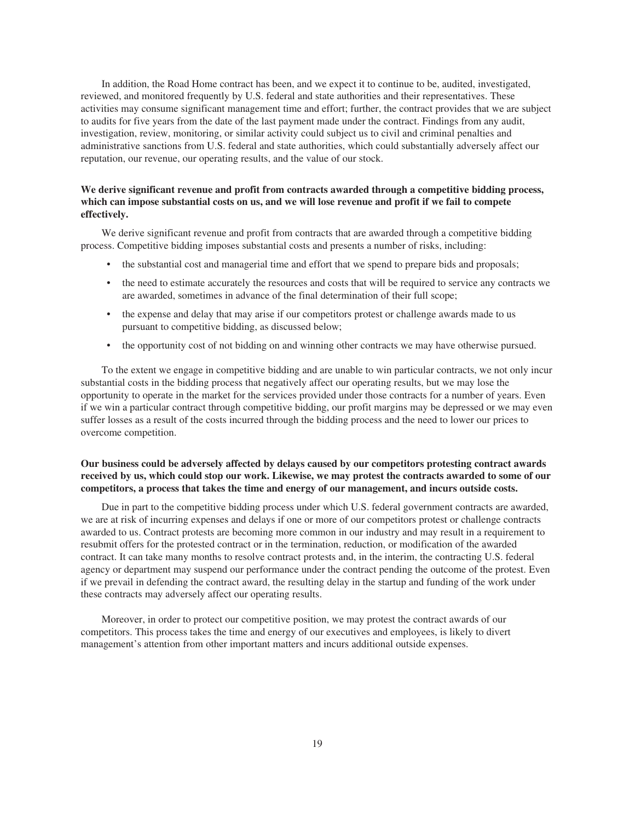In addition, the Road Home contract has been, and we expect it to continue to be, audited, investigated, reviewed, and monitored frequently by U.S. federal and state authorities and their representatives. These activities may consume significant management time and effort; further, the contract provides that we are subject to audits for five years from the date of the last payment made under the contract. Findings from any audit, investigation, review, monitoring, or similar activity could subject us to civil and criminal penalties and administrative sanctions from U.S. federal and state authorities, which could substantially adversely affect our reputation, our revenue, our operating results, and the value of our stock.

## **We derive significant revenue and profit from contracts awarded through a competitive bidding process, which can impose substantial costs on us, and we will lose revenue and profit if we fail to compete effectively.**

We derive significant revenue and profit from contracts that are awarded through a competitive bidding process. Competitive bidding imposes substantial costs and presents a number of risks, including:

- the substantial cost and managerial time and effort that we spend to prepare bids and proposals;
- the need to estimate accurately the resources and costs that will be required to service any contracts we are awarded, sometimes in advance of the final determination of their full scope;
- the expense and delay that may arise if our competitors protest or challenge awards made to us pursuant to competitive bidding, as discussed below;
- the opportunity cost of not bidding on and winning other contracts we may have otherwise pursued.

To the extent we engage in competitive bidding and are unable to win particular contracts, we not only incur substantial costs in the bidding process that negatively affect our operating results, but we may lose the opportunity to operate in the market for the services provided under those contracts for a number of years. Even if we win a particular contract through competitive bidding, our profit margins may be depressed or we may even suffer losses as a result of the costs incurred through the bidding process and the need to lower our prices to overcome competition.

## **Our business could be adversely affected by delays caused by our competitors protesting contract awards received by us, which could stop our work. Likewise, we may protest the contracts awarded to some of our competitors, a process that takes the time and energy of our management, and incurs outside costs.**

Due in part to the competitive bidding process under which U.S. federal government contracts are awarded, we are at risk of incurring expenses and delays if one or more of our competitors protest or challenge contracts awarded to us. Contract protests are becoming more common in our industry and may result in a requirement to resubmit offers for the protested contract or in the termination, reduction, or modification of the awarded contract. It can take many months to resolve contract protests and, in the interim, the contracting U.S. federal agency or department may suspend our performance under the contract pending the outcome of the protest. Even if we prevail in defending the contract award, the resulting delay in the startup and funding of the work under these contracts may adversely affect our operating results.

Moreover, in order to protect our competitive position, we may protest the contract awards of our competitors. This process takes the time and energy of our executives and employees, is likely to divert management's attention from other important matters and incurs additional outside expenses.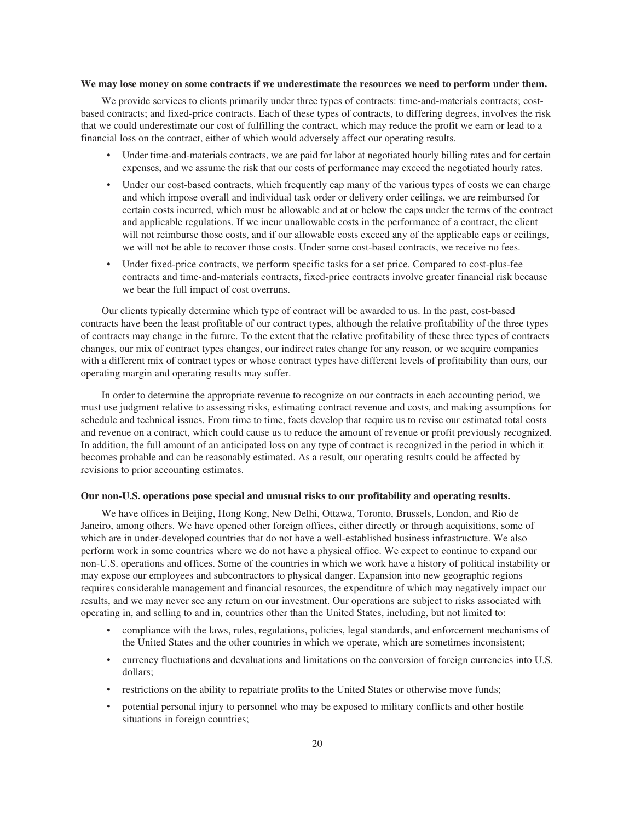#### **We may lose money on some contracts if we underestimate the resources we need to perform under them.**

We provide services to clients primarily under three types of contracts: time-and-materials contracts; costbased contracts; and fixed-price contracts. Each of these types of contracts, to differing degrees, involves the risk that we could underestimate our cost of fulfilling the contract, which may reduce the profit we earn or lead to a financial loss on the contract, either of which would adversely affect our operating results.

- Under time-and-materials contracts, we are paid for labor at negotiated hourly billing rates and for certain expenses, and we assume the risk that our costs of performance may exceed the negotiated hourly rates.
- Under our cost-based contracts, which frequently cap many of the various types of costs we can charge and which impose overall and individual task order or delivery order ceilings, we are reimbursed for certain costs incurred, which must be allowable and at or below the caps under the terms of the contract and applicable regulations. If we incur unallowable costs in the performance of a contract, the client will not reimburse those costs, and if our allowable costs exceed any of the applicable caps or ceilings, we will not be able to recover those costs. Under some cost-based contracts, we receive no fees.
- Under fixed-price contracts, we perform specific tasks for a set price. Compared to cost-plus-fee contracts and time-and-materials contracts, fixed-price contracts involve greater financial risk because we bear the full impact of cost overruns.

Our clients typically determine which type of contract will be awarded to us. In the past, cost-based contracts have been the least profitable of our contract types, although the relative profitability of the three types of contracts may change in the future. To the extent that the relative profitability of these three types of contracts changes, our mix of contract types changes, our indirect rates change for any reason, or we acquire companies with a different mix of contract types or whose contract types have different levels of profitability than ours, our operating margin and operating results may suffer.

In order to determine the appropriate revenue to recognize on our contracts in each accounting period, we must use judgment relative to assessing risks, estimating contract revenue and costs, and making assumptions for schedule and technical issues. From time to time, facts develop that require us to revise our estimated total costs and revenue on a contract, which could cause us to reduce the amount of revenue or profit previously recognized. In addition, the full amount of an anticipated loss on any type of contract is recognized in the period in which it becomes probable and can be reasonably estimated. As a result, our operating results could be affected by revisions to prior accounting estimates.

## **Our non-U.S. operations pose special and unusual risks to our profitability and operating results.**

We have offices in Beijing, Hong Kong, New Delhi, Ottawa, Toronto, Brussels, London, and Rio de Janeiro, among others. We have opened other foreign offices, either directly or through acquisitions, some of which are in under-developed countries that do not have a well-established business infrastructure. We also perform work in some countries where we do not have a physical office. We expect to continue to expand our non-U.S. operations and offices. Some of the countries in which we work have a history of political instability or may expose our employees and subcontractors to physical danger. Expansion into new geographic regions requires considerable management and financial resources, the expenditure of which may negatively impact our results, and we may never see any return on our investment. Our operations are subject to risks associated with operating in, and selling to and in, countries other than the United States, including, but not limited to:

- compliance with the laws, rules, regulations, policies, legal standards, and enforcement mechanisms of the United States and the other countries in which we operate, which are sometimes inconsistent;
- currency fluctuations and devaluations and limitations on the conversion of foreign currencies into U.S. dollars;
- restrictions on the ability to repatriate profits to the United States or otherwise move funds;
- potential personal injury to personnel who may be exposed to military conflicts and other hostile situations in foreign countries;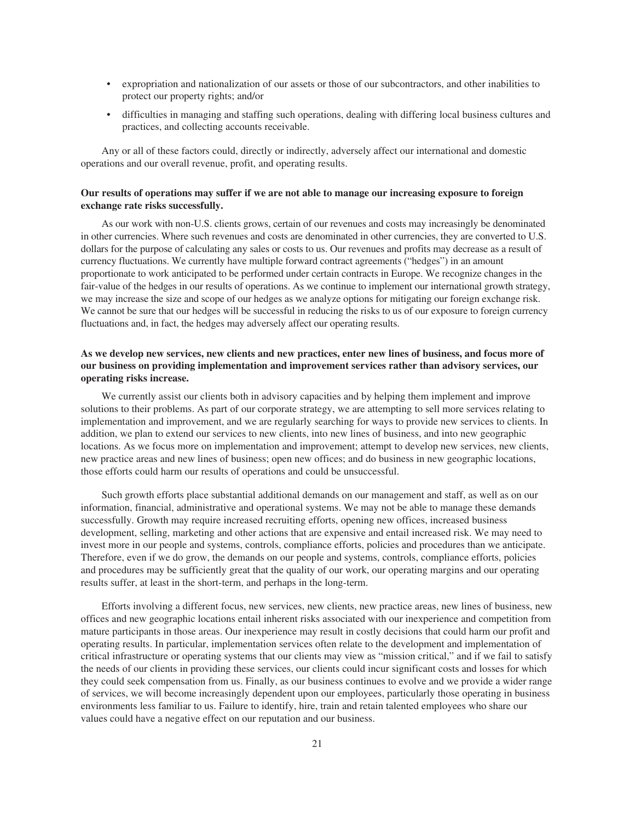- expropriation and nationalization of our assets or those of our subcontractors, and other inabilities to protect our property rights; and/or
- difficulties in managing and staffing such operations, dealing with differing local business cultures and practices, and collecting accounts receivable.

Any or all of these factors could, directly or indirectly, adversely affect our international and domestic operations and our overall revenue, profit, and operating results.

## **Our results of operations may suffer if we are not able to manage our increasing exposure to foreign exchange rate risks successfully.**

As our work with non-U.S. clients grows, certain of our revenues and costs may increasingly be denominated in other currencies. Where such revenues and costs are denominated in other currencies, they are converted to U.S. dollars for the purpose of calculating any sales or costs to us. Our revenues and profits may decrease as a result of currency fluctuations. We currently have multiple forward contract agreements ("hedges") in an amount proportionate to work anticipated to be performed under certain contracts in Europe. We recognize changes in the fair-value of the hedges in our results of operations. As we continue to implement our international growth strategy, we may increase the size and scope of our hedges as we analyze options for mitigating our foreign exchange risk. We cannot be sure that our hedges will be successful in reducing the risks to us of our exposure to foreign currency fluctuations and, in fact, the hedges may adversely affect our operating results.

## **As we develop new services, new clients and new practices, enter new lines of business, and focus more of our business on providing implementation and improvement services rather than advisory services, our operating risks increase.**

We currently assist our clients both in advisory capacities and by helping them implement and improve solutions to their problems. As part of our corporate strategy, we are attempting to sell more services relating to implementation and improvement, and we are regularly searching for ways to provide new services to clients. In addition, we plan to extend our services to new clients, into new lines of business, and into new geographic locations. As we focus more on implementation and improvement; attempt to develop new services, new clients, new practice areas and new lines of business; open new offices; and do business in new geographic locations, those efforts could harm our results of operations and could be unsuccessful.

Such growth efforts place substantial additional demands on our management and staff, as well as on our information, financial, administrative and operational systems. We may not be able to manage these demands successfully. Growth may require increased recruiting efforts, opening new offices, increased business development, selling, marketing and other actions that are expensive and entail increased risk. We may need to invest more in our people and systems, controls, compliance efforts, policies and procedures than we anticipate. Therefore, even if we do grow, the demands on our people and systems, controls, compliance efforts, policies and procedures may be sufficiently great that the quality of our work, our operating margins and our operating results suffer, at least in the short-term, and perhaps in the long-term.

Efforts involving a different focus, new services, new clients, new practice areas, new lines of business, new offices and new geographic locations entail inherent risks associated with our inexperience and competition from mature participants in those areas. Our inexperience may result in costly decisions that could harm our profit and operating results. In particular, implementation services often relate to the development and implementation of critical infrastructure or operating systems that our clients may view as "mission critical," and if we fail to satisfy the needs of our clients in providing these services, our clients could incur significant costs and losses for which they could seek compensation from us. Finally, as our business continues to evolve and we provide a wider range of services, we will become increasingly dependent upon our employees, particularly those operating in business environments less familiar to us. Failure to identify, hire, train and retain talented employees who share our values could have a negative effect on our reputation and our business.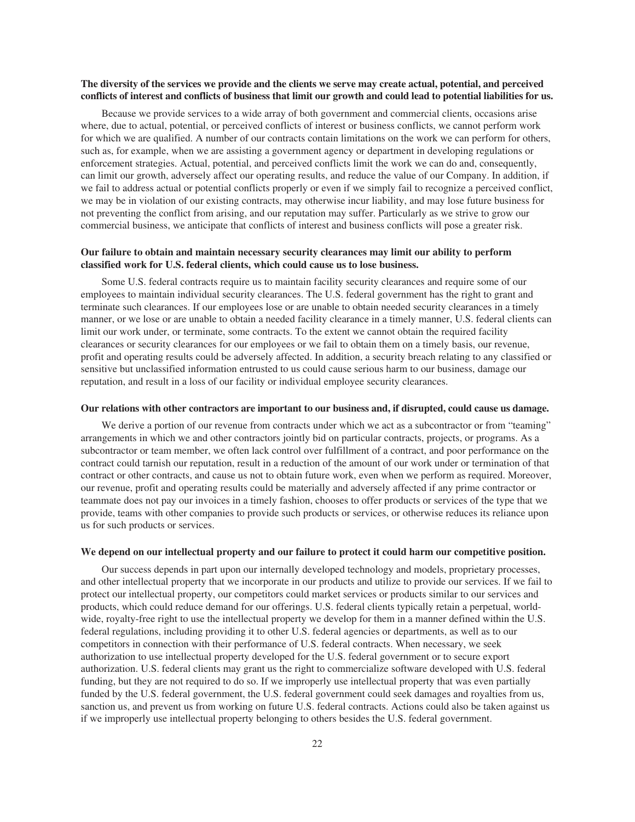## **The diversity of the services we provide and the clients we serve may create actual, potential, and perceived conflicts of interest and conflicts of business that limit our growth and could lead to potential liabilities for us.**

Because we provide services to a wide array of both government and commercial clients, occasions arise where, due to actual, potential, or perceived conflicts of interest or business conflicts, we cannot perform work for which we are qualified. A number of our contracts contain limitations on the work we can perform for others, such as, for example, when we are assisting a government agency or department in developing regulations or enforcement strategies. Actual, potential, and perceived conflicts limit the work we can do and, consequently, can limit our growth, adversely affect our operating results, and reduce the value of our Company. In addition, if we fail to address actual or potential conflicts properly or even if we simply fail to recognize a perceived conflict, we may be in violation of our existing contracts, may otherwise incur liability, and may lose future business for not preventing the conflict from arising, and our reputation may suffer. Particularly as we strive to grow our commercial business, we anticipate that conflicts of interest and business conflicts will pose a greater risk.

## **Our failure to obtain and maintain necessary security clearances may limit our ability to perform classified work for U.S. federal clients, which could cause us to lose business.**

Some U.S. federal contracts require us to maintain facility security clearances and require some of our employees to maintain individual security clearances. The U.S. federal government has the right to grant and terminate such clearances. If our employees lose or are unable to obtain needed security clearances in a timely manner, or we lose or are unable to obtain a needed facility clearance in a timely manner, U.S. federal clients can limit our work under, or terminate, some contracts. To the extent we cannot obtain the required facility clearances or security clearances for our employees or we fail to obtain them on a timely basis, our revenue, profit and operating results could be adversely affected. In addition, a security breach relating to any classified or sensitive but unclassified information entrusted to us could cause serious harm to our business, damage our reputation, and result in a loss of our facility or individual employee security clearances.

#### **Our relations with other contractors are important to our business and, if disrupted, could cause us damage.**

We derive a portion of our revenue from contracts under which we act as a subcontractor or from "teaming" arrangements in which we and other contractors jointly bid on particular contracts, projects, or programs. As a subcontractor or team member, we often lack control over fulfillment of a contract, and poor performance on the contract could tarnish our reputation, result in a reduction of the amount of our work under or termination of that contract or other contracts, and cause us not to obtain future work, even when we perform as required. Moreover, our revenue, profit and operating results could be materially and adversely affected if any prime contractor or teammate does not pay our invoices in a timely fashion, chooses to offer products or services of the type that we provide, teams with other companies to provide such products or services, or otherwise reduces its reliance upon us for such products or services.

#### **We depend on our intellectual property and our failure to protect it could harm our competitive position.**

Our success depends in part upon our internally developed technology and models, proprietary processes, and other intellectual property that we incorporate in our products and utilize to provide our services. If we fail to protect our intellectual property, our competitors could market services or products similar to our services and products, which could reduce demand for our offerings. U.S. federal clients typically retain a perpetual, worldwide, royalty-free right to use the intellectual property we develop for them in a manner defined within the U.S. federal regulations, including providing it to other U.S. federal agencies or departments, as well as to our competitors in connection with their performance of U.S. federal contracts. When necessary, we seek authorization to use intellectual property developed for the U.S. federal government or to secure export authorization. U.S. federal clients may grant us the right to commercialize software developed with U.S. federal funding, but they are not required to do so. If we improperly use intellectual property that was even partially funded by the U.S. federal government, the U.S. federal government could seek damages and royalties from us, sanction us, and prevent us from working on future U.S. federal contracts. Actions could also be taken against us if we improperly use intellectual property belonging to others besides the U.S. federal government.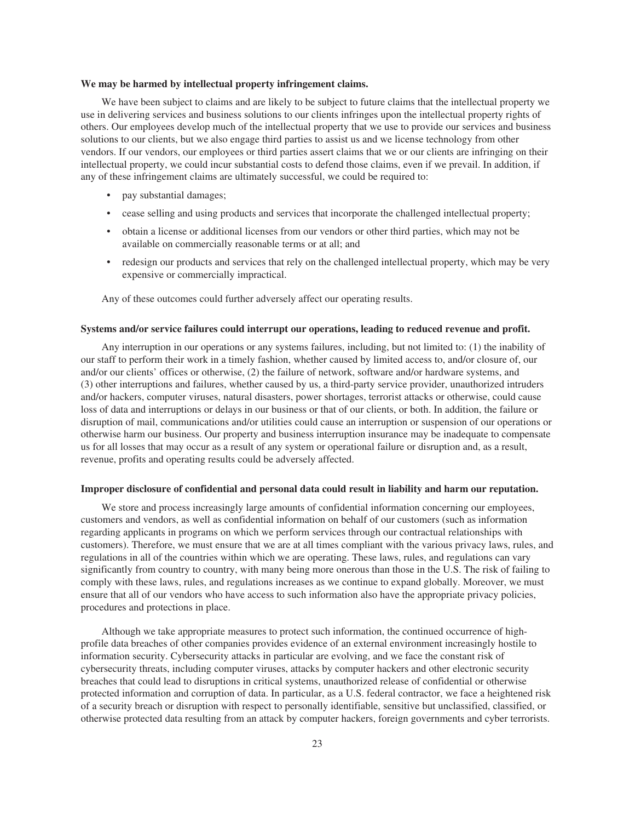## **We may be harmed by intellectual property infringement claims.**

We have been subject to claims and are likely to be subject to future claims that the intellectual property we use in delivering services and business solutions to our clients infringes upon the intellectual property rights of others. Our employees develop much of the intellectual property that we use to provide our services and business solutions to our clients, but we also engage third parties to assist us and we license technology from other vendors. If our vendors, our employees or third parties assert claims that we or our clients are infringing on their intellectual property, we could incur substantial costs to defend those claims, even if we prevail. In addition, if any of these infringement claims are ultimately successful, we could be required to:

- pay substantial damages;
- cease selling and using products and services that incorporate the challenged intellectual property;
- obtain a license or additional licenses from our vendors or other third parties, which may not be available on commercially reasonable terms or at all; and
- redesign our products and services that rely on the challenged intellectual property, which may be very expensive or commercially impractical.

Any of these outcomes could further adversely affect our operating results.

#### **Systems and/or service failures could interrupt our operations, leading to reduced revenue and profit.**

Any interruption in our operations or any systems failures, including, but not limited to: (1) the inability of our staff to perform their work in a timely fashion, whether caused by limited access to, and/or closure of, our and/or our clients' offices or otherwise, (2) the failure of network, software and/or hardware systems, and (3) other interruptions and failures, whether caused by us, a third-party service provider, unauthorized intruders and/or hackers, computer viruses, natural disasters, power shortages, terrorist attacks or otherwise, could cause loss of data and interruptions or delays in our business or that of our clients, or both. In addition, the failure or disruption of mail, communications and/or utilities could cause an interruption or suspension of our operations or otherwise harm our business. Our property and business interruption insurance may be inadequate to compensate us for all losses that may occur as a result of any system or operational failure or disruption and, as a result, revenue, profits and operating results could be adversely affected.

#### **Improper disclosure of confidential and personal data could result in liability and harm our reputation.**

We store and process increasingly large amounts of confidential information concerning our employees, customers and vendors, as well as confidential information on behalf of our customers (such as information regarding applicants in programs on which we perform services through our contractual relationships with customers). Therefore, we must ensure that we are at all times compliant with the various privacy laws, rules, and regulations in all of the countries within which we are operating. These laws, rules, and regulations can vary significantly from country to country, with many being more onerous than those in the U.S. The risk of failing to comply with these laws, rules, and regulations increases as we continue to expand globally. Moreover, we must ensure that all of our vendors who have access to such information also have the appropriate privacy policies, procedures and protections in place.

Although we take appropriate measures to protect such information, the continued occurrence of highprofile data breaches of other companies provides evidence of an external environment increasingly hostile to information security. Cybersecurity attacks in particular are evolving, and we face the constant risk of cybersecurity threats, including computer viruses, attacks by computer hackers and other electronic security breaches that could lead to disruptions in critical systems, unauthorized release of confidential or otherwise protected information and corruption of data. In particular, as a U.S. federal contractor, we face a heightened risk of a security breach or disruption with respect to personally identifiable, sensitive but unclassified, classified, or otherwise protected data resulting from an attack by computer hackers, foreign governments and cyber terrorists.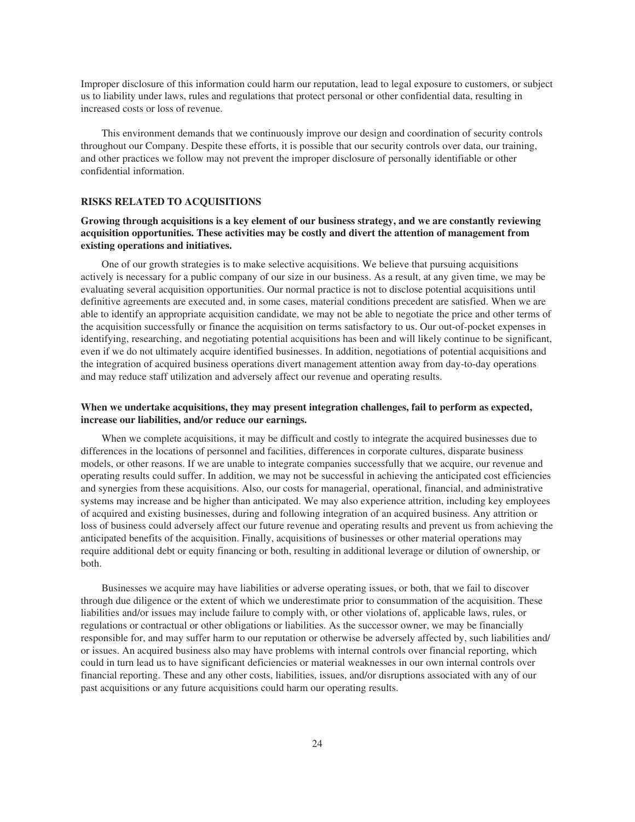Improper disclosure of this information could harm our reputation, lead to legal exposure to customers, or subject us to liability under laws, rules and regulations that protect personal or other confidential data, resulting in increased costs or loss of revenue.

This environment demands that we continuously improve our design and coordination of security controls throughout our Company. Despite these efforts, it is possible that our security controls over data, our training, and other practices we follow may not prevent the improper disclosure of personally identifiable or other confidential information.

#### **RISKS RELATED TO ACQUISITIONS**

## **Growing through acquisitions is a key element of our business strategy, and we are constantly reviewing acquisition opportunities. These activities may be costly and divert the attention of management from existing operations and initiatives.**

One of our growth strategies is to make selective acquisitions. We believe that pursuing acquisitions actively is necessary for a public company of our size in our business. As a result, at any given time, we may be evaluating several acquisition opportunities. Our normal practice is not to disclose potential acquisitions until definitive agreements are executed and, in some cases, material conditions precedent are satisfied. When we are able to identify an appropriate acquisition candidate, we may not be able to negotiate the price and other terms of the acquisition successfully or finance the acquisition on terms satisfactory to us. Our out-of-pocket expenses in identifying, researching, and negotiating potential acquisitions has been and will likely continue to be significant, even if we do not ultimately acquire identified businesses. In addition, negotiations of potential acquisitions and the integration of acquired business operations divert management attention away from day-to-day operations and may reduce staff utilization and adversely affect our revenue and operating results.

## **When we undertake acquisitions, they may present integration challenges, fail to perform as expected, increase our liabilities, and/or reduce our earnings.**

When we complete acquisitions, it may be difficult and costly to integrate the acquired businesses due to differences in the locations of personnel and facilities, differences in corporate cultures, disparate business models, or other reasons. If we are unable to integrate companies successfully that we acquire, our revenue and operating results could suffer. In addition, we may not be successful in achieving the anticipated cost efficiencies and synergies from these acquisitions. Also, our costs for managerial, operational, financial, and administrative systems may increase and be higher than anticipated. We may also experience attrition, including key employees of acquired and existing businesses, during and following integration of an acquired business. Any attrition or loss of business could adversely affect our future revenue and operating results and prevent us from achieving the anticipated benefits of the acquisition. Finally, acquisitions of businesses or other material operations may require additional debt or equity financing or both, resulting in additional leverage or dilution of ownership, or both.

Businesses we acquire may have liabilities or adverse operating issues, or both, that we fail to discover through due diligence or the extent of which we underestimate prior to consummation of the acquisition. These liabilities and/or issues may include failure to comply with, or other violations of, applicable laws, rules, or regulations or contractual or other obligations or liabilities. As the successor owner, we may be financially responsible for, and may suffer harm to our reputation or otherwise be adversely affected by, such liabilities and/ or issues. An acquired business also may have problems with internal controls over financial reporting, which could in turn lead us to have significant deficiencies or material weaknesses in our own internal controls over financial reporting. These and any other costs, liabilities, issues, and/or disruptions associated with any of our past acquisitions or any future acquisitions could harm our operating results.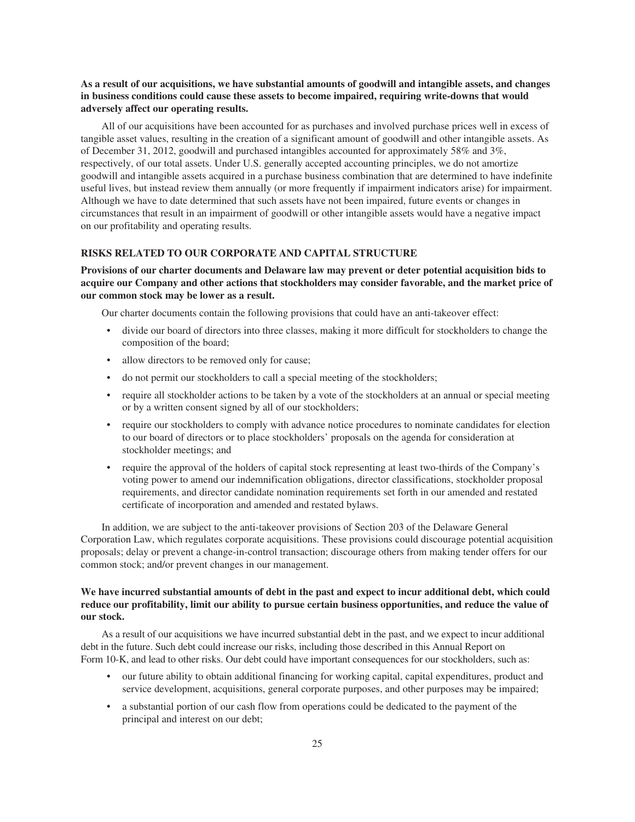## **As a result of our acquisitions, we have substantial amounts of goodwill and intangible assets, and changes in business conditions could cause these assets to become impaired, requiring write-downs that would adversely affect our operating results.**

All of our acquisitions have been accounted for as purchases and involved purchase prices well in excess of tangible asset values, resulting in the creation of a significant amount of goodwill and other intangible assets. As of December 31, 2012, goodwill and purchased intangibles accounted for approximately 58% and 3%, respectively, of our total assets. Under U.S. generally accepted accounting principles, we do not amortize goodwill and intangible assets acquired in a purchase business combination that are determined to have indefinite useful lives, but instead review them annually (or more frequently if impairment indicators arise) for impairment. Although we have to date determined that such assets have not been impaired, future events or changes in circumstances that result in an impairment of goodwill or other intangible assets would have a negative impact on our profitability and operating results.

## **RISKS RELATED TO OUR CORPORATE AND CAPITAL STRUCTURE**

**Provisions of our charter documents and Delaware law may prevent or deter potential acquisition bids to acquire our Company and other actions that stockholders may consider favorable, and the market price of our common stock may be lower as a result.**

Our charter documents contain the following provisions that could have an anti-takeover effect:

- divide our board of directors into three classes, making it more difficult for stockholders to change the composition of the board;
- allow directors to be removed only for cause;
- do not permit our stockholders to call a special meeting of the stockholders;
- require all stockholder actions to be taken by a vote of the stockholders at an annual or special meeting or by a written consent signed by all of our stockholders;
- require our stockholders to comply with advance notice procedures to nominate candidates for election to our board of directors or to place stockholders' proposals on the agenda for consideration at stockholder meetings; and
- require the approval of the holders of capital stock representing at least two-thirds of the Company's voting power to amend our indemnification obligations, director classifications, stockholder proposal requirements, and director candidate nomination requirements set forth in our amended and restated certificate of incorporation and amended and restated bylaws.

In addition, we are subject to the anti-takeover provisions of Section 203 of the Delaware General Corporation Law, which regulates corporate acquisitions. These provisions could discourage potential acquisition proposals; delay or prevent a change-in-control transaction; discourage others from making tender offers for our common stock; and/or prevent changes in our management.

## **We have incurred substantial amounts of debt in the past and expect to incur additional debt, which could reduce our profitability, limit our ability to pursue certain business opportunities, and reduce the value of our stock.**

As a result of our acquisitions we have incurred substantial debt in the past, and we expect to incur additional debt in the future. Such debt could increase our risks, including those described in this Annual Report on Form 10-K, and lead to other risks. Our debt could have important consequences for our stockholders, such as:

- our future ability to obtain additional financing for working capital, capital expenditures, product and service development, acquisitions, general corporate purposes, and other purposes may be impaired;
- a substantial portion of our cash flow from operations could be dedicated to the payment of the principal and interest on our debt;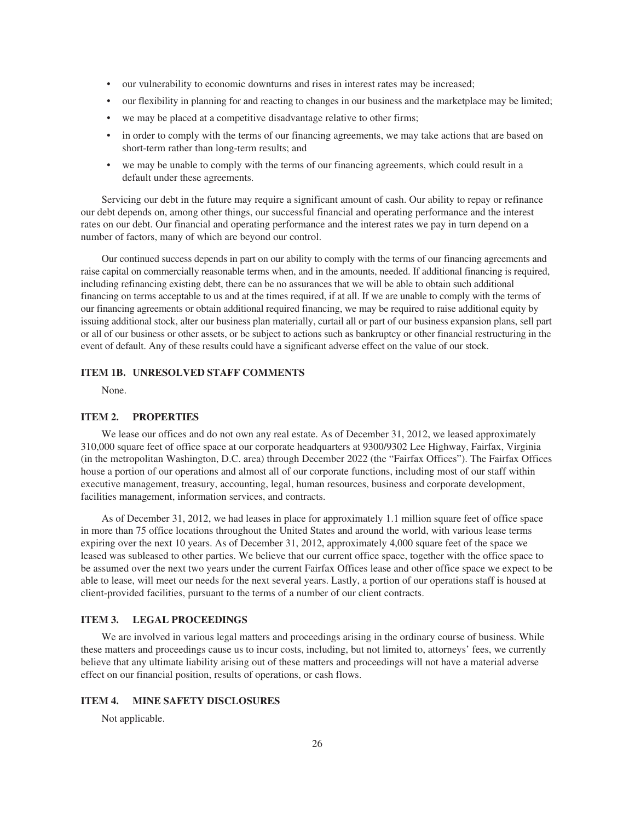- our vulnerability to economic downturns and rises in interest rates may be increased;
- our flexibility in planning for and reacting to changes in our business and the marketplace may be limited;
- we may be placed at a competitive disadvantage relative to other firms;
- in order to comply with the terms of our financing agreements, we may take actions that are based on short-term rather than long-term results; and
- we may be unable to comply with the terms of our financing agreements, which could result in a default under these agreements.

Servicing our debt in the future may require a significant amount of cash. Our ability to repay or refinance our debt depends on, among other things, our successful financial and operating performance and the interest rates on our debt. Our financial and operating performance and the interest rates we pay in turn depend on a number of factors, many of which are beyond our control.

Our continued success depends in part on our ability to comply with the terms of our financing agreements and raise capital on commercially reasonable terms when, and in the amounts, needed. If additional financing is required, including refinancing existing debt, there can be no assurances that we will be able to obtain such additional financing on terms acceptable to us and at the times required, if at all. If we are unable to comply with the terms of our financing agreements or obtain additional required financing, we may be required to raise additional equity by issuing additional stock, alter our business plan materially, curtail all or part of our business expansion plans, sell part or all of our business or other assets, or be subject to actions such as bankruptcy or other financial restructuring in the event of default. Any of these results could have a significant adverse effect on the value of our stock.

## **ITEM 1B. UNRESOLVED STAFF COMMENTS**

None.

## **ITEM 2. PROPERTIES**

We lease our offices and do not own any real estate. As of December 31, 2012, we leased approximately 310,000 square feet of office space at our corporate headquarters at 9300/9302 Lee Highway, Fairfax, Virginia (in the metropolitan Washington, D.C. area) through December 2022 (the "Fairfax Offices"). The Fairfax Offices house a portion of our operations and almost all of our corporate functions, including most of our staff within executive management, treasury, accounting, legal, human resources, business and corporate development, facilities management, information services, and contracts.

As of December 31, 2012, we had leases in place for approximately 1.1 million square feet of office space in more than 75 office locations throughout the United States and around the world, with various lease terms expiring over the next 10 years. As of December 31, 2012, approximately 4,000 square feet of the space we leased was subleased to other parties. We believe that our current office space, together with the office space to be assumed over the next two years under the current Fairfax Offices lease and other office space we expect to be able to lease, will meet our needs for the next several years. Lastly, a portion of our operations staff is housed at client-provided facilities, pursuant to the terms of a number of our client contracts.

#### **ITEM 3. LEGAL PROCEEDINGS**

We are involved in various legal matters and proceedings arising in the ordinary course of business. While these matters and proceedings cause us to incur costs, including, but not limited to, attorneys' fees, we currently believe that any ultimate liability arising out of these matters and proceedings will not have a material adverse effect on our financial position, results of operations, or cash flows.

## **ITEM 4. MINE SAFETY DISCLOSURES**

Not applicable.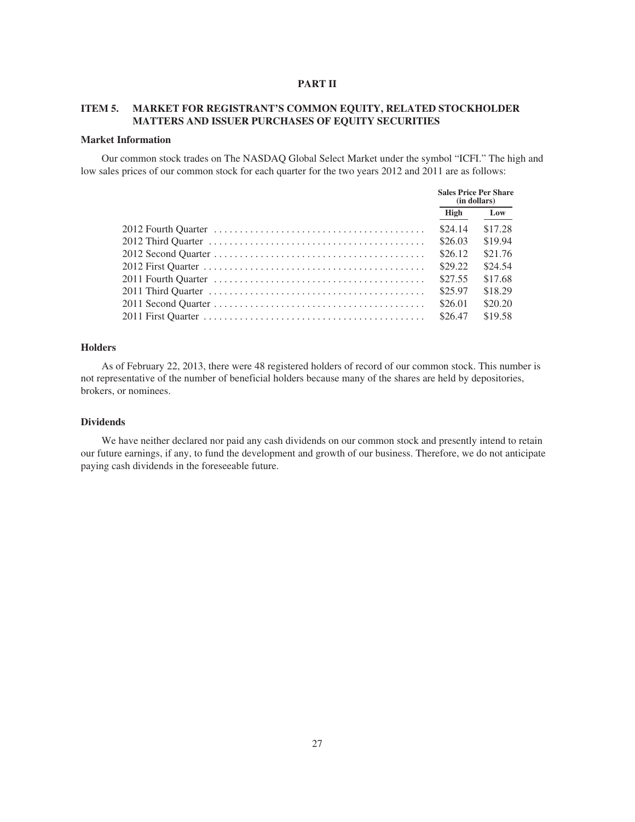## **PART II**

## **ITEM 5. MARKET FOR REGISTRANT'S COMMON EQUITY, RELATED STOCKHOLDER MATTERS AND ISSUER PURCHASES OF EQUITY SECURITIES**

## **Market Information**

Our common stock trades on The NASDAQ Global Select Market under the symbol "ICFI." The high and low sales prices of our common stock for each quarter for the two years 2012 and 2011 are as follows:

| <b>Sales Price Per Share</b><br>(in dollars) |         |
|----------------------------------------------|---------|
| High                                         | Low     |
| \$24.14                                      | \$17.28 |
| \$26.03                                      | \$19.94 |
| \$26.12                                      | \$21.76 |
| \$29.22                                      | \$24.54 |
| \$27.55                                      | \$17.68 |
| \$25.97                                      | \$18.29 |
| \$26.01                                      | \$20.20 |
| \$26.47                                      | \$19.58 |

## **Holders**

As of February 22, 2013, there were 48 registered holders of record of our common stock. This number is not representative of the number of beneficial holders because many of the shares are held by depositories, brokers, or nominees.

## **Dividends**

We have neither declared nor paid any cash dividends on our common stock and presently intend to retain our future earnings, if any, to fund the development and growth of our business. Therefore, we do not anticipate paying cash dividends in the foreseeable future.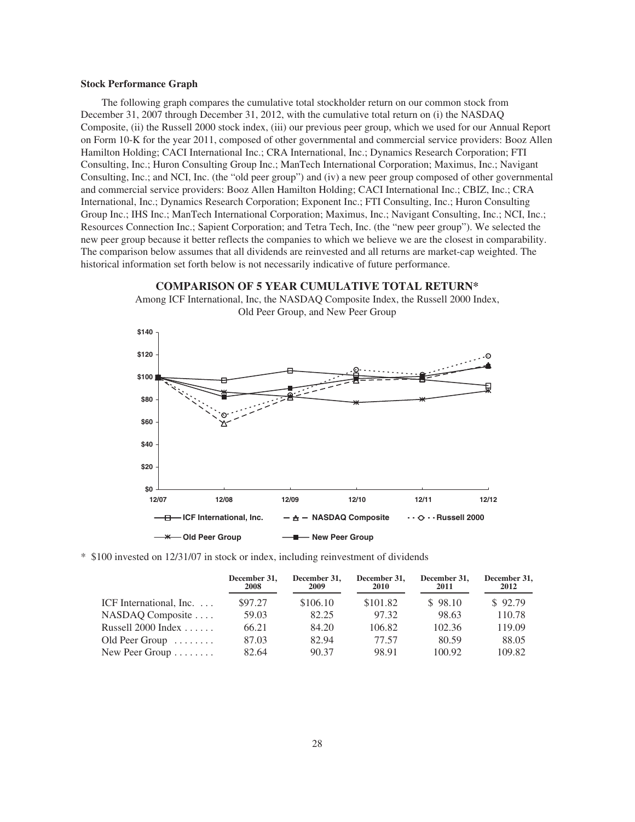## **Stock Performance Graph**

The following graph compares the cumulative total stockholder return on our common stock from December 31, 2007 through December 31, 2012, with the cumulative total return on (i) the NASDAQ Composite, (ii) the Russell 2000 stock index, (iii) our previous peer group, which we used for our Annual Report on Form 10-K for the year 2011, composed of other governmental and commercial service providers: Booz Allen Hamilton Holding; CACI International Inc.; CRA International, Inc.; Dynamics Research Corporation; FTI Consulting, Inc.; Huron Consulting Group Inc.; ManTech International Corporation; Maximus, Inc.; Navigant Consulting, Inc.; and NCI, Inc. (the "old peer group") and (iv) a new peer group composed of other governmental and commercial service providers: Booz Allen Hamilton Holding; CACI International Inc.; CBIZ, Inc.; CRA International, Inc.; Dynamics Research Corporation; Exponent Inc.; FTI Consulting, Inc.; Huron Consulting Group Inc.; IHS Inc.; ManTech International Corporation; Maximus, Inc.; Navigant Consulting, Inc.; NCI, Inc.; Resources Connection Inc.; Sapient Corporation; and Tetra Tech, Inc. (the "new peer group"). We selected the new peer group because it better reflects the companies to which we believe we are the closest in comparability. The comparison below assumes that all dividends are reinvested and all returns are market-cap weighted. The historical information set forth below is not necessarily indicative of future performance.



**COMPARISON OF 5 YEAR CUMULATIVE TOTAL RETURN\***

Among ICF International, Inc, the NASDAQ Composite Index, the Russell 2000 Index, Old Peer Group, and New Peer Group

\* \$100 invested on 12/31/07 in stock or index, including reinvestment of dividends

|                              | December 31.<br>2008 | December 31.<br>2009 | December 31.<br>2010 | December 31.<br>2011 | December 31,<br>2012 |
|------------------------------|----------------------|----------------------|----------------------|----------------------|----------------------|
| ICF International, Inc.      | \$97.27              | \$106.10             | \$101.82             | \$98.10              | \$92.79              |
| NASDAQ Composite             | 59.03                | 82.25                | 97.32                | 98.63                | 110.78               |
| Russell $2000$ Index         | 66.21                | 84.20                | 106.82               | 102.36               | 119.09               |
| Old Peer Group $\dots \dots$ | 87.03                | 82.94                | 77.57                | 80.59                | 88.05                |
| New Peer Group $\dots \dots$ | 82.64                | 90.37                | 98.91                | 100.92               | 109.82               |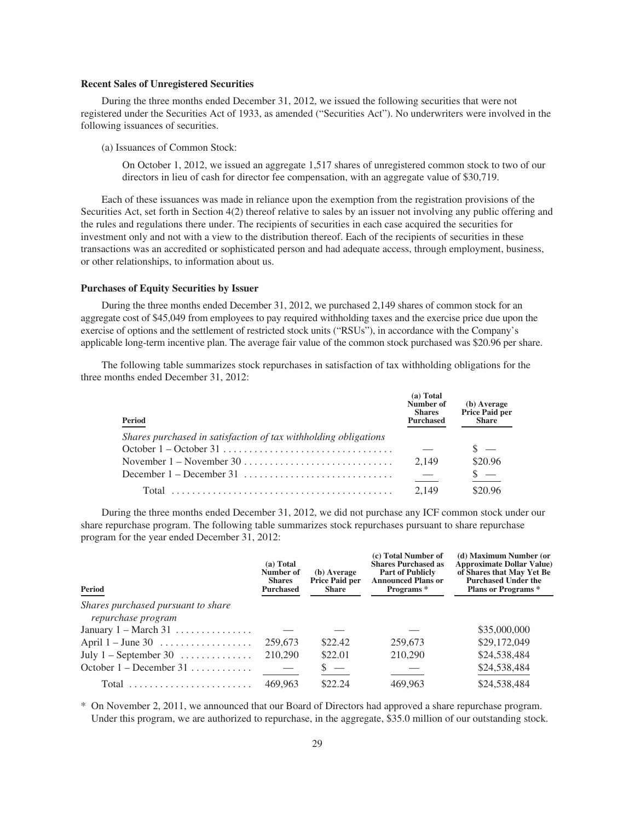## **Recent Sales of Unregistered Securities**

During the three months ended December 31, 2012, we issued the following securities that were not registered under the Securities Act of 1933, as amended ("Securities Act"). No underwriters were involved in the following issuances of securities.

(a) Issuances of Common Stock:

On October 1, 2012, we issued an aggregate 1,517 shares of unregistered common stock to two of our directors in lieu of cash for director fee compensation, with an aggregate value of \$30,719.

Each of these issuances was made in reliance upon the exemption from the registration provisions of the Securities Act, set forth in Section 4(2) thereof relative to sales by an issuer not involving any public offering and the rules and regulations there under. The recipients of securities in each case acquired the securities for investment only and not with a view to the distribution thereof. Each of the recipients of securities in these transactions was an accredited or sophisticated person and had adequate access, through employment, business, or other relationships, to information about us.

## **Purchases of Equity Securities by Issuer**

During the three months ended December 31, 2012, we purchased 2,149 shares of common stock for an aggregate cost of \$45,049 from employees to pay required withholding taxes and the exercise price due upon the exercise of options and the settlement of restricted stock units ("RSUs"), in accordance with the Company's applicable long-term incentive plan. The average fair value of the common stock purchased was \$20.96 per share.

The following table summarizes stock repurchases in satisfaction of tax withholding obligations for the three months ended December 31, 2012:

| Period                                                                           | (a) Total<br>Number of<br><b>Shares</b><br><b>Purchased</b> | (b) Average<br><b>Price Paid per</b><br><b>Share</b> |
|----------------------------------------------------------------------------------|-------------------------------------------------------------|------------------------------------------------------|
| Shares purchased in satisfaction of tax withholding obligations                  |                                                             |                                                      |
| $October 1 - October 31$                                                         |                                                             |                                                      |
| November 1 – November 30 $\dots$ $\dots$ $\dots$ $\dots$ $\dots$ $\dots$ $\dots$ | 2.149                                                       | \$20.96                                              |
|                                                                                  |                                                             | $s -$                                                |
| Total                                                                            | 2.149                                                       | \$2096                                               |

During the three months ended December 31, 2012, we did not purchase any ICF common stock under our share repurchase program. The following table summarizes stock repurchases pursuant to share repurchase program for the year ended December 31, 2012:

**(c) Total Number of**

| (a) Total<br>Number of<br><b>Shares</b><br><b>Purchased</b> | (b) Average<br><b>Price Paid per</b><br>Share                               | (c) Total Number of<br><b>Shares Purchased as</b><br><b>Part of Publicly</b><br><b>Announced Plans or</b><br>Programs <sup>*</sup> | (d) Maximum Number (or<br><b>Approximate Dollar Value)</b><br>of Shares that May Yet Be<br><b>Purchased Under the</b><br><b>Plans or Programs</b> * |
|-------------------------------------------------------------|-----------------------------------------------------------------------------|------------------------------------------------------------------------------------------------------------------------------------|-----------------------------------------------------------------------------------------------------------------------------------------------------|
|                                                             |                                                                             |                                                                                                                                    |                                                                                                                                                     |
|                                                             |                                                                             |                                                                                                                                    |                                                                                                                                                     |
|                                                             |                                                                             |                                                                                                                                    | \$35,000,000                                                                                                                                        |
| 259,673                                                     | \$22.42                                                                     | 259,673                                                                                                                            | \$29,172,049                                                                                                                                        |
| 210,290                                                     | \$22.01                                                                     | 210,290                                                                                                                            | \$24,538,484                                                                                                                                        |
|                                                             |                                                                             |                                                                                                                                    | \$24,538,484                                                                                                                                        |
| 469.963                                                     | \$22.24                                                                     | 469.963                                                                                                                            | \$24,538,484                                                                                                                                        |
|                                                             | January $1 - March 31$<br>July $1 -$ September 30 $\dots \dots \dots \dots$ |                                                                                                                                    |                                                                                                                                                     |

\* On November 2, 2011, we announced that our Board of Directors had approved a share repurchase program. Under this program, we are authorized to repurchase, in the aggregate, \$35.0 million of our outstanding stock.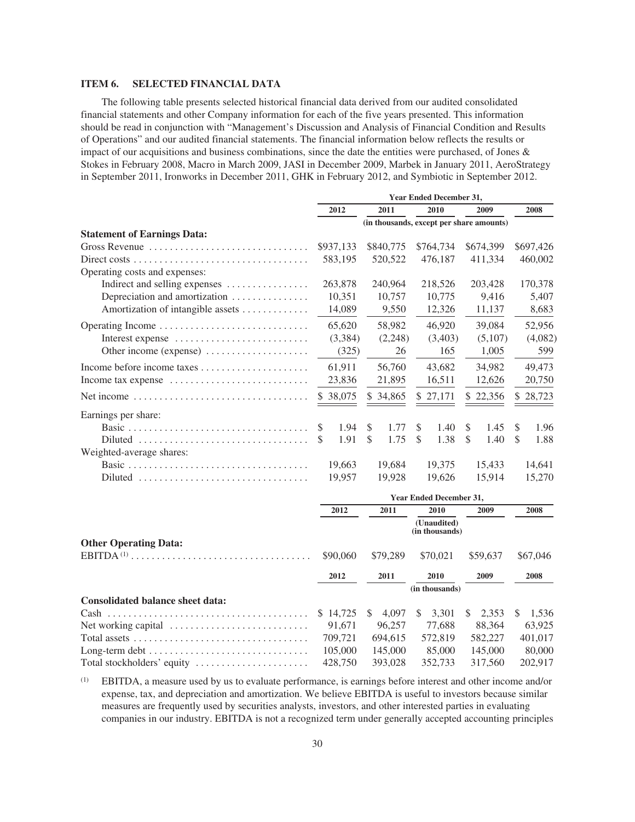## **ITEM 6. SELECTED FINANCIAL DATA**

The following table presents selected historical financial data derived from our audited consolidated financial statements and other Company information for each of the five years presented. This information should be read in conjunction with "Management's Discussion and Analysis of Financial Condition and Results of Operations" and our audited financial statements. The financial information below reflects the results or impact of our acquisitions and business combinations, since the date the entities were purchased, of Jones & Stokes in February 2008, Macro in March 2009, JASI in December 2009, Marbek in January 2011, AeroStrategy in September 2011, Ironworks in December 2011, GHK in February 2012, and Symbiotic in September 2012.

|                                                                             | <b>Year Ended December 31,</b>           |             |                                |             |             |
|-----------------------------------------------------------------------------|------------------------------------------|-------------|--------------------------------|-------------|-------------|
|                                                                             | 2012                                     | 2011        | 2010                           | 2009        | 2008        |
|                                                                             | (in thousands, except per share amounts) |             |                                |             |             |
| <b>Statement of Earnings Data:</b>                                          |                                          |             |                                |             |             |
| Gross Revenue                                                               | \$937,133                                | \$840,775   | \$764,734                      | \$674,399   | \$697,426   |
|                                                                             | 583,195                                  | 520,522     | 476,187                        | 411,334     | 460,002     |
| Operating costs and expenses:                                               |                                          |             |                                |             |             |
| Indirect and selling expenses                                               | 263,878                                  | 240,964     | 218,526                        | 203,428     | 170,378     |
| Depreciation and amortization                                               | 10,351                                   | 10,757      | 10,775                         | 9,416       | 5,407       |
| Amortization of intangible assets                                           | 14,089                                   | 9,550       | 12,326                         | 11,137      | 8,683       |
| Operating Income                                                            | 65,620                                   | 58,982      | 46,920                         | 39,084      | 52,956      |
| Interest expense                                                            | (3,384)                                  | (2,248)     | (3,403)                        | (5,107)     | (4,082)     |
| Other income (expense)                                                      | (325)                                    | 26          | 165                            | 1,005       | 599         |
|                                                                             | 61,911                                   | 56,760      | 43,682                         | 34,982      | 49,473      |
| Income tax expense                                                          | 23,836                                   | 21,895      | 16,511                         | 12,626      | 20,750      |
| Net income                                                                  | \$38,075                                 | \$34,865    | \$27,171                       | \$22,356    | \$28,723    |
| Earnings per share:                                                         |                                          |             |                                |             |             |
|                                                                             | \$.<br>1.94                              | \$<br>1.77  | S<br>1.40                      | \$<br>1.45  | \$<br>1.96  |
| Diluted                                                                     | \$<br>1.91                               | \$<br>1.75  | \$<br>1.38                     | \$<br>1.40  | \$<br>1.88  |
| Weighted-average shares:                                                    |                                          |             |                                |             |             |
|                                                                             | 19,663                                   | 19,684      | 19,375                         | 15,433      | 14,641      |
| $Diluted \dots \dots \dots \dots \dots \dots \dots \dots \dots \dots \dots$ | 19,957                                   | 19,928      | 19,626                         | 15,914      | 15,270      |
|                                                                             |                                          |             | <b>Year Ended December 31,</b> |             |             |
|                                                                             | 2012                                     | 2011        | 2010                           | 2009        | 2008        |
|                                                                             |                                          |             | (Unaudited)<br>(in thousands)  |             |             |
| <b>Other Operating Data:</b>                                                |                                          |             |                                |             |             |
| $EBITDA^{(1)}$                                                              | \$90,060                                 | \$79,289    | \$70,021                       | \$59,637    | \$67,046    |
|                                                                             | 2012                                     | 2011        | 2010                           | 2009        | 2008        |
|                                                                             |                                          |             | (in thousands)                 |             |             |
| <b>Consolidated balance sheet data:</b>                                     |                                          |             |                                |             |             |
|                                                                             | \$14,725                                 | \$<br>4,097 | \$<br>3,301                    | \$<br>2,353 | \$<br>1,536 |
| Net working capital                                                         | 91,671                                   | 96,257      | 77,688                         | 88,364      | 63,925      |
|                                                                             | 709,721                                  | 694,615     | 572,819                        | 582,227     | 401,017     |
|                                                                             | 105,000                                  | 145,000     | 85,000                         | 145,000     | 80,000      |

(1) EBITDA, a measure used by us to evaluate performance, is earnings before interest and other income and/or expense, tax, and depreciation and amortization. We believe EBITDA is useful to investors because similar measures are frequently used by securities analysts, investors, and other interested parties in evaluating companies in our industry. EBITDA is not a recognized term under generally accepted accounting principles

Total stockholders' equity ...................... 428,750 393,028 352,733 317,560 202,917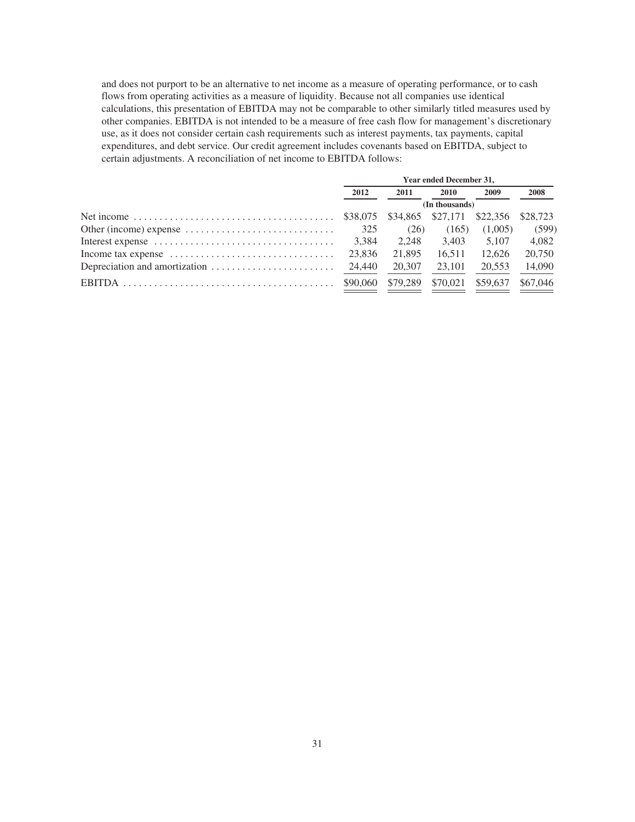and does not purport to be an alternative to net income as a measure of operating performance, or to cash flows from operating activities as a measure of liquidity. Because not all companies use identical calculations, this presentation of EBITDA may not be comparable to other similarly titled measures used by other companies. EBITDA is not intended to be a measure of free cash flow for management's discretionary use, as it does not consider certain cash requirements such as interest payments, tax payments, capital expenditures, and debt service. Our credit agreement includes covenants based on EBITDA, subject to certain adjustments. A reconciliation of net income to EBITDA follows:

|                                                                                         | Year ended December 31, |          |                                     |          |          |
|-----------------------------------------------------------------------------------------|-------------------------|----------|-------------------------------------|----------|----------|
|                                                                                         | 2012                    | 2011     | 2010                                | 2009     | 2008     |
|                                                                                         |                         |          | (In thousands)                      |          |          |
| Net income $\dots \dots \dots \dots \dots \dots \dots \dots \dots \dots \dots$ \$38,075 |                         |          | \$34,865 \$27,171 \$22,356 \$28,723 |          |          |
|                                                                                         | 325                     | (26)     | (165)                               | (1.005)  | (599)    |
|                                                                                         | 3.384                   | 2.248    | 3.403                               | 5.107    | 4,082    |
| Income tax expense $\dots\dots\dots\dots\dots\dots\dots\dots\dots\dots\dots\dots\dots$  | 23,836                  | 21,895   | 16.511                              | 12.626   | 20,750   |
|                                                                                         | 24,440                  | 20,307   | 23.101                              | 20.553   | 14,090   |
|                                                                                         | \$90,060                | \$79,289 | \$70,021                            | \$59,637 | \$67,046 |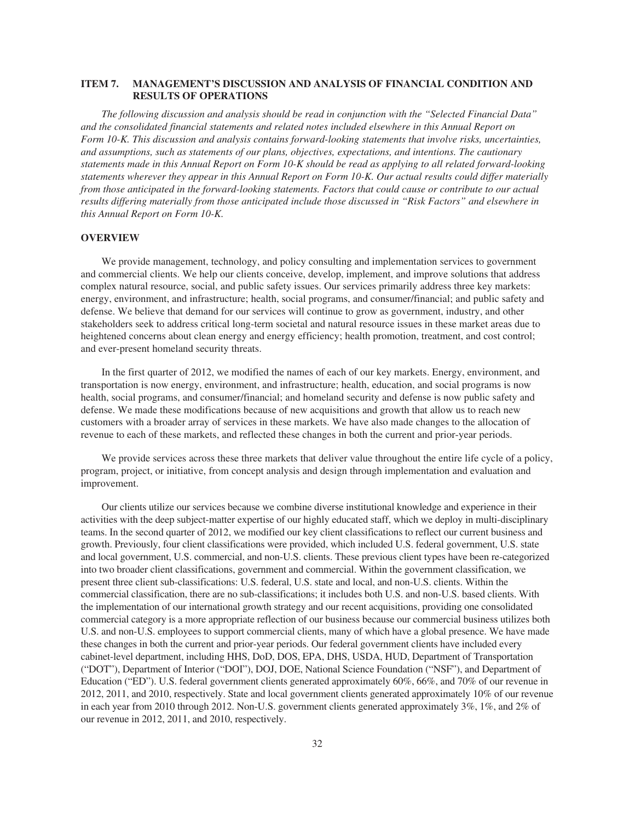## **ITEM 7. MANAGEMENT'S DISCUSSION AND ANALYSIS OF FINANCIAL CONDITION AND RESULTS OF OPERATIONS**

*The following discussion and analysis should be read in conjunction with the "Selected Financial Data" and the consolidated financial statements and related notes included elsewhere in this Annual Report on Form 10-K. This discussion and analysis contains forward-looking statements that involve risks, uncertainties, and assumptions, such as statements of our plans, objectives, expectations, and intentions. The cautionary statements made in this Annual Report on Form 10-K should be read as applying to all related forward-looking statements wherever they appear in this Annual Report on Form 10-K. Our actual results could differ materially from those anticipated in the forward-looking statements. Factors that could cause or contribute to our actual results differing materially from those anticipated include those discussed in "Risk Factors" and elsewhere in this Annual Report on Form 10-K.*

## **OVERVIEW**

We provide management, technology, and policy consulting and implementation services to government and commercial clients. We help our clients conceive, develop, implement, and improve solutions that address complex natural resource, social, and public safety issues. Our services primarily address three key markets: energy, environment, and infrastructure; health, social programs, and consumer/financial; and public safety and defense. We believe that demand for our services will continue to grow as government, industry, and other stakeholders seek to address critical long-term societal and natural resource issues in these market areas due to heightened concerns about clean energy and energy efficiency; health promotion, treatment, and cost control; and ever-present homeland security threats.

In the first quarter of 2012, we modified the names of each of our key markets. Energy, environment, and transportation is now energy, environment, and infrastructure; health, education, and social programs is now health, social programs, and consumer/financial; and homeland security and defense is now public safety and defense. We made these modifications because of new acquisitions and growth that allow us to reach new customers with a broader array of services in these markets. We have also made changes to the allocation of revenue to each of these markets, and reflected these changes in both the current and prior-year periods.

We provide services across these three markets that deliver value throughout the entire life cycle of a policy, program, project, or initiative, from concept analysis and design through implementation and evaluation and improvement.

Our clients utilize our services because we combine diverse institutional knowledge and experience in their activities with the deep subject-matter expertise of our highly educated staff, which we deploy in multi-disciplinary teams. In the second quarter of 2012, we modified our key client classifications to reflect our current business and growth. Previously, four client classifications were provided, which included U.S. federal government, U.S. state and local government, U.S. commercial, and non-U.S. clients. These previous client types have been re-categorized into two broader client classifications, government and commercial. Within the government classification, we present three client sub-classifications: U.S. federal, U.S. state and local, and non-U.S. clients. Within the commercial classification, there are no sub-classifications; it includes both U.S. and non-U.S. based clients. With the implementation of our international growth strategy and our recent acquisitions, providing one consolidated commercial category is a more appropriate reflection of our business because our commercial business utilizes both U.S. and non-U.S. employees to support commercial clients, many of which have a global presence. We have made these changes in both the current and prior-year periods. Our federal government clients have included every cabinet-level department, including HHS, DoD, DOS, EPA, DHS, USDA, HUD, Department of Transportation ("DOT"), Department of Interior ("DOI"), DOJ, DOE, National Science Foundation ("NSF"), and Department of Education ("ED"). U.S. federal government clients generated approximately 60%, 66%, and 70% of our revenue in 2012, 2011, and 2010, respectively. State and local government clients generated approximately 10% of our revenue in each year from 2010 through 2012. Non-U.S. government clients generated approximately 3%, 1%, and 2% of our revenue in 2012, 2011, and 2010, respectively.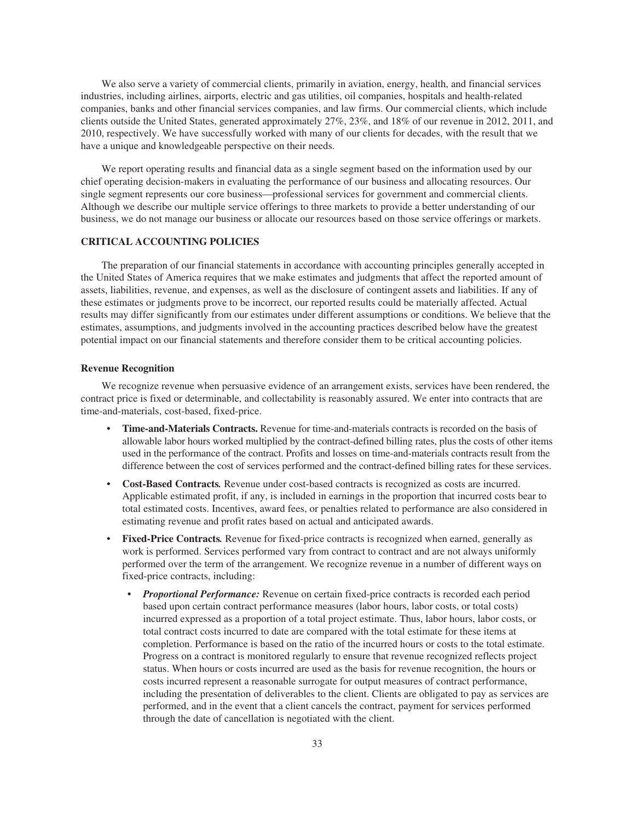We also serve a variety of commercial clients, primarily in aviation, energy, health, and financial services industries, including airlines, airports, electric and gas utilities, oil companies, hospitals and health-related companies, banks and other financial services companies, and law firms. Our commercial clients, which include clients outside the United States, generated approximately 27%, 23%, and 18% of our revenue in 2012, 2011, and 2010, respectively. We have successfully worked with many of our clients for decades, with the result that we have a unique and knowledgeable perspective on their needs.

We report operating results and financial data as a single segment based on the information used by our chief operating decision-makers in evaluating the performance of our business and allocating resources. Our single segment represents our core business—professional services for government and commercial clients. Although we describe our multiple service offerings to three markets to provide a better understanding of our business, we do not manage our business or allocate our resources based on those service offerings or markets.

## **CRITICAL ACCOUNTING POLICIES**

The preparation of our financial statements in accordance with accounting principles generally accepted in the United States of America requires that we make estimates and judgments that affect the reported amount of assets, liabilities, revenue, and expenses, as well as the disclosure of contingent assets and liabilities. If any of these estimates or judgments prove to be incorrect, our reported results could be materially affected. Actual results may differ significantly from our estimates under different assumptions or conditions. We believe that the estimates, assumptions, and judgments involved in the accounting practices described below have the greatest potential impact on our financial statements and therefore consider them to be critical accounting policies.

#### **Revenue Recognition**

We recognize revenue when persuasive evidence of an arrangement exists, services have been rendered, the contract price is fixed or determinable, and collectability is reasonably assured. We enter into contracts that are time-and-materials, cost-based, fixed-price.

- **Time-and-Materials Contracts.** Revenue for time-and-materials contracts is recorded on the basis of allowable labor hours worked multiplied by the contract-defined billing rates, plus the costs of other items used in the performance of the contract. Profits and losses on time-and-materials contracts result from the difference between the cost of services performed and the contract-defined billing rates for these services.
- **Cost-Based Contracts***.* Revenue under cost-based contracts is recognized as costs are incurred. Applicable estimated profit, if any, is included in earnings in the proportion that incurred costs bear to total estimated costs. Incentives, award fees, or penalties related to performance are also considered in estimating revenue and profit rates based on actual and anticipated awards.
- **Fixed-Price Contracts***.* Revenue for fixed-price contracts is recognized when earned, generally as work is performed. Services performed vary from contract to contract and are not always uniformly performed over the term of the arrangement. We recognize revenue in a number of different ways on fixed-price contracts, including:
	- *Proportional Performance:* Revenue on certain fixed-price contracts is recorded each period based upon certain contract performance measures (labor hours, labor costs, or total costs) incurred expressed as a proportion of a total project estimate. Thus, labor hours, labor costs, or total contract costs incurred to date are compared with the total estimate for these items at completion. Performance is based on the ratio of the incurred hours or costs to the total estimate. Progress on a contract is monitored regularly to ensure that revenue recognized reflects project status. When hours or costs incurred are used as the basis for revenue recognition, the hours or costs incurred represent a reasonable surrogate for output measures of contract performance, including the presentation of deliverables to the client. Clients are obligated to pay as services are performed, and in the event that a client cancels the contract, payment for services performed through the date of cancellation is negotiated with the client.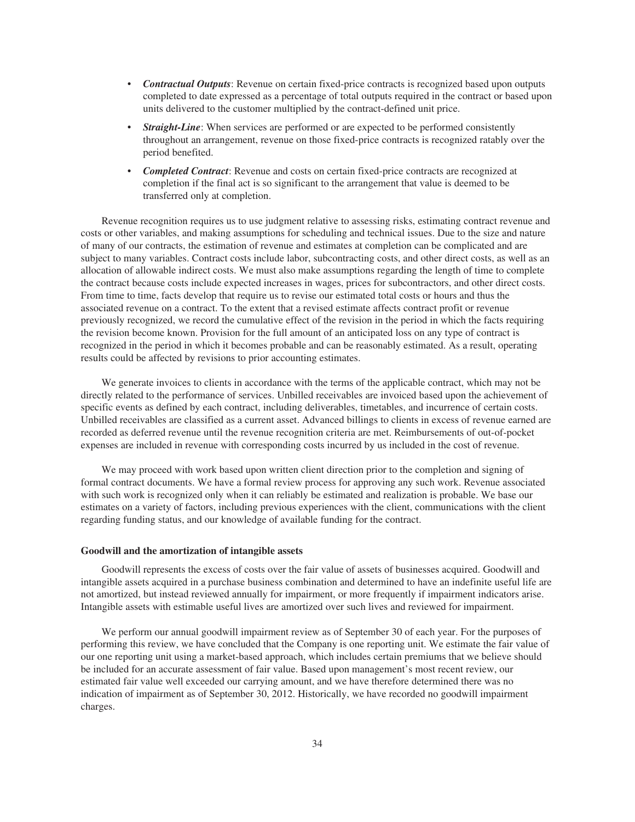- *Contractual Outputs*: Revenue on certain fixed-price contracts is recognized based upon outputs completed to date expressed as a percentage of total outputs required in the contract or based upon units delivered to the customer multiplied by the contract-defined unit price.
- *Straight-Line*: When services are performed or are expected to be performed consistently throughout an arrangement, revenue on those fixed-price contracts is recognized ratably over the period benefited.
- *Completed Contract*: Revenue and costs on certain fixed-price contracts are recognized at completion if the final act is so significant to the arrangement that value is deemed to be transferred only at completion.

Revenue recognition requires us to use judgment relative to assessing risks, estimating contract revenue and costs or other variables, and making assumptions for scheduling and technical issues. Due to the size and nature of many of our contracts, the estimation of revenue and estimates at completion can be complicated and are subject to many variables. Contract costs include labor, subcontracting costs, and other direct costs, as well as an allocation of allowable indirect costs. We must also make assumptions regarding the length of time to complete the contract because costs include expected increases in wages, prices for subcontractors, and other direct costs. From time to time, facts develop that require us to revise our estimated total costs or hours and thus the associated revenue on a contract. To the extent that a revised estimate affects contract profit or revenue previously recognized, we record the cumulative effect of the revision in the period in which the facts requiring the revision become known. Provision for the full amount of an anticipated loss on any type of contract is recognized in the period in which it becomes probable and can be reasonably estimated. As a result, operating results could be affected by revisions to prior accounting estimates.

We generate invoices to clients in accordance with the terms of the applicable contract, which may not be directly related to the performance of services. Unbilled receivables are invoiced based upon the achievement of specific events as defined by each contract, including deliverables, timetables, and incurrence of certain costs. Unbilled receivables are classified as a current asset. Advanced billings to clients in excess of revenue earned are recorded as deferred revenue until the revenue recognition criteria are met. Reimbursements of out-of-pocket expenses are included in revenue with corresponding costs incurred by us included in the cost of revenue.

We may proceed with work based upon written client direction prior to the completion and signing of formal contract documents. We have a formal review process for approving any such work. Revenue associated with such work is recognized only when it can reliably be estimated and realization is probable. We base our estimates on a variety of factors, including previous experiences with the client, communications with the client regarding funding status, and our knowledge of available funding for the contract.

### **Goodwill and the amortization of intangible assets**

Goodwill represents the excess of costs over the fair value of assets of businesses acquired. Goodwill and intangible assets acquired in a purchase business combination and determined to have an indefinite useful life are not amortized, but instead reviewed annually for impairment, or more frequently if impairment indicators arise. Intangible assets with estimable useful lives are amortized over such lives and reviewed for impairment.

We perform our annual goodwill impairment review as of September 30 of each year. For the purposes of performing this review, we have concluded that the Company is one reporting unit. We estimate the fair value of our one reporting unit using a market-based approach, which includes certain premiums that we believe should be included for an accurate assessment of fair value. Based upon management's most recent review, our estimated fair value well exceeded our carrying amount, and we have therefore determined there was no indication of impairment as of September 30, 2012. Historically, we have recorded no goodwill impairment charges.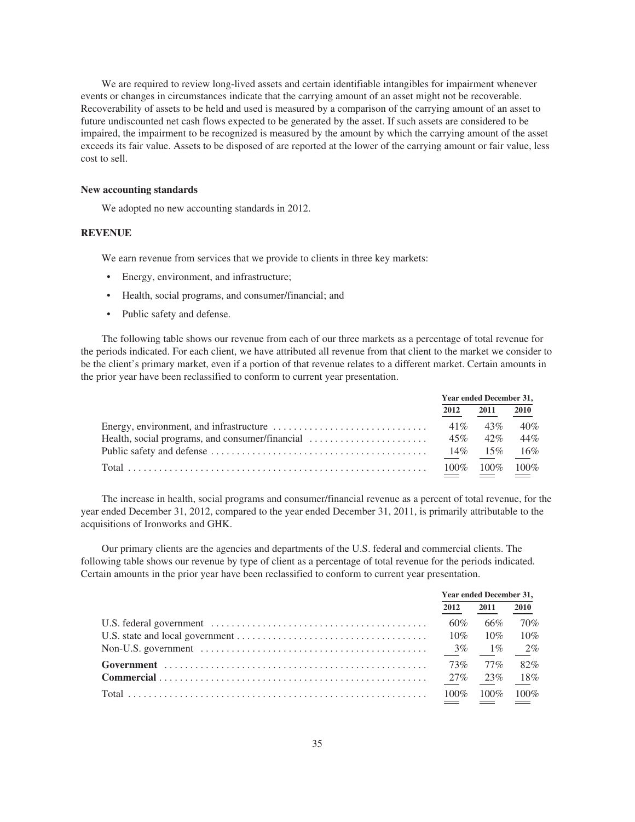We are required to review long-lived assets and certain identifiable intangibles for impairment whenever events or changes in circumstances indicate that the carrying amount of an asset might not be recoverable. Recoverability of assets to be held and used is measured by a comparison of the carrying amount of an asset to future undiscounted net cash flows expected to be generated by the asset. If such assets are considered to be impaired, the impairment to be recognized is measured by the amount by which the carrying amount of the asset exceeds its fair value. Assets to be disposed of are reported at the lower of the carrying amount or fair value, less cost to sell.

### **New accounting standards**

We adopted no new accounting standards in 2012.

## **REVENUE**

We earn revenue from services that we provide to clients in three key markets:

- Energy, environment, and infrastructure;
- Health, social programs, and consumer/financial; and
- Public safety and defense.

The following table shows our revenue from each of our three markets as a percentage of total revenue for the periods indicated. For each client, we have attributed all revenue from that client to the market we consider to be the client's primary market, even if a portion of that revenue relates to a different market. Certain amounts in the prior year have been reclassified to conform to current year presentation.

| Year ended December 31, |                         |             |  |
|-------------------------|-------------------------|-------------|--|
| 2012                    | 2011                    | <b>2010</b> |  |
|                         | $41\%$ $43\%$           | $40\%$      |  |
|                         |                         | 44%         |  |
|                         |                         |             |  |
|                         | $100\%$ $100\%$ $100\%$ |             |  |

The increase in health, social programs and consumer/financial revenue as a percent of total revenue, for the year ended December 31, 2012, compared to the year ended December 31, 2011, is primarily attributable to the acquisitions of Ironworks and GHK.

Our primary clients are the agencies and departments of the U.S. federal and commercial clients. The following table shows our revenue by type of client as a percentage of total revenue for the periods indicated. Certain amounts in the prior year have been reclassified to conform to current year presentation.

| Year ended December 31, |        |       |
|-------------------------|--------|-------|
| 2012                    | 2011   | 2010  |
| 60%                     | 66%    | 70%   |
| $10\%$                  | $10\%$ | 10%   |
|                         |        | $2\%$ |
|                         |        |       |
|                         |        |       |
| $100\%$ $100\%$ $100\%$ |        |       |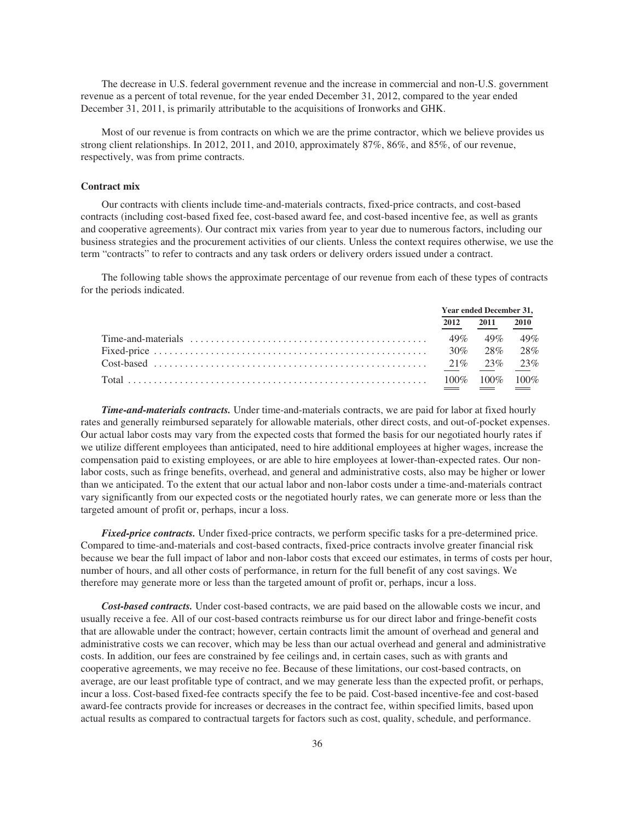The decrease in U.S. federal government revenue and the increase in commercial and non-U.S. government revenue as a percent of total revenue, for the year ended December 31, 2012, compared to the year ended December 31, 2011, is primarily attributable to the acquisitions of Ironworks and GHK.

Most of our revenue is from contracts on which we are the prime contractor, which we believe provides us strong client relationships. In 2012, 2011, and 2010, approximately 87%, 86%, and 85%, of our revenue, respectively, was from prime contracts.

#### **Contract mix**

Our contracts with clients include time-and-materials contracts, fixed-price contracts, and cost-based contracts (including cost-based fixed fee, cost-based award fee, and cost-based incentive fee, as well as grants and cooperative agreements). Our contract mix varies from year to year due to numerous factors, including our business strategies and the procurement activities of our clients. Unless the context requires otherwise, we use the term "contracts" to refer to contracts and any task orders or delivery orders issued under a contract.

The following table shows the approximate percentage of our revenue from each of these types of contracts for the periods indicated.

|                                                                                                                                                      | <b>Year ended December 31,</b> |                      |  |  |
|------------------------------------------------------------------------------------------------------------------------------------------------------|--------------------------------|----------------------|--|--|
|                                                                                                                                                      | 2012                           | 2011 2010            |  |  |
| Time-and-materials $\ldots$ , $\ldots$ , $\ldots$ , $\ldots$ , $\ldots$ , $\ldots$ , $\ldots$ , $\ldots$ , $\ldots$ , $\ldots$ , $\ldots$ , $\ldots$ |                                | $49\%$ $49\%$ $49\%$ |  |  |
|                                                                                                                                                      |                                | 30\% 28\% 28\%       |  |  |
|                                                                                                                                                      |                                |                      |  |  |
|                                                                                                                                                      |                                |                      |  |  |

*Time-and-materials contracts.* Under time-and-materials contracts, we are paid for labor at fixed hourly rates and generally reimbursed separately for allowable materials, other direct costs, and out-of-pocket expenses. Our actual labor costs may vary from the expected costs that formed the basis for our negotiated hourly rates if we utilize different employees than anticipated, need to hire additional employees at higher wages, increase the compensation paid to existing employees, or are able to hire employees at lower-than-expected rates. Our nonlabor costs, such as fringe benefits, overhead, and general and administrative costs, also may be higher or lower than we anticipated. To the extent that our actual labor and non-labor costs under a time-and-materials contract vary significantly from our expected costs or the negotiated hourly rates, we can generate more or less than the targeted amount of profit or, perhaps, incur a loss.

*Fixed-price contracts.* Under fixed-price contracts, we perform specific tasks for a pre-determined price. Compared to time-and-materials and cost-based contracts, fixed-price contracts involve greater financial risk because we bear the full impact of labor and non-labor costs that exceed our estimates, in terms of costs per hour, number of hours, and all other costs of performance, in return for the full benefit of any cost savings. We therefore may generate more or less than the targeted amount of profit or, perhaps, incur a loss.

*Cost-based contracts.* Under cost-based contracts, we are paid based on the allowable costs we incur, and usually receive a fee. All of our cost-based contracts reimburse us for our direct labor and fringe-benefit costs that are allowable under the contract; however, certain contracts limit the amount of overhead and general and administrative costs we can recover, which may be less than our actual overhead and general and administrative costs. In addition, our fees are constrained by fee ceilings and, in certain cases, such as with grants and cooperative agreements, we may receive no fee. Because of these limitations, our cost-based contracts, on average, are our least profitable type of contract, and we may generate less than the expected profit, or perhaps, incur a loss. Cost-based fixed-fee contracts specify the fee to be paid. Cost-based incentive-fee and cost-based award-fee contracts provide for increases or decreases in the contract fee, within specified limits, based upon actual results as compared to contractual targets for factors such as cost, quality, schedule, and performance.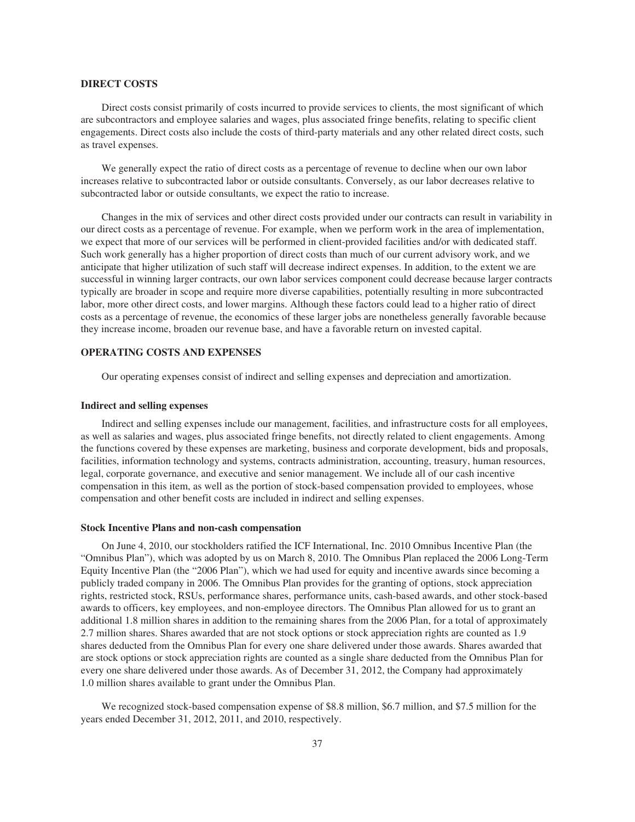### **DIRECT COSTS**

Direct costs consist primarily of costs incurred to provide services to clients, the most significant of which are subcontractors and employee salaries and wages, plus associated fringe benefits, relating to specific client engagements. Direct costs also include the costs of third-party materials and any other related direct costs, such as travel expenses.

We generally expect the ratio of direct costs as a percentage of revenue to decline when our own labor increases relative to subcontracted labor or outside consultants. Conversely, as our labor decreases relative to subcontracted labor or outside consultants, we expect the ratio to increase.

Changes in the mix of services and other direct costs provided under our contracts can result in variability in our direct costs as a percentage of revenue. For example, when we perform work in the area of implementation, we expect that more of our services will be performed in client-provided facilities and/or with dedicated staff. Such work generally has a higher proportion of direct costs than much of our current advisory work, and we anticipate that higher utilization of such staff will decrease indirect expenses. In addition, to the extent we are successful in winning larger contracts, our own labor services component could decrease because larger contracts typically are broader in scope and require more diverse capabilities, potentially resulting in more subcontracted labor, more other direct costs, and lower margins. Although these factors could lead to a higher ratio of direct costs as a percentage of revenue, the economics of these larger jobs are nonetheless generally favorable because they increase income, broaden our revenue base, and have a favorable return on invested capital.

### **OPERATING COSTS AND EXPENSES**

Our operating expenses consist of indirect and selling expenses and depreciation and amortization.

#### **Indirect and selling expenses**

Indirect and selling expenses include our management, facilities, and infrastructure costs for all employees, as well as salaries and wages, plus associated fringe benefits, not directly related to client engagements. Among the functions covered by these expenses are marketing, business and corporate development, bids and proposals, facilities, information technology and systems, contracts administration, accounting, treasury, human resources, legal, corporate governance, and executive and senior management. We include all of our cash incentive compensation in this item, as well as the portion of stock-based compensation provided to employees, whose compensation and other benefit costs are included in indirect and selling expenses.

#### **Stock Incentive Plans and non-cash compensation**

On June 4, 2010, our stockholders ratified the ICF International, Inc. 2010 Omnibus Incentive Plan (the "Omnibus Plan"), which was adopted by us on March 8, 2010. The Omnibus Plan replaced the 2006 Long-Term Equity Incentive Plan (the "2006 Plan"), which we had used for equity and incentive awards since becoming a publicly traded company in 2006. The Omnibus Plan provides for the granting of options, stock appreciation rights, restricted stock, RSUs, performance shares, performance units, cash-based awards, and other stock-based awards to officers, key employees, and non-employee directors. The Omnibus Plan allowed for us to grant an additional 1.8 million shares in addition to the remaining shares from the 2006 Plan, for a total of approximately 2.7 million shares. Shares awarded that are not stock options or stock appreciation rights are counted as 1.9 shares deducted from the Omnibus Plan for every one share delivered under those awards. Shares awarded that are stock options or stock appreciation rights are counted as a single share deducted from the Omnibus Plan for every one share delivered under those awards. As of December 31, 2012, the Company had approximately 1.0 million shares available to grant under the Omnibus Plan.

We recognized stock-based compensation expense of \$8.8 million, \$6.7 million, and \$7.5 million for the years ended December 31, 2012, 2011, and 2010, respectively.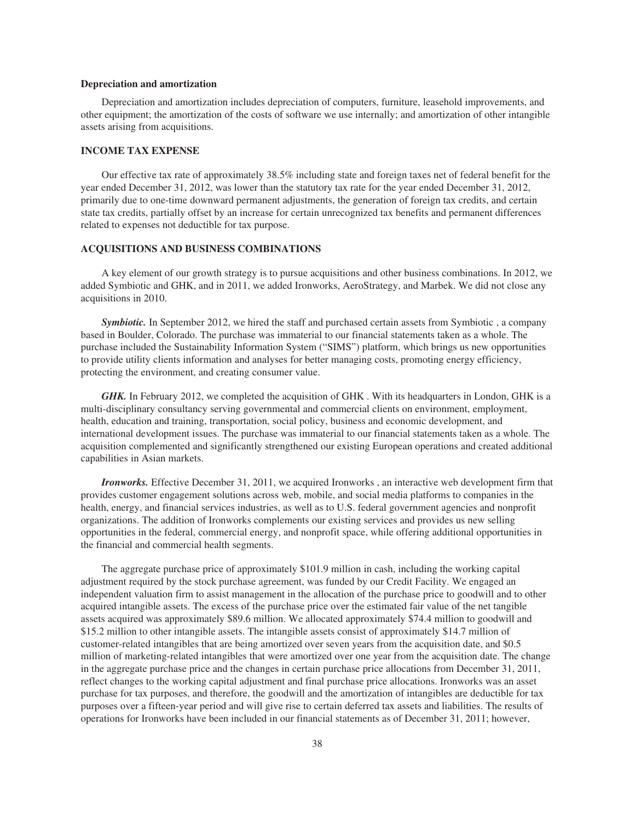### **Depreciation and amortization**

Depreciation and amortization includes depreciation of computers, furniture, leasehold improvements, and other equipment; the amortization of the costs of software we use internally; and amortization of other intangible assets arising from acquisitions.

### **INCOME TAX EXPENSE**

Our effective tax rate of approximately 38.5% including state and foreign taxes net of federal benefit for the year ended December 31, 2012, was lower than the statutory tax rate for the year ended December 31, 2012, primarily due to one-time downward permanent adjustments, the generation of foreign tax credits, and certain state tax credits, partially offset by an increase for certain unrecognized tax benefits and permanent differences related to expenses not deductible for tax purpose.

#### **ACQUISITIONS AND BUSINESS COMBINATIONS**

A key element of our growth strategy is to pursue acquisitions and other business combinations. In 2012, we added Symbiotic and GHK, and in 2011, we added Ironworks, AeroStrategy, and Marbek. We did not close any acquisitions in 2010.

*Symbiotic.* In September 2012, we hired the staff and purchased certain assets from Symbiotic , a company based in Boulder, Colorado. The purchase was immaterial to our financial statements taken as a whole. The purchase included the Sustainability Information System ("SIMS") platform, which brings us new opportunities to provide utility clients information and analyses for better managing costs, promoting energy efficiency, protecting the environment, and creating consumer value.

*GHK.* In February 2012, we completed the acquisition of GHK. With its headquarters in London, GHK is a multi-disciplinary consultancy serving governmental and commercial clients on environment, employment, health, education and training, transportation, social policy, business and economic development, and international development issues. The purchase was immaterial to our financial statements taken as a whole. The acquisition complemented and significantly strengthened our existing European operations and created additional capabilities in Asian markets.

*Ironworks.* Effective December 31, 2011, we acquired Ironworks , an interactive web development firm that provides customer engagement solutions across web, mobile, and social media platforms to companies in the health, energy, and financial services industries, as well as to U.S. federal government agencies and nonprofit organizations. The addition of Ironworks complements our existing services and provides us new selling opportunities in the federal, commercial energy, and nonprofit space, while offering additional opportunities in the financial and commercial health segments.

The aggregate purchase price of approximately \$101.9 million in cash, including the working capital adjustment required by the stock purchase agreement, was funded by our Credit Facility. We engaged an independent valuation firm to assist management in the allocation of the purchase price to goodwill and to other acquired intangible assets. The excess of the purchase price over the estimated fair value of the net tangible assets acquired was approximately \$89.6 million. We allocated approximately \$74.4 million to goodwill and \$15.2 million to other intangible assets. The intangible assets consist of approximately \$14.7 million of customer-related intangibles that are being amortized over seven years from the acquisition date, and \$0.5 million of marketing-related intangibles that were amortized over one year from the acquisition date. The change in the aggregate purchase price and the changes in certain purchase price allocations from December 31, 2011, reflect changes to the working capital adjustment and final purchase price allocations. Ironworks was an asset purchase for tax purposes, and therefore, the goodwill and the amortization of intangibles are deductible for tax purposes over a fifteen-year period and will give rise to certain deferred tax assets and liabilities. The results of operations for Ironworks have been included in our financial statements as of December 31, 2011; however,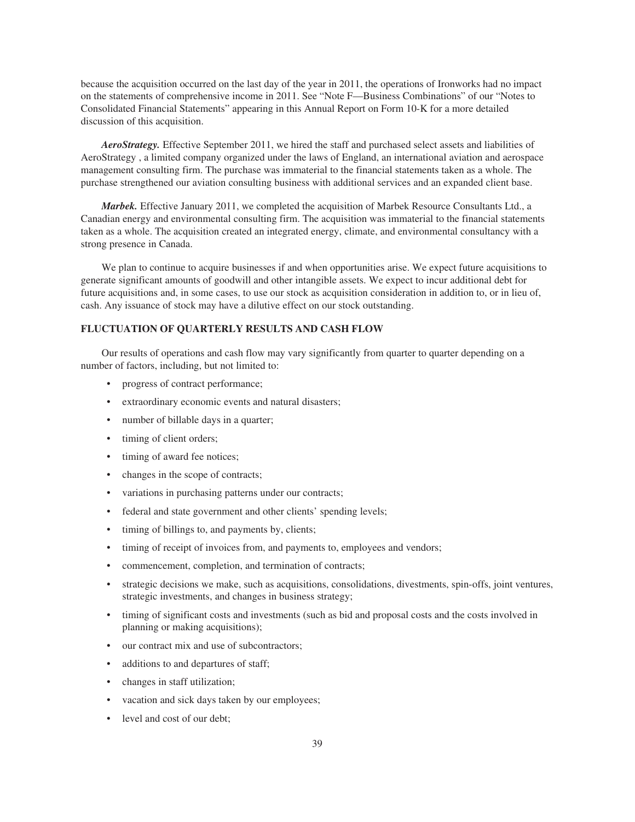because the acquisition occurred on the last day of the year in 2011, the operations of Ironworks had no impact on the statements of comprehensive income in 2011. See "Note F—Business Combinations" of our "Notes to Consolidated Financial Statements" appearing in this Annual Report on Form 10-K for a more detailed discussion of this acquisition.

*AeroStrategy.* Effective September 2011, we hired the staff and purchased select assets and liabilities of AeroStrategy , a limited company organized under the laws of England, an international aviation and aerospace management consulting firm. The purchase was immaterial to the financial statements taken as a whole. The purchase strengthened our aviation consulting business with additional services and an expanded client base.

*Marbek.* Effective January 2011, we completed the acquisition of Marbek Resource Consultants Ltd., a Canadian energy and environmental consulting firm. The acquisition was immaterial to the financial statements taken as a whole. The acquisition created an integrated energy, climate, and environmental consultancy with a strong presence in Canada.

We plan to continue to acquire businesses if and when opportunities arise. We expect future acquisitions to generate significant amounts of goodwill and other intangible assets. We expect to incur additional debt for future acquisitions and, in some cases, to use our stock as acquisition consideration in addition to, or in lieu of, cash. Any issuance of stock may have a dilutive effect on our stock outstanding.

## **FLUCTUATION OF QUARTERLY RESULTS AND CASH FLOW**

Our results of operations and cash flow may vary significantly from quarter to quarter depending on a number of factors, including, but not limited to:

- progress of contract performance;
- extraordinary economic events and natural disasters;
- number of billable days in a quarter;
- timing of client orders;
- timing of award fee notices;
- changes in the scope of contracts;
- variations in purchasing patterns under our contracts;
- federal and state government and other clients' spending levels;
- timing of billings to, and payments by, clients;
- timing of receipt of invoices from, and payments to, employees and vendors;
- commencement, completion, and termination of contracts;
- strategic decisions we make, such as acquisitions, consolidations, divestments, spin-offs, joint ventures, strategic investments, and changes in business strategy;
- timing of significant costs and investments (such as bid and proposal costs and the costs involved in planning or making acquisitions);
- our contract mix and use of subcontractors;
- additions to and departures of staff;
- changes in staff utilization;
- vacation and sick days taken by our employees;
- level and cost of our debt;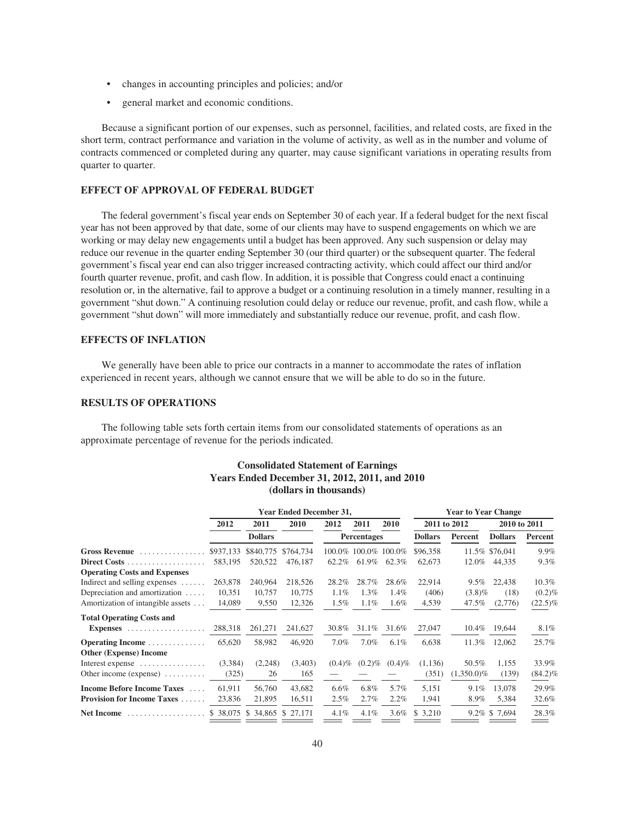- changes in accounting principles and policies; and/or
- general market and economic conditions.

Because a significant portion of our expenses, such as personnel, facilities, and related costs, are fixed in the short term, contract performance and variation in the volume of activity, as well as in the number and volume of contracts commenced or completed during any quarter, may cause significant variations in operating results from quarter to quarter.

## **EFFECT OF APPROVAL OF FEDERAL BUDGET**

The federal government's fiscal year ends on September 30 of each year. If a federal budget for the next fiscal year has not been approved by that date, some of our clients may have to suspend engagements on which we are working or may delay new engagements until a budget has been approved. Any such suspension or delay may reduce our revenue in the quarter ending September 30 (our third quarter) or the subsequent quarter. The federal government's fiscal year end can also trigger increased contracting activity, which could affect our third and/or fourth quarter revenue, profit, and cash flow. In addition, it is possible that Congress could enact a continuing resolution or, in the alternative, fail to approve a budget or a continuing resolution in a timely manner, resulting in a government "shut down." A continuing resolution could delay or reduce our revenue, profit, and cash flow, while a government "shut down" will more immediately and substantially reduce our revenue, profit, and cash flow.

### **EFFECTS OF INFLATION**

We generally have been able to price our contracts in a manner to accommodate the rates of inflation experienced in recent years, although we cannot ensure that we will be able to do so in the future.

### **RESULTS OF OPERATIONS**

The following table sets forth certain items from our consolidated statements of operations as an approximate percentage of revenue for the periods indicated.

## **Consolidated Statement of Earnings Years Ended December 31, 2012, 2011, and 2010 (dollars in thousands)**

|                                              |           | Year Ended December 31,       |                     |           |                    |                      | <b>Year to Year Change</b> |               |                |            |
|----------------------------------------------|-----------|-------------------------------|---------------------|-----------|--------------------|----------------------|----------------------------|---------------|----------------|------------|
|                                              | 2012      | 2010<br>2012<br>2011<br>2011  |                     | 2010      | 2011 to 2012       |                      | 2010 to 2011               |               |                |            |
|                                              |           | <b>Dollars</b>                |                     |           | <b>Percentages</b> |                      | <b>Dollars</b>             | Percent       | <b>Dollars</b> | Percent    |
| Gross Revenue                                | \$937,133 |                               | \$840,775 \$764,734 |           |                    | 100.0% 100.0% 100.0% | \$96,358                   |               | 11.5% \$76,041 | 9.9%       |
|                                              | 583,195   | 520,522                       | 476,187             | 62.2%     | 61.9%              | 62.3%                | 62,673                     | 12.0%         | 44,335         | 9.3%       |
| <b>Operating Costs and Expenses</b>          |           |                               |                     |           |                    |                      |                            |               |                |            |
| Indirect and selling expenses                | 263,878   | 240,964                       | 218,526             | 28.2%     | 28.7%              | 28.6%                | 22,914                     | $9.5\%$       | 22,438         | 10.3%      |
| Depreciation and amortization $\dots$        | 10,351    | 10,757                        | 10,775              | 1.1%      | 1.3%               | 1.4%                 | (406)                      | $(3.8)\%$     | (18)           | $(0.2)\%$  |
| Amortization of intangible assets            | 14,089    | 9,550                         | 12,326              | $1.5\%$   | $1.1\%$            | $1.6\%$              | 4,539                      | 47.5%         | (2,776)        | $(22.5)\%$ |
| <b>Total Operating Costs and</b>             |           |                               |                     |           |                    |                      |                            |               |                |            |
|                                              | 288,318   | 261,271                       | 241,627             | 30.8%     | $31.1\%$           | 31.6%                | 27,047                     | $10.4\%$      | 19,644         | 8.1%       |
| Operating Income                             | 65,620    | 58,982                        | 46,920              | 7.0%      | $7.0\%$            | $6.1\%$              | 6,638                      | 11.3%         | 12,062         | 25.7%      |
| <b>Other (Expense)</b> Income                |           |                               |                     |           |                    |                      |                            |               |                |            |
| Interest expense $\dots\dots\dots\dots\dots$ | (3,384)   | (2,248)                       | (3,403)             | $(0.4)\%$ | $(0.2)\%$          | $(0.4)\%$            | (1,136)                    | 50.5%         | 1,155          | 33.9%      |
| Other income (expense) $\dots\dots\dots$     | (325)     | 26                            | 165                 |           |                    |                      | (351)                      | $(1,350.0)\%$ | (139)          | $(84.2)\%$ |
| <b>Income Before Income Taxes</b><br>a sa sa | 61.911    | 56,760                        | 43,682              | $6.6\%$   | $6.8\%$            | 5.7%                 | 5,151                      | $9.1\%$       | 13,078         | 29.9%      |
| <b>Provision for Income Taxes </b>           | 23,836    | 21,895                        | 16,511              | $2.5\%$   | $2.7\%$            | 2.2%                 | 1,941                      | 8.9%          | 5,384          | 32.6%      |
| Net Income                                   |           | \$ 38,075 \$ 34,865 \$ 27,171 |                     | $4.1\%$   | $4.1\%$            | $3.6\%$              | \$3,210                    |               | 9.2% \$7.694   | 28.3%      |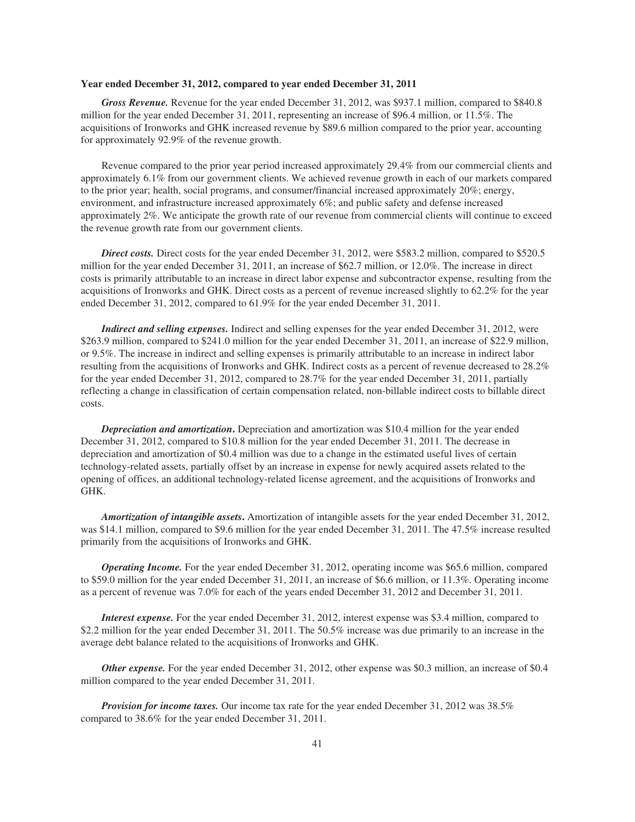### **Year ended December 31, 2012, compared to year ended December 31, 2011**

*Gross Revenue.* Revenue for the year ended December 31, 2012, was \$937.1 million, compared to \$840.8 million for the year ended December 31, 2011, representing an increase of \$96.4 million, or 11.5%. The acquisitions of Ironworks and GHK increased revenue by \$89.6 million compared to the prior year, accounting for approximately 92.9% of the revenue growth.

Revenue compared to the prior year period increased approximately 29.4% from our commercial clients and approximately 6.1% from our government clients. We achieved revenue growth in each of our markets compared to the prior year; health, social programs, and consumer/financial increased approximately 20%; energy, environment, and infrastructure increased approximately 6%; and public safety and defense increased approximately 2%. We anticipate the growth rate of our revenue from commercial clients will continue to exceed the revenue growth rate from our government clients.

*Direct costs.* Direct costs for the year ended December 31, 2012, were \$583.2 million, compared to \$520.5 million for the year ended December 31, 2011, an increase of \$62.7 million, or 12.0%. The increase in direct costs is primarily attributable to an increase in direct labor expense and subcontractor expense, resulting from the acquisitions of Ironworks and GHK. Direct costs as a percent of revenue increased slightly to 62.2% for the year ended December 31, 2012, compared to 61.9% for the year ended December 31, 2011.

*Indirect and selling expenses.* Indirect and selling expenses for the year ended December 31, 2012, were \$263.9 million, compared to \$241.0 million for the year ended December 31, 2011, an increase of \$22.9 million, or 9.5%. The increase in indirect and selling expenses is primarily attributable to an increase in indirect labor resulting from the acquisitions of Ironworks and GHK. Indirect costs as a percent of revenue decreased to 28.2% for the year ended December 31, 2012, compared to 28.7% for the year ended December 31, 2011, partially reflecting a change in classification of certain compensation related, non-billable indirect costs to billable direct costs.

*Depreciation and amortization***.** Depreciation and amortization was \$10.4 million for the year ended December 31, 2012, compared to \$10.8 million for the year ended December 31, 2011. The decrease in depreciation and amortization of \$0.4 million was due to a change in the estimated useful lives of certain technology-related assets, partially offset by an increase in expense for newly acquired assets related to the opening of offices, an additional technology-related license agreement, and the acquisitions of Ironworks and GHK.

*Amortization of intangible assets***.** Amortization of intangible assets for the year ended December 31, 2012, was \$14.1 million, compared to \$9.6 million for the year ended December 31, 2011. The 47.5% increase resulted primarily from the acquisitions of Ironworks and GHK.

*Operating Income.* For the year ended December 31, 2012, operating income was \$65.6 million, compared to \$59.0 million for the year ended December 31, 2011, an increase of \$6.6 million, or 11.3%. Operating income as a percent of revenue was 7.0% for each of the years ended December 31, 2012 and December 31, 2011.

*Interest expense.* For the year ended December 31, 2012, interest expense was \$3.4 million, compared to \$2.2 million for the year ended December 31, 2011. The 50.5% increase was due primarily to an increase in the average debt balance related to the acquisitions of Ironworks and GHK.

*Other expense.* For the year ended December 31, 2012, other expense was \$0.3 million, an increase of \$0.4 million compared to the year ended December 31, 2011.

*Provision for income taxes.* Our income tax rate for the year ended December 31, 2012 was 38.5% compared to 38.6% for the year ended December 31, 2011.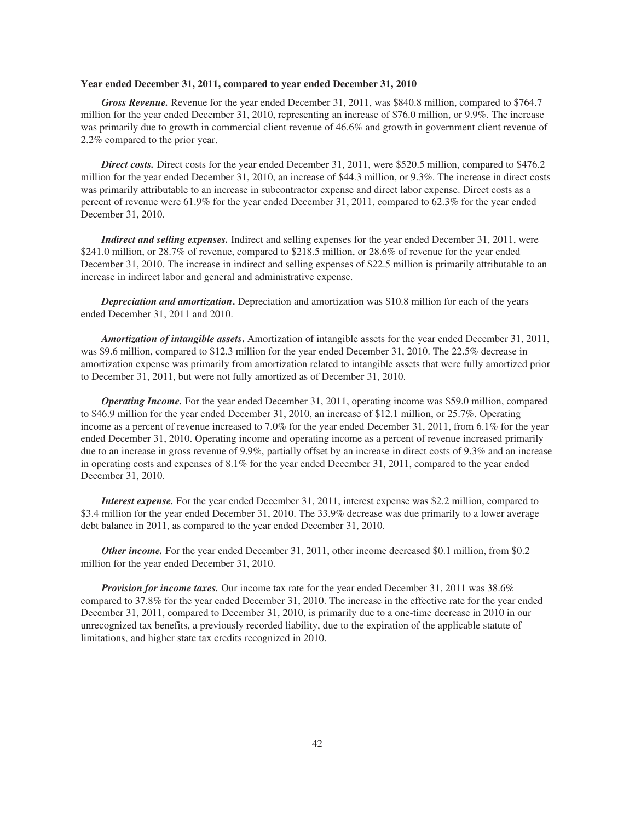### **Year ended December 31, 2011, compared to year ended December 31, 2010**

*Gross Revenue.* Revenue for the year ended December 31, 2011, was \$840.8 million, compared to \$764.7 million for the year ended December 31, 2010, representing an increase of \$76.0 million, or 9.9%. The increase was primarily due to growth in commercial client revenue of 46.6% and growth in government client revenue of 2.2% compared to the prior year.

*Direct costs.* Direct costs for the year ended December 31, 2011, were \$520.5 million, compared to \$476.2 million for the year ended December 31, 2010, an increase of \$44.3 million, or 9.3%. The increase in direct costs was primarily attributable to an increase in subcontractor expense and direct labor expense. Direct costs as a percent of revenue were 61.9% for the year ended December 31, 2011, compared to 62.3% for the year ended December 31, 2010.

*Indirect and selling expenses.* Indirect and selling expenses for the year ended December 31, 2011, were \$241.0 million, or 28.7% of revenue, compared to \$218.5 million, or 28.6% of revenue for the year ended December 31, 2010. The increase in indirect and selling expenses of \$22.5 million is primarily attributable to an increase in indirect labor and general and administrative expense.

*Depreciation and amortization***.** Depreciation and amortization was \$10.8 million for each of the years ended December 31, 2011 and 2010.

*Amortization of intangible assets***.** Amortization of intangible assets for the year ended December 31, 2011, was \$9.6 million, compared to \$12.3 million for the year ended December 31, 2010. The 22.5% decrease in amortization expense was primarily from amortization related to intangible assets that were fully amortized prior to December 31, 2011, but were not fully amortized as of December 31, 2010.

*Operating Income.* For the year ended December 31, 2011, operating income was \$59.0 million, compared to \$46.9 million for the year ended December 31, 2010, an increase of \$12.1 million, or 25.7%. Operating income as a percent of revenue increased to 7.0% for the year ended December 31, 2011, from 6.1% for the year ended December 31, 2010. Operating income and operating income as a percent of revenue increased primarily due to an increase in gross revenue of 9.9%, partially offset by an increase in direct costs of 9.3% and an increase in operating costs and expenses of 8.1% for the year ended December 31, 2011, compared to the year ended December 31, 2010.

*Interest expense.* For the year ended December 31, 2011, interest expense was \$2.2 million, compared to \$3.4 million for the year ended December 31, 2010. The 33.9% decrease was due primarily to a lower average debt balance in 2011, as compared to the year ended December 31, 2010.

*Other income.* For the year ended December 31, 2011, other income decreased \$0.1 million, from \$0.2 million for the year ended December 31, 2010.

*Provision for income taxes.* Our income tax rate for the year ended December 31, 2011 was 38.6% compared to 37.8% for the year ended December 31, 2010. The increase in the effective rate for the year ended December 31, 2011, compared to December 31, 2010, is primarily due to a one-time decrease in 2010 in our unrecognized tax benefits, a previously recorded liability, due to the expiration of the applicable statute of limitations, and higher state tax credits recognized in 2010.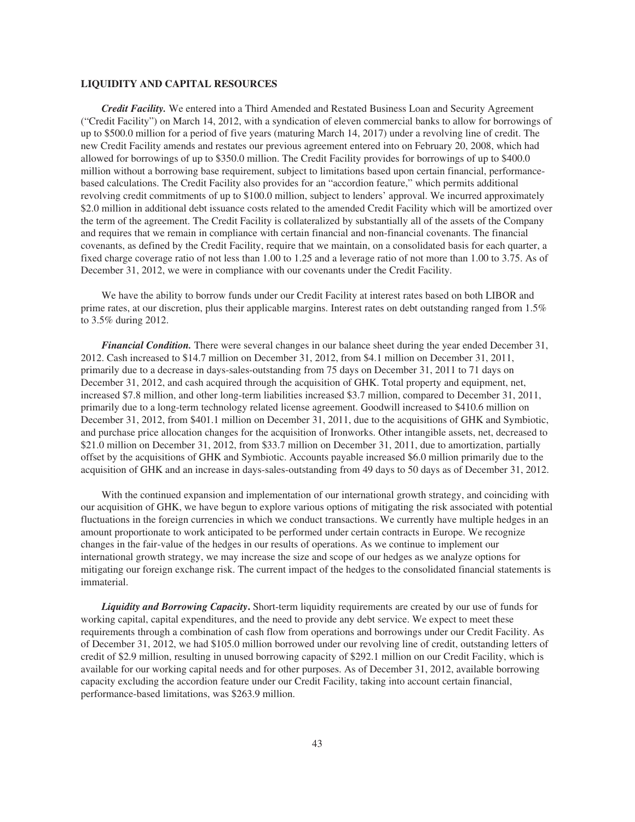### **LIQUIDITY AND CAPITAL RESOURCES**

*Credit Facility.* We entered into a Third Amended and Restated Business Loan and Security Agreement ("Credit Facility") on March 14, 2012, with a syndication of eleven commercial banks to allow for borrowings of up to \$500.0 million for a period of five years (maturing March 14, 2017) under a revolving line of credit. The new Credit Facility amends and restates our previous agreement entered into on February 20, 2008, which had allowed for borrowings of up to \$350.0 million. The Credit Facility provides for borrowings of up to \$400.0 million without a borrowing base requirement, subject to limitations based upon certain financial, performancebased calculations. The Credit Facility also provides for an "accordion feature," which permits additional revolving credit commitments of up to \$100.0 million, subject to lenders' approval. We incurred approximately \$2.0 million in additional debt issuance costs related to the amended Credit Facility which will be amortized over the term of the agreement. The Credit Facility is collateralized by substantially all of the assets of the Company and requires that we remain in compliance with certain financial and non-financial covenants. The financial covenants, as defined by the Credit Facility, require that we maintain, on a consolidated basis for each quarter, a fixed charge coverage ratio of not less than 1.00 to 1.25 and a leverage ratio of not more than 1.00 to 3.75. As of December 31, 2012, we were in compliance with our covenants under the Credit Facility.

We have the ability to borrow funds under our Credit Facility at interest rates based on both LIBOR and prime rates, at our discretion, plus their applicable margins. Interest rates on debt outstanding ranged from 1.5% to 3.5% during 2012.

*Financial Condition.* There were several changes in our balance sheet during the year ended December 31, 2012. Cash increased to \$14.7 million on December 31, 2012, from \$4.1 million on December 31, 2011, primarily due to a decrease in days-sales-outstanding from 75 days on December 31, 2011 to 71 days on December 31, 2012, and cash acquired through the acquisition of GHK. Total property and equipment, net, increased \$7.8 million, and other long-term liabilities increased \$3.7 million, compared to December 31, 2011, primarily due to a long-term technology related license agreement. Goodwill increased to \$410.6 million on December 31, 2012, from \$401.1 million on December 31, 2011, due to the acquisitions of GHK and Symbiotic, and purchase price allocation changes for the acquisition of Ironworks. Other intangible assets, net, decreased to \$21.0 million on December 31, 2012, from \$33.7 million on December 31, 2011, due to amortization, partially offset by the acquisitions of GHK and Symbiotic. Accounts payable increased \$6.0 million primarily due to the acquisition of GHK and an increase in days-sales-outstanding from 49 days to 50 days as of December 31, 2012.

With the continued expansion and implementation of our international growth strategy, and coinciding with our acquisition of GHK, we have begun to explore various options of mitigating the risk associated with potential fluctuations in the foreign currencies in which we conduct transactions. We currently have multiple hedges in an amount proportionate to work anticipated to be performed under certain contracts in Europe. We recognize changes in the fair-value of the hedges in our results of operations. As we continue to implement our international growth strategy, we may increase the size and scope of our hedges as we analyze options for mitigating our foreign exchange risk. The current impact of the hedges to the consolidated financial statements is immaterial.

*Liquidity and Borrowing Capacity***.** Short-term liquidity requirements are created by our use of funds for working capital, capital expenditures, and the need to provide any debt service. We expect to meet these requirements through a combination of cash flow from operations and borrowings under our Credit Facility. As of December 31, 2012, we had \$105.0 million borrowed under our revolving line of credit, outstanding letters of credit of \$2.9 million, resulting in unused borrowing capacity of \$292.1 million on our Credit Facility, which is available for our working capital needs and for other purposes. As of December 31, 2012, available borrowing capacity excluding the accordion feature under our Credit Facility, taking into account certain financial, performance-based limitations, was \$263.9 million.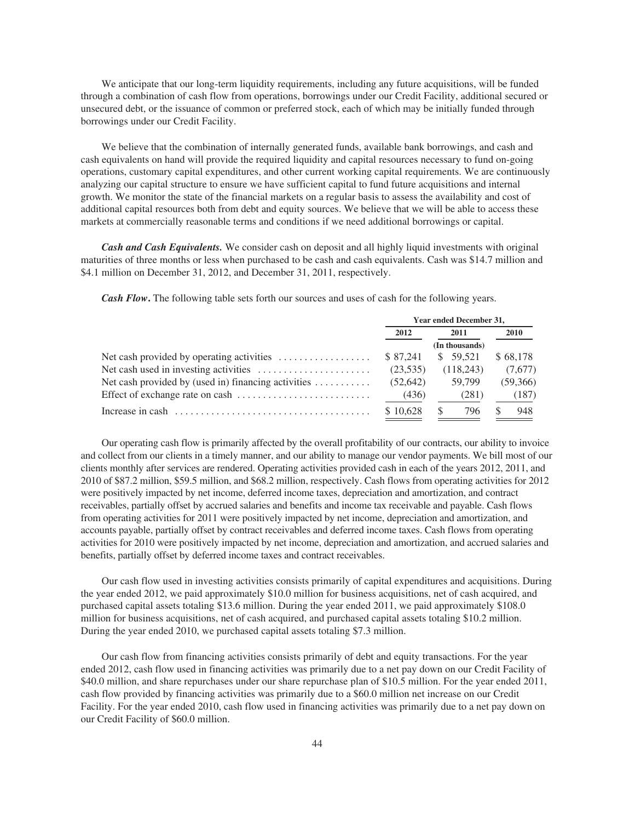We anticipate that our long-term liquidity requirements, including any future acquisitions, will be funded through a combination of cash flow from operations, borrowings under our Credit Facility, additional secured or unsecured debt, or the issuance of common or preferred stock, each of which may be initially funded through borrowings under our Credit Facility.

We believe that the combination of internally generated funds, available bank borrowings, and cash and cash equivalents on hand will provide the required liquidity and capital resources necessary to fund on-going operations, customary capital expenditures, and other current working capital requirements. We are continuously analyzing our capital structure to ensure we have sufficient capital to fund future acquisitions and internal growth. We monitor the state of the financial markets on a regular basis to assess the availability and cost of additional capital resources both from debt and equity sources. We believe that we will be able to access these markets at commercially reasonable terms and conditions if we need additional borrowings or capital.

*Cash and Cash Equivalents.* We consider cash on deposit and all highly liquid investments with original maturities of three months or less when purchased to be cash and cash equivalents. Cash was \$14.7 million and \$4.1 million on December 31, 2012, and December 31, 2011, respectively.

|                                                                                                  | Year ended December 31, |           |             |  |  |
|--------------------------------------------------------------------------------------------------|-------------------------|-----------|-------------|--|--|
|                                                                                                  | 2012                    | 2011      | <b>2010</b> |  |  |
|                                                                                                  |                         |           |             |  |  |
|                                                                                                  | \$87,241                | \$ 59.521 | \$68,178    |  |  |
| Net cash used in investing activities $\dots \dots \dots \dots \dots \dots$                      | (23,535)                | (118,243) | (7,677)     |  |  |
| Net cash provided by (used in) financing activities $\dots \dots \dots$                          | (52, 642)               | 59.799    | (59,366)    |  |  |
| Effect of exchange rate on cash $\dots\dots\dots\dots\dots\dots\dots\dots\dots$                  | (436)                   | (281)     | (187)       |  |  |
| Increase in cash $\dots \dots \dots \dots \dots \dots \dots \dots \dots \dots \dots \dots \dots$ | \$10,628                | 796       | 948         |  |  |

*Cash Flow*. The following table sets forth our sources and uses of cash for the following years.

Our operating cash flow is primarily affected by the overall profitability of our contracts, our ability to invoice and collect from our clients in a timely manner, and our ability to manage our vendor payments. We bill most of our clients monthly after services are rendered. Operating activities provided cash in each of the years 2012, 2011, and 2010 of \$87.2 million, \$59.5 million, and \$68.2 million, respectively. Cash flows from operating activities for 2012 were positively impacted by net income, deferred income taxes, depreciation and amortization, and contract receivables, partially offset by accrued salaries and benefits and income tax receivable and payable. Cash flows from operating activities for 2011 were positively impacted by net income, depreciation and amortization, and accounts payable, partially offset by contract receivables and deferred income taxes. Cash flows from operating activities for 2010 were positively impacted by net income, depreciation and amortization, and accrued salaries and benefits, partially offset by deferred income taxes and contract receivables.

Our cash flow used in investing activities consists primarily of capital expenditures and acquisitions. During the year ended 2012, we paid approximately \$10.0 million for business acquisitions, net of cash acquired, and purchased capital assets totaling \$13.6 million. During the year ended 2011, we paid approximately \$108.0 million for business acquisitions, net of cash acquired, and purchased capital assets totaling \$10.2 million. During the year ended 2010, we purchased capital assets totaling \$7.3 million.

Our cash flow from financing activities consists primarily of debt and equity transactions. For the year ended 2012, cash flow used in financing activities was primarily due to a net pay down on our Credit Facility of \$40.0 million, and share repurchases under our share repurchase plan of \$10.5 million. For the year ended 2011, cash flow provided by financing activities was primarily due to a \$60.0 million net increase on our Credit Facility. For the year ended 2010, cash flow used in financing activities was primarily due to a net pay down on our Credit Facility of \$60.0 million.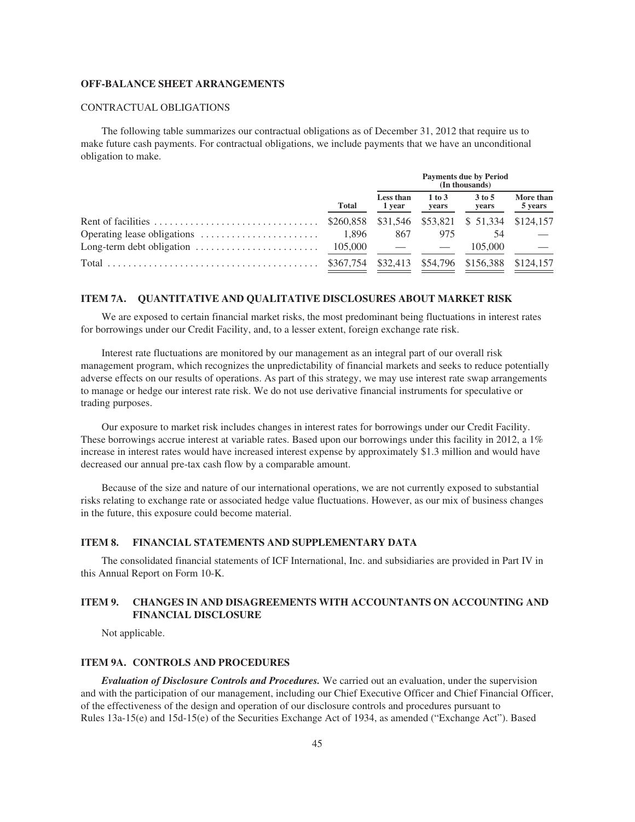### **OFF-BALANCE SHEET ARRANGEMENTS**

## CONTRACTUAL OBLIGATIONS

The following table summarizes our contractual obligations as of December 31, 2012 that require us to make future cash payments. For contractual obligations, we include payments that we have an unconditional obligation to make.

|                                                                       |              |                            |                 | <b>Payments due by Period</b><br>(In thousands) |                      |
|-----------------------------------------------------------------------|--------------|----------------------------|-----------------|-------------------------------------------------|----------------------|
|                                                                       | <b>Total</b> | <b>Less than</b><br>1 year | 1 to 3<br>years | 3 to 5<br>vears                                 | More than<br>5 years |
|                                                                       | \$260.858    |                            |                 | \$31,546 \$53,821 \$ 51,334 \$124,157           |                      |
|                                                                       | 1.896        | 867                        | 975             | 54                                              |                      |
| Long-term debt obligation $\dots \dots \dots \dots \dots \dots \dots$ | 105,000      |                            |                 | 105,000                                         |                      |
|                                                                       | \$367.754    |                            |                 | \$32,413 \$54,796 \$156,388                     | \$124,157            |

#### **ITEM 7A. QUANTITATIVE AND QUALITATIVE DISCLOSURES ABOUT MARKET RISK**

We are exposed to certain financial market risks, the most predominant being fluctuations in interest rates for borrowings under our Credit Facility, and, to a lesser extent, foreign exchange rate risk.

Interest rate fluctuations are monitored by our management as an integral part of our overall risk management program, which recognizes the unpredictability of financial markets and seeks to reduce potentially adverse effects on our results of operations. As part of this strategy, we may use interest rate swap arrangements to manage or hedge our interest rate risk. We do not use derivative financial instruments for speculative or trading purposes.

Our exposure to market risk includes changes in interest rates for borrowings under our Credit Facility. These borrowings accrue interest at variable rates. Based upon our borrowings under this facility in 2012, a 1% increase in interest rates would have increased interest expense by approximately \$1.3 million and would have decreased our annual pre-tax cash flow by a comparable amount.

Because of the size and nature of our international operations, we are not currently exposed to substantial risks relating to exchange rate or associated hedge value fluctuations. However, as our mix of business changes in the future, this exposure could become material.

### **ITEM 8. FINANCIAL STATEMENTS AND SUPPLEMENTARY DATA**

The consolidated financial statements of ICF International, Inc. and subsidiaries are provided in Part IV in this Annual Report on Form 10-K.

## **ITEM 9. CHANGES IN AND DISAGREEMENTS WITH ACCOUNTANTS ON ACCOUNTING AND FINANCIAL DISCLOSURE**

Not applicable.

## **ITEM 9A. CONTROLS AND PROCEDURES**

*Evaluation of Disclosure Controls and Procedures.* We carried out an evaluation, under the supervision and with the participation of our management, including our Chief Executive Officer and Chief Financial Officer, of the effectiveness of the design and operation of our disclosure controls and procedures pursuant to Rules 13a-15(e) and 15d-15(e) of the Securities Exchange Act of 1934, as amended ("Exchange Act"). Based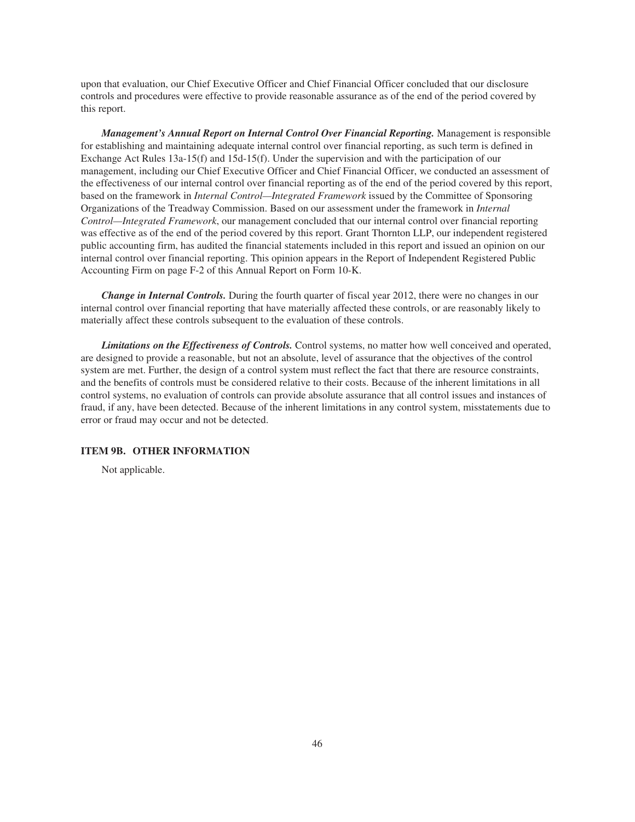upon that evaluation, our Chief Executive Officer and Chief Financial Officer concluded that our disclosure controls and procedures were effective to provide reasonable assurance as of the end of the period covered by this report.

*Management's Annual Report on Internal Control Over Financial Reporting.* Management is responsible for establishing and maintaining adequate internal control over financial reporting, as such term is defined in Exchange Act Rules 13a-15(f) and 15d-15(f). Under the supervision and with the participation of our management, including our Chief Executive Officer and Chief Financial Officer, we conducted an assessment of the effectiveness of our internal control over financial reporting as of the end of the period covered by this report, based on the framework in *Internal Control—Integrated Framework* issued by the Committee of Sponsoring Organizations of the Treadway Commission. Based on our assessment under the framework in *Internal Control—Integrated Framework*, our management concluded that our internal control over financial reporting was effective as of the end of the period covered by this report. Grant Thornton LLP, our independent registered public accounting firm, has audited the financial statements included in this report and issued an opinion on our internal control over financial reporting. This opinion appears in the Report of Independent Registered Public Accounting Firm on page F-2 of this Annual Report on Form 10-K.

*Change in Internal Controls.* During the fourth quarter of fiscal year 2012, there were no changes in our internal control over financial reporting that have materially affected these controls, or are reasonably likely to materially affect these controls subsequent to the evaluation of these controls.

*Limitations on the Effectiveness of Controls.* Control systems, no matter how well conceived and operated, are designed to provide a reasonable, but not an absolute, level of assurance that the objectives of the control system are met. Further, the design of a control system must reflect the fact that there are resource constraints, and the benefits of controls must be considered relative to their costs. Because of the inherent limitations in all control systems, no evaluation of controls can provide absolute assurance that all control issues and instances of fraud, if any, have been detected. Because of the inherent limitations in any control system, misstatements due to error or fraud may occur and not be detected.

# **ITEM 9B. OTHER INFORMATION**

Not applicable.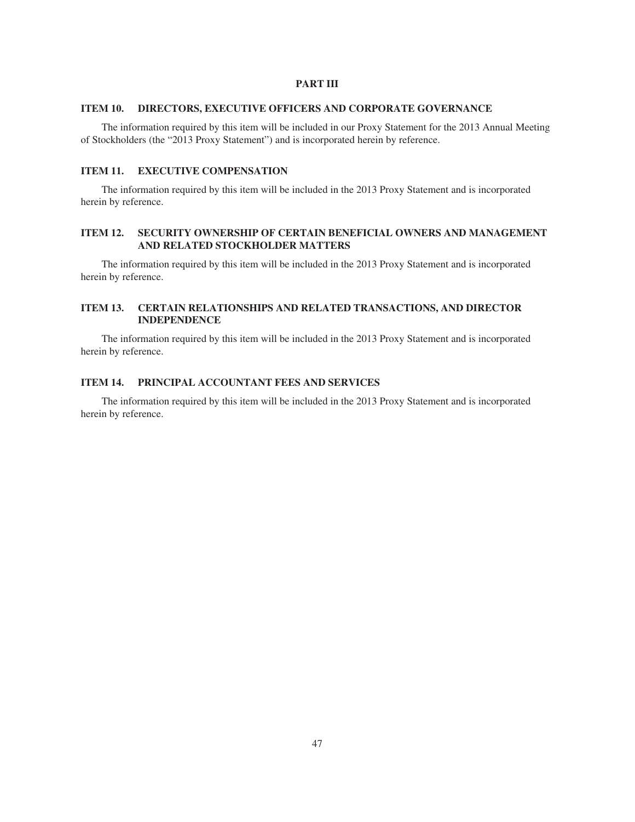## **PART III**

## **ITEM 10. DIRECTORS, EXECUTIVE OFFICERS AND CORPORATE GOVERNANCE**

The information required by this item will be included in our Proxy Statement for the 2013 Annual Meeting of Stockholders (the "2013 Proxy Statement") and is incorporated herein by reference.

## **ITEM 11. EXECUTIVE COMPENSATION**

The information required by this item will be included in the 2013 Proxy Statement and is incorporated herein by reference.

## **ITEM 12. SECURITY OWNERSHIP OF CERTAIN BENEFICIAL OWNERS AND MANAGEMENT AND RELATED STOCKHOLDER MATTERS**

The information required by this item will be included in the 2013 Proxy Statement and is incorporated herein by reference.

# **ITEM 13. CERTAIN RELATIONSHIPS AND RELATED TRANSACTIONS, AND DIRECTOR INDEPENDENCE**

The information required by this item will be included in the 2013 Proxy Statement and is incorporated herein by reference.

# **ITEM 14. PRINCIPAL ACCOUNTANT FEES AND SERVICES**

The information required by this item will be included in the 2013 Proxy Statement and is incorporated herein by reference.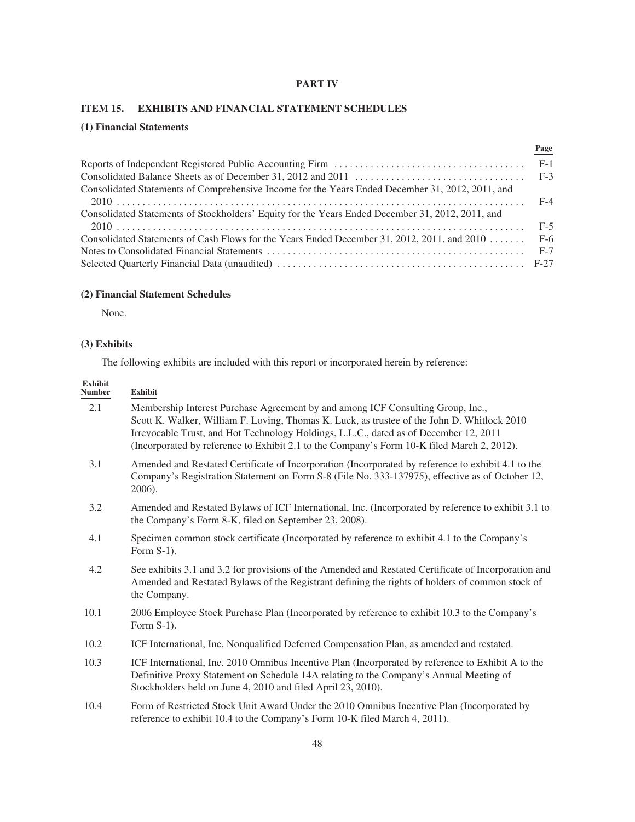## **PART IV**

# **ITEM 15. EXHIBITS AND FINANCIAL STATEMENT SCHEDULES**

# **(1) Financial Statements**

|                                                                                                  | Page  |
|--------------------------------------------------------------------------------------------------|-------|
|                                                                                                  |       |
|                                                                                                  |       |
| Consolidated Statements of Comprehensive Income for the Years Ended December 31, 2012, 2011, and |       |
|                                                                                                  |       |
| Consolidated Statements of Stockholders' Equity for the Years Ended December 31, 2012, 2011, and |       |
|                                                                                                  | $F-5$ |
| Consolidated Statements of Cash Flows for the Years Ended December 31, 2012, 2011, and 2010      | $F-6$ |
|                                                                                                  |       |
|                                                                                                  |       |

## **(2) Financial Statement Schedules**

None.

# **(3) Exhibits**

The following exhibits are included with this report or incorporated herein by reference:

| <b>Exhibit</b><br><b>Number</b> | <b>Exhibit</b>                                                                                                                                                                                                                                                                                                                                                        |
|---------------------------------|-----------------------------------------------------------------------------------------------------------------------------------------------------------------------------------------------------------------------------------------------------------------------------------------------------------------------------------------------------------------------|
| 2.1                             | Membership Interest Purchase Agreement by and among ICF Consulting Group, Inc.,<br>Scott K. Walker, William F. Loving, Thomas K. Luck, as trustee of the John D. Whitlock 2010<br>Irrevocable Trust, and Hot Technology Holdings, L.L.C., dated as of December 12, 2011<br>(Incorporated by reference to Exhibit 2.1 to the Company's Form 10-K filed March 2, 2012). |
| 3.1                             | Amended and Restated Certificate of Incorporation (Incorporated by reference to exhibit 4.1 to the<br>Company's Registration Statement on Form S-8 (File No. 333-137975), effective as of October 12,<br>2006).                                                                                                                                                       |
| 3.2                             | Amended and Restated Bylaws of ICF International, Inc. (Incorporated by reference to exhibit 3.1 to<br>the Company's Form 8-K, filed on September 23, 2008).                                                                                                                                                                                                          |
| 4.1                             | Specimen common stock certificate (Incorporated by reference to exhibit 4.1 to the Company's<br>Form $S-1$ ).                                                                                                                                                                                                                                                         |
| 4.2                             | See exhibits 3.1 and 3.2 for provisions of the Amended and Restated Certificate of Incorporation and<br>Amended and Restated Bylaws of the Registrant defining the rights of holders of common stock of<br>the Company.                                                                                                                                               |
| 10.1                            | 2006 Employee Stock Purchase Plan (Incorporated by reference to exhibit 10.3 to the Company's<br>Form $S-1$ ).                                                                                                                                                                                                                                                        |
| 10.2                            | ICF International, Inc. Nonqualified Deferred Compensation Plan, as amended and restated.                                                                                                                                                                                                                                                                             |
| 10.3                            | ICF International, Inc. 2010 Omnibus Incentive Plan (Incorporated by reference to Exhibit A to the<br>Definitive Proxy Statement on Schedule 14A relating to the Company's Annual Meeting of<br>Stockholders held on June 4, 2010 and filed April 23, 2010).                                                                                                          |
| 10.4                            | Form of Restricted Stock Unit Award Under the 2010 Omnibus Incentive Plan (Incorporated by<br>reference to exhibit 10.4 to the Company's Form 10-K filed March 4, 2011).                                                                                                                                                                                              |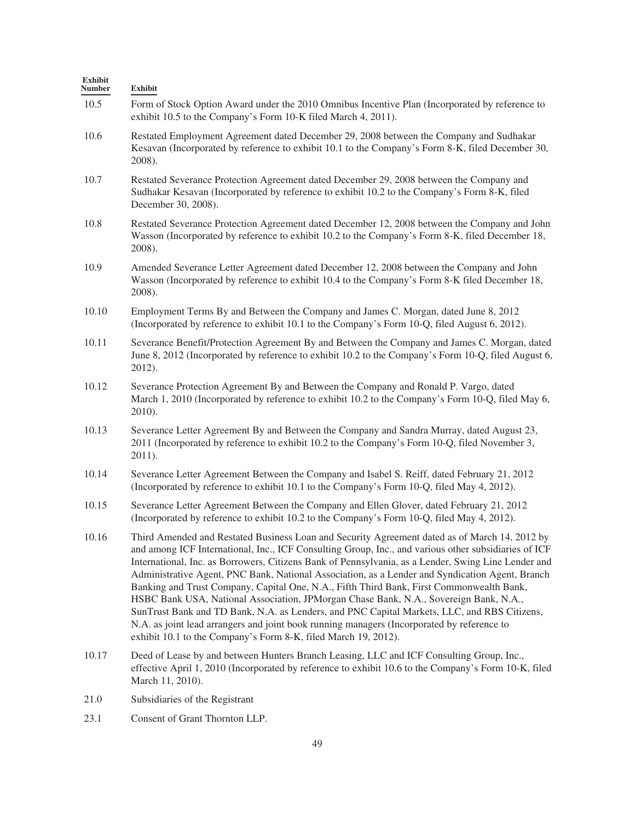| <b>Exhibit</b><br>Number | <b>Exhibit</b>                                                                                                                                                                                                                                                                                                                                                                                                                                                                                                                                                                                                                                                                                                                                                                                                                                                      |
|--------------------------|---------------------------------------------------------------------------------------------------------------------------------------------------------------------------------------------------------------------------------------------------------------------------------------------------------------------------------------------------------------------------------------------------------------------------------------------------------------------------------------------------------------------------------------------------------------------------------------------------------------------------------------------------------------------------------------------------------------------------------------------------------------------------------------------------------------------------------------------------------------------|
| 10.5                     | Form of Stock Option Award under the 2010 Omnibus Incentive Plan (Incorporated by reference to<br>exhibit 10.5 to the Company's Form 10-K filed March 4, 2011).                                                                                                                                                                                                                                                                                                                                                                                                                                                                                                                                                                                                                                                                                                     |
| 10.6                     | Restated Employment Agreement dated December 29, 2008 between the Company and Sudhakar<br>Kesavan (Incorporated by reference to exhibit 10.1 to the Company's Form 8-K, filed December 30,<br>2008).                                                                                                                                                                                                                                                                                                                                                                                                                                                                                                                                                                                                                                                                |
| 10.7                     | Restated Severance Protection Agreement dated December 29, 2008 between the Company and<br>Sudhakar Kesavan (Incorporated by reference to exhibit 10.2 to the Company's Form 8-K, filed<br>December 30, 2008).                                                                                                                                                                                                                                                                                                                                                                                                                                                                                                                                                                                                                                                      |
| 10.8                     | Restated Severance Protection Agreement dated December 12, 2008 between the Company and John<br>Wasson (Incorporated by reference to exhibit 10.2 to the Company's Form 8-K, filed December 18,<br>2008).                                                                                                                                                                                                                                                                                                                                                                                                                                                                                                                                                                                                                                                           |
| 10.9                     | Amended Severance Letter Agreement dated December 12, 2008 between the Company and John<br>Wasson (Incorporated by reference to exhibit 10.4 to the Company's Form 8-K filed December 18,<br>2008).                                                                                                                                                                                                                                                                                                                                                                                                                                                                                                                                                                                                                                                                 |
| 10.10                    | Employment Terms By and Between the Company and James C. Morgan, dated June 8, 2012<br>(Incorporated by reference to exhibit 10.1 to the Company's Form 10-Q, filed August 6, 2012).                                                                                                                                                                                                                                                                                                                                                                                                                                                                                                                                                                                                                                                                                |
| 10.11                    | Severance Benefit/Protection Agreement By and Between the Company and James C. Morgan, dated<br>June 8, 2012 (Incorporated by reference to exhibit 10.2 to the Company's Form 10-Q, filed August 6,<br>2012).                                                                                                                                                                                                                                                                                                                                                                                                                                                                                                                                                                                                                                                       |
| 10.12                    | Severance Protection Agreement By and Between the Company and Ronald P. Vargo, dated<br>March 1, 2010 (Incorporated by reference to exhibit 10.2 to the Company's Form 10-Q, filed May 6,<br>2010).                                                                                                                                                                                                                                                                                                                                                                                                                                                                                                                                                                                                                                                                 |
| 10.13                    | Severance Letter Agreement By and Between the Company and Sandra Murray, dated August 23,<br>2011 (Incorporated by reference to exhibit 10.2 to the Company's Form 10-Q, filed November 3,<br>$2011$ ).                                                                                                                                                                                                                                                                                                                                                                                                                                                                                                                                                                                                                                                             |
| 10.14                    | Severance Letter Agreement Between the Company and Isabel S. Reiff, dated February 21, 2012<br>(Incorporated by reference to exhibit 10.1 to the Company's Form 10-Q, filed May 4, 2012).                                                                                                                                                                                                                                                                                                                                                                                                                                                                                                                                                                                                                                                                           |
| 10.15                    | Severance Letter Agreement Between the Company and Ellen Glover, dated February 21, 2012<br>(Incorporated by reference to exhibit 10.2 to the Company's Form 10-Q, filed May 4, 2012).                                                                                                                                                                                                                                                                                                                                                                                                                                                                                                                                                                                                                                                                              |
| 10.16                    | Third Amended and Restated Business Loan and Security Agreement dated as of March 14, 2012 by<br>and among ICF International, Inc., ICF Consulting Group, Inc., and various other subsidiaries of ICF<br>International, Inc. as Borrowers, Citizens Bank of Pennsylvania, as a Lender, Swing Line Lender and<br>Administrative Agent, PNC Bank, National Association, as a Lender and Syndication Agent, Branch<br>Banking and Trust Company, Capital One, N.A., Fifth Third Bank, First Commonwealth Bank,<br>HSBC Bank USA, National Association, JPMorgan Chase Bank, N.A., Sovereign Bank, N.A.,<br>SunTrust Bank and TD Bank, N.A. as Lenders, and PNC Capital Markets, LLC, and RBS Citizens,<br>N.A. as joint lead arrangers and joint book running managers (Incorporated by reference to<br>exhibit 10.1 to the Company's Form 8-K, filed March 19, 2012). |
| 10.17                    | Deed of Lease by and between Hunters Branch Leasing, LLC and ICF Consulting Group, Inc.,<br>effective April 1, 2010 (Incorporated by reference to exhibit 10.6 to the Company's Form 10-K, filed<br>March 11, 2010).                                                                                                                                                                                                                                                                                                                                                                                                                                                                                                                                                                                                                                                |
| 21.0                     | Subsidiaries of the Registrant                                                                                                                                                                                                                                                                                                                                                                                                                                                                                                                                                                                                                                                                                                                                                                                                                                      |
| 23.1                     | Consent of Grant Thornton LLP.                                                                                                                                                                                                                                                                                                                                                                                                                                                                                                                                                                                                                                                                                                                                                                                                                                      |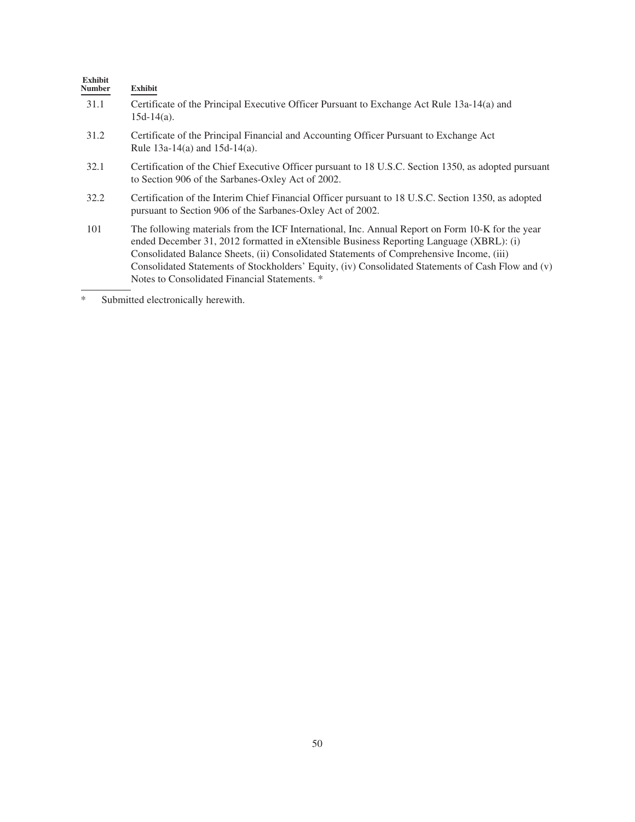| <b>Exhibit</b><br><b>Number</b> | Exhibit                                                                                                                                                                                                                                                                                                                                                                                                                                        |
|---------------------------------|------------------------------------------------------------------------------------------------------------------------------------------------------------------------------------------------------------------------------------------------------------------------------------------------------------------------------------------------------------------------------------------------------------------------------------------------|
| 31.1                            | Certificate of the Principal Executive Officer Pursuant to Exchange Act Rule 13a-14(a) and<br>$15d-14(a)$ .                                                                                                                                                                                                                                                                                                                                    |
| 31.2                            | Certificate of the Principal Financial and Accounting Officer Pursuant to Exchange Act<br>Rule $13a-14(a)$ and $15d-14(a)$ .                                                                                                                                                                                                                                                                                                                   |
| 32.1                            | Certification of the Chief Executive Officer pursuant to 18 U.S.C. Section 1350, as adopted pursuant<br>to Section 906 of the Sarbanes-Oxley Act of 2002.                                                                                                                                                                                                                                                                                      |
| 32.2                            | Certification of the Interim Chief Financial Officer pursuant to 18 U.S.C. Section 1350, as adopted<br>pursuant to Section 906 of the Sarbanes-Oxley Act of 2002.                                                                                                                                                                                                                                                                              |
| 101                             | The following materials from the ICF International, Inc. Annual Report on Form 10-K for the year<br>ended December 31, 2012 formatted in eXtensible Business Reporting Language (XBRL): (i)<br>Consolidated Balance Sheets, (ii) Consolidated Statements of Comprehensive Income, (iii)<br>Consolidated Statements of Stockholders' Equity, (iv) Consolidated Statements of Cash Flow and (v)<br>Notes to Consolidated Financial Statements. * |

\* Submitted electronically herewith.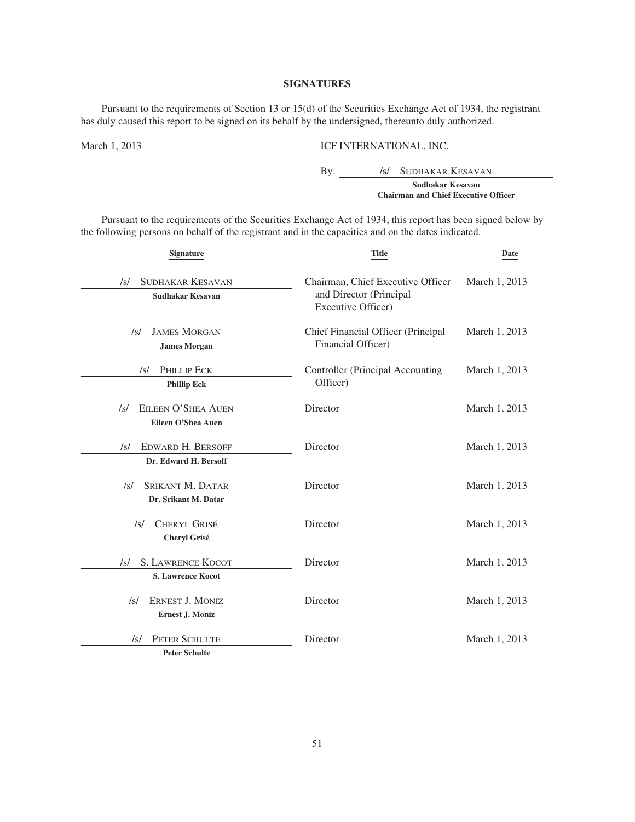## **SIGNATURES**

Pursuant to the requirements of Section 13 or 15(d) of the Securities Exchange Act of 1934, the registrant has duly caused this report to be signed on its behalf by the undersigned, thereunto duly authorized.

## March 1, 2013 **ICF INTERNATIONAL, INC.**

By: /s/ SUDHAKAR KESAVAN **Sudhakar Kesavan Chairman and Chief Executive Officer**

Pursuant to the requirements of the Securities Exchange Act of 1934, this report has been signed below by the following persons on behalf of the registrant and in the capacities and on the dates indicated.

| Signature                                                          | <b>Title</b>                                                                       | Date          |
|--------------------------------------------------------------------|------------------------------------------------------------------------------------|---------------|
| <b>SUDHAKAR KESAVAN</b><br>/s/<br><b>Sudhakar Kesavan</b>          | Chairman, Chief Executive Officer<br>and Director (Principal<br>Executive Officer) | March 1, 2013 |
| <b>JAMES MORGAN</b><br>/s/<br><b>James Morgan</b>                  | Chief Financial Officer (Principal<br>Financial Officer)                           | March 1, 2013 |
| PHILLIP ECK<br>/s/<br><b>Phillip Eck</b>                           | Controller (Principal Accounting<br>Officer)                                       | March 1, 2013 |
| EILEEN O'SHEA AUEN<br>$\sqrt{s}$<br>Eileen O'Shea Auen             | Director                                                                           | March 1, 2013 |
| <b>EDWARD H. BERSOFF</b><br>$\sqrt{s}$<br>Dr. Edward H. Bersoff    | Director                                                                           | March 1, 2013 |
| <b>SRIKANT M. DATAR</b><br>$\sqrt{s}$<br>Dr. Srikant M. Datar      | Director                                                                           | March 1, 2013 |
| <b>CHERYL GRISÉ</b><br>$\sqrt{s}$<br><b>Cheryl Grisé</b>           | Director                                                                           | March 1, 2013 |
| <b>S. LAWRENCE KOCOT</b><br>$\sqrt{s}$<br><b>S. Lawrence Kocot</b> | Director                                                                           | March 1, 2013 |
| <b>ERNEST J. MONIZ</b><br>$\sqrt{s}$<br>Ernest J. Moniz            | Director                                                                           | March 1, 2013 |
| <b>PETER SCHULTE</b><br>$\sqrt{s}$<br><b>Peter Schulte</b>         | Director                                                                           | March 1, 2013 |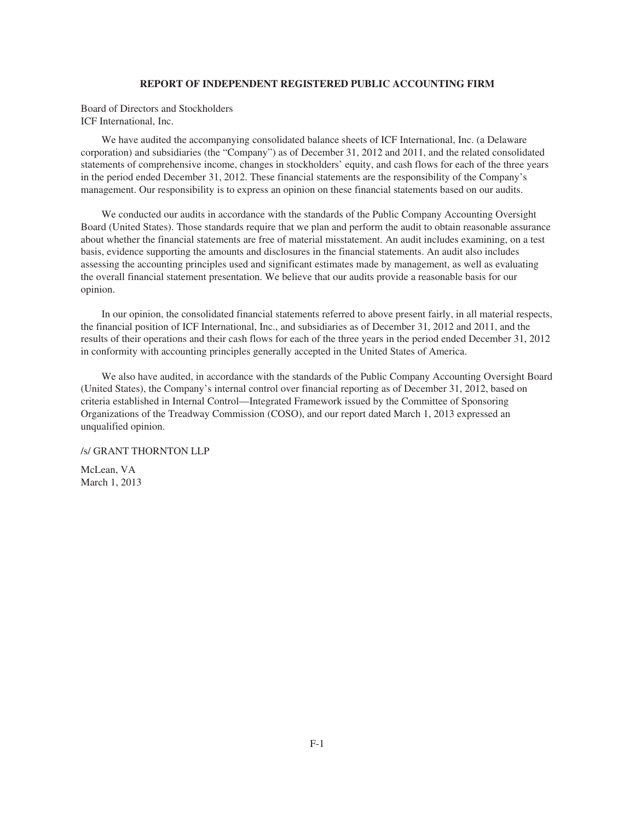## **REPORT OF INDEPENDENT REGISTERED PUBLIC ACCOUNTING FIRM**

Board of Directors and Stockholders ICF International, Inc.

We have audited the accompanying consolidated balance sheets of ICF International, Inc. (a Delaware corporation) and subsidiaries (the "Company") as of December 31, 2012 and 2011, and the related consolidated statements of comprehensive income, changes in stockholders' equity, and cash flows for each of the three years in the period ended December 31, 2012. These financial statements are the responsibility of the Company's management. Our responsibility is to express an opinion on these financial statements based on our audits.

We conducted our audits in accordance with the standards of the Public Company Accounting Oversight Board (United States). Those standards require that we plan and perform the audit to obtain reasonable assurance about whether the financial statements are free of material misstatement. An audit includes examining, on a test basis, evidence supporting the amounts and disclosures in the financial statements. An audit also includes assessing the accounting principles used and significant estimates made by management, as well as evaluating the overall financial statement presentation. We believe that our audits provide a reasonable basis for our opinion.

In our opinion, the consolidated financial statements referred to above present fairly, in all material respects, the financial position of ICF International, Inc., and subsidiaries as of December 31, 2012 and 2011, and the results of their operations and their cash flows for each of the three years in the period ended December 31, 2012 in conformity with accounting principles generally accepted in the United States of America.

We also have audited, in accordance with the standards of the Public Company Accounting Oversight Board (United States), the Company's internal control over financial reporting as of December 31, 2012, based on criteria established in Internal Control—Integrated Framework issued by the Committee of Sponsoring Organizations of the Treadway Commission (COSO), and our report dated March 1, 2013 expressed an unqualified opinion.

## /s/ GRANT THORNTON LLP

McLean, VA March 1, 2013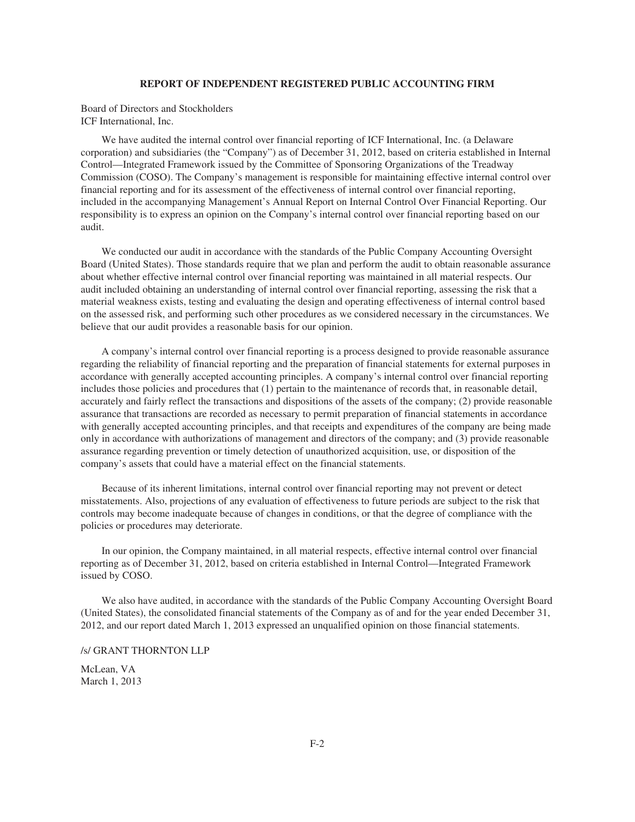### **REPORT OF INDEPENDENT REGISTERED PUBLIC ACCOUNTING FIRM**

Board of Directors and Stockholders ICF International, Inc.

We have audited the internal control over financial reporting of ICF International, Inc. (a Delaware corporation) and subsidiaries (the "Company") as of December 31, 2012, based on criteria established in Internal Control—Integrated Framework issued by the Committee of Sponsoring Organizations of the Treadway Commission (COSO). The Company's management is responsible for maintaining effective internal control over financial reporting and for its assessment of the effectiveness of internal control over financial reporting, included in the accompanying Management's Annual Report on Internal Control Over Financial Reporting. Our responsibility is to express an opinion on the Company's internal control over financial reporting based on our audit.

We conducted our audit in accordance with the standards of the Public Company Accounting Oversight Board (United States). Those standards require that we plan and perform the audit to obtain reasonable assurance about whether effective internal control over financial reporting was maintained in all material respects. Our audit included obtaining an understanding of internal control over financial reporting, assessing the risk that a material weakness exists, testing and evaluating the design and operating effectiveness of internal control based on the assessed risk, and performing such other procedures as we considered necessary in the circumstances. We believe that our audit provides a reasonable basis for our opinion.

A company's internal control over financial reporting is a process designed to provide reasonable assurance regarding the reliability of financial reporting and the preparation of financial statements for external purposes in accordance with generally accepted accounting principles. A company's internal control over financial reporting includes those policies and procedures that (1) pertain to the maintenance of records that, in reasonable detail, accurately and fairly reflect the transactions and dispositions of the assets of the company; (2) provide reasonable assurance that transactions are recorded as necessary to permit preparation of financial statements in accordance with generally accepted accounting principles, and that receipts and expenditures of the company are being made only in accordance with authorizations of management and directors of the company; and (3) provide reasonable assurance regarding prevention or timely detection of unauthorized acquisition, use, or disposition of the company's assets that could have a material effect on the financial statements.

Because of its inherent limitations, internal control over financial reporting may not prevent or detect misstatements. Also, projections of any evaluation of effectiveness to future periods are subject to the risk that controls may become inadequate because of changes in conditions, or that the degree of compliance with the policies or procedures may deteriorate.

In our opinion, the Company maintained, in all material respects, effective internal control over financial reporting as of December 31, 2012, based on criteria established in Internal Control—Integrated Framework issued by COSO.

We also have audited, in accordance with the standards of the Public Company Accounting Oversight Board (United States), the consolidated financial statements of the Company as of and for the year ended December 31, 2012, and our report dated March 1, 2013 expressed an unqualified opinion on those financial statements.

## /s/ GRANT THORNTON LLP

McLean, VA March 1, 2013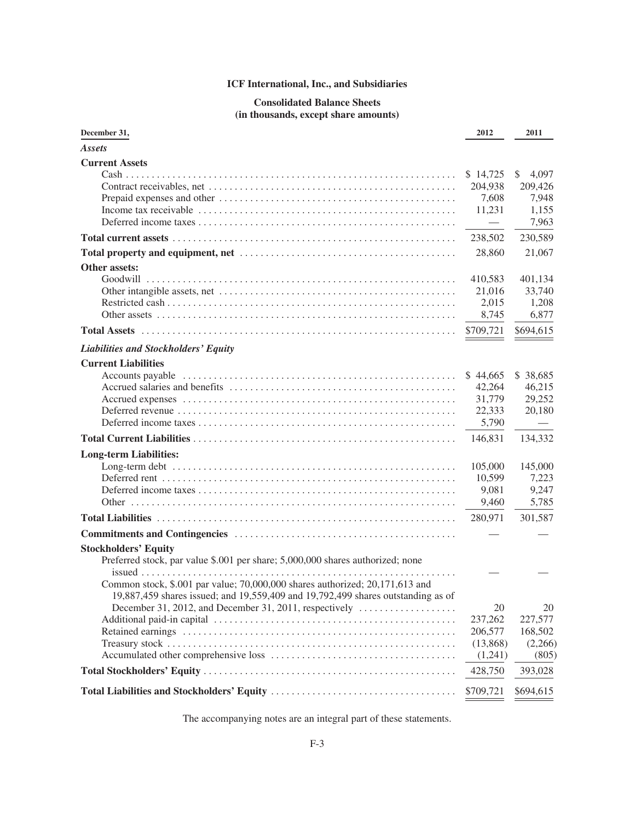# **Consolidated Balance Sheets (in thousands, except share amounts)**

| December 31,                                                                                                                                                     | 2012                          | 2011                   |
|------------------------------------------------------------------------------------------------------------------------------------------------------------------|-------------------------------|------------------------|
| <b>Assets</b>                                                                                                                                                    |                               |                        |
| <b>Current Assets</b>                                                                                                                                            |                               |                        |
|                                                                                                                                                                  | \$14,725                      | $\mathcal{S}$<br>4,097 |
|                                                                                                                                                                  | 204,938                       | 209,426                |
|                                                                                                                                                                  | 7,608                         | 7,948                  |
|                                                                                                                                                                  | 11,231                        | 1,155                  |
|                                                                                                                                                                  | $\overbrace{\phantom{12333}}$ | 7,963                  |
|                                                                                                                                                                  | 238,502                       | 230,589                |
|                                                                                                                                                                  | 28,860                        | 21,067                 |
| Other assets:                                                                                                                                                    |                               |                        |
|                                                                                                                                                                  | 410,583                       | 401,134                |
|                                                                                                                                                                  | 21,016                        | 33,740                 |
|                                                                                                                                                                  | 2,015                         | 1,208                  |
|                                                                                                                                                                  | 8,745                         | 6,877                  |
|                                                                                                                                                                  | \$709,721                     | \$694,615              |
| Liabilities and Stockholders' Equity                                                                                                                             |                               |                        |
| <b>Current Liabilities</b>                                                                                                                                       |                               |                        |
|                                                                                                                                                                  | \$44,665                      | \$ 38,685              |
|                                                                                                                                                                  | 42,264                        | 46,215                 |
|                                                                                                                                                                  | 31,779                        | 29,252                 |
|                                                                                                                                                                  | 22,333                        | 20,180                 |
|                                                                                                                                                                  | 5,790                         |                        |
|                                                                                                                                                                  | 146,831                       | 134,332                |
| <b>Long-term Liabilities:</b>                                                                                                                                    |                               |                        |
|                                                                                                                                                                  | 105,000                       | 145,000                |
|                                                                                                                                                                  | 10,599                        | 7,223                  |
|                                                                                                                                                                  | 9,081                         | 9,247                  |
|                                                                                                                                                                  | 9,460                         | 5,785                  |
|                                                                                                                                                                  | 280,971                       | 301,587                |
|                                                                                                                                                                  |                               |                        |
| <b>Stockholders' Equity</b>                                                                                                                                      |                               |                        |
| Preferred stock, par value \$.001 per share; 5,000,000 shares authorized; none                                                                                   |                               |                        |
|                                                                                                                                                                  |                               |                        |
| Common stock, \$.001 par value; 70,000,000 shares authorized; 20,171,613 and<br>19,887,459 shares issued; and 19,559,409 and 19,792,499 shares outstanding as of |                               |                        |
| December 31, 2012, and December 31, 2011, respectively                                                                                                           | 20                            | 20                     |
|                                                                                                                                                                  | 237,262                       | 227,577                |
|                                                                                                                                                                  | 206,577                       | 168,502                |
|                                                                                                                                                                  | (13,868)                      | (2,266)                |
|                                                                                                                                                                  | (1,241)                       | (805)                  |
|                                                                                                                                                                  | 428,750                       | 393,028                |
|                                                                                                                                                                  | \$709,721                     | \$694,615              |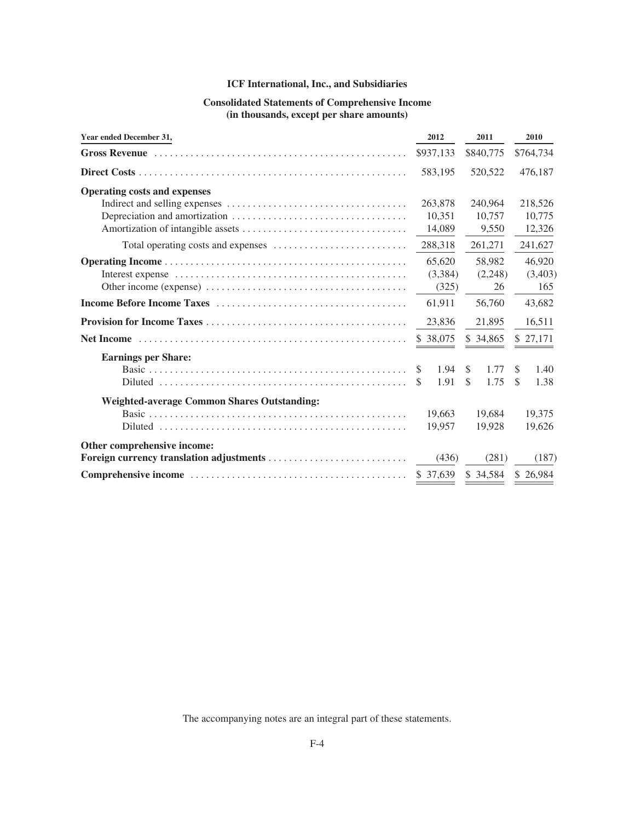# **Consolidated Statements of Comprehensive Income (in thousands, except per share amounts)**

| Year ended December 31,                            | 2012       | 2011                  | 2010       |
|----------------------------------------------------|------------|-----------------------|------------|
|                                                    | \$937,133  | \$840,775             | \$764,734  |
|                                                    | 583,195    | 520,522               | 476,187    |
| <b>Operating costs and expenses</b>                |            |                       |            |
|                                                    | 263,878    | 240,964               | 218,526    |
|                                                    | 10.351     | 10.757                | 10.775     |
|                                                    | 14,089     | 9,550                 | 12,326     |
|                                                    | 288,318    | 261,271               | 241,627    |
|                                                    | 65,620     | 58,982                | 46,920     |
|                                                    | (3,384)    | (2,248)               | (3,403)    |
|                                                    | (325)      | 26                    | 165        |
|                                                    | 61,911     | 56,760                | 43,682     |
|                                                    | 23,836     | 21,895                | 16,511     |
|                                                    | \$ 38,075  | \$ 34,865             | \$27,171   |
| <b>Earnings per Share:</b>                         |            |                       |            |
|                                                    | 1.94<br>S. | $\mathcal{S}$<br>1.77 | \$<br>1.40 |
|                                                    | 1.91<br>S  | 1.75<br><sup>\$</sup> | \$<br>1.38 |
| <b>Weighted-average Common Shares Outstanding:</b> |            |                       |            |
|                                                    | 19.663     | 19.684                | 19.375     |
|                                                    | 19.957     | 19,928                | 19,626     |
| Other comprehensive income:                        |            |                       |            |
|                                                    | (436)      | (281)                 | (187)      |
|                                                    | \$ 37,639  | \$ 34,584             | \$26,984   |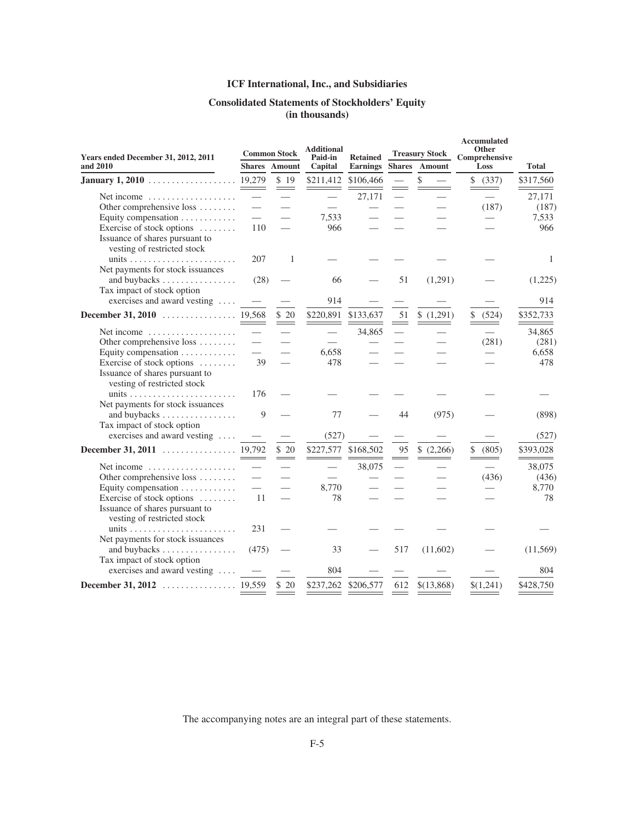# **Consolidated Statements of Stockholders' Equity (in thousands)**

| Years ended December 31, 2012, 2011<br>and 2010                                                                              |                                       | <b>Common Stock</b><br><b>Shares</b> Amount | <b>Additional</b><br>Paid-in<br>Capital  | <b>Retained</b><br><b>Earnings</b> |                                                             | <b>Treasury Stock</b><br>Shares Amount | <b>Accumulated</b><br><b>Other</b><br>Comprehensive<br>Loss | <b>Total</b>                    |
|------------------------------------------------------------------------------------------------------------------------------|---------------------------------------|---------------------------------------------|------------------------------------------|------------------------------------|-------------------------------------------------------------|----------------------------------------|-------------------------------------------------------------|---------------------------------|
|                                                                                                                              |                                       | \$19                                        |                                          | \$211,412 \$106,466                |                                                             | \$                                     | \$ (337)                                                    | \$317,560                       |
| Net income<br>Other comprehensive loss<br>Equity compensation<br>Exercise of stock options<br>Issuance of shares pursuant to | $\equiv$ $\equiv$<br>110              | $\qquad \qquad =$                           | 7,533<br>966                             | 27,171                             | $\qquad \qquad = \qquad \qquad$<br>$\overline{\phantom{0}}$ |                                        | $\overline{\phantom{0}}$<br>(187)                           | 27,171<br>(187)<br>7,533<br>966 |
| vesting of restricted stock<br>Net payments for stock issuances                                                              | 207                                   | 1                                           |                                          |                                    |                                                             |                                        |                                                             | 1                               |
| and buybacks<br>Tax impact of stock option<br>exercises and award vesting                                                    | (28)                                  |                                             | 66<br>914                                |                                    | 51                                                          | (1,291)                                |                                                             | (1,225)<br>914                  |
|                                                                                                                              |                                       | \$20                                        | \$220,891 \$133,637                      |                                    | 51                                                          | (1,291)                                | \$<br>(524)                                                 | \$352,733                       |
| Net income<br>Other comprehensive loss<br>Equity compensation<br>Exercise of stock options<br>Issuance of shares pursuant to | $\overbrace{\qquad \qquad }^{}$<br>39 |                                             | $\overline{\phantom{0}}$<br>6,658<br>478 | 34,865                             |                                                             |                                        | (281)                                                       | 34,865<br>(281)<br>6,658<br>478 |
| vesting of restricted stock<br>Net payments for stock issuances                                                              | 176                                   |                                             |                                          |                                    |                                                             |                                        |                                                             |                                 |
| and buybacks<br>Tax impact of stock option<br>exercises and award vesting                                                    | 9                                     |                                             | 77<br>(527)                              |                                    | 44                                                          | (975)                                  |                                                             | (898)<br>(527)                  |
|                                                                                                                              |                                       | \$20<br>$=$                                 | \$227,577 \$168,502                      |                                    | 95                                                          | \$(2,266)                              | \$<br>(805)                                                 | \$393,028                       |
| Net income<br>Other comprehensive loss<br>Equity compensation<br>Exercise of stock options                                   | -11                                   | $\frac{1}{2}$                               | 8,770<br>78                              | 38,075                             |                                                             |                                        | $\sim$<br>(436)                                             | 38,075<br>(436)<br>8,770<br>78  |
| Issuance of shares pursuant to<br>vesting of restricted stock<br>Net payments for stock issuances                            | 231                                   |                                             |                                          |                                    |                                                             |                                        |                                                             |                                 |
| and buybacks<br>Tax impact of stock option                                                                                   | (475)                                 |                                             | 33                                       |                                    | 517                                                         | (11,602)                               |                                                             | (11, 569)                       |
| exercises and award vesting                                                                                                  |                                       | \$20                                        | 804<br>\$237,262 \$206,577               |                                    | 612                                                         | \$(13,868)                             | \$(1,241)                                                   | 804<br>\$428,750                |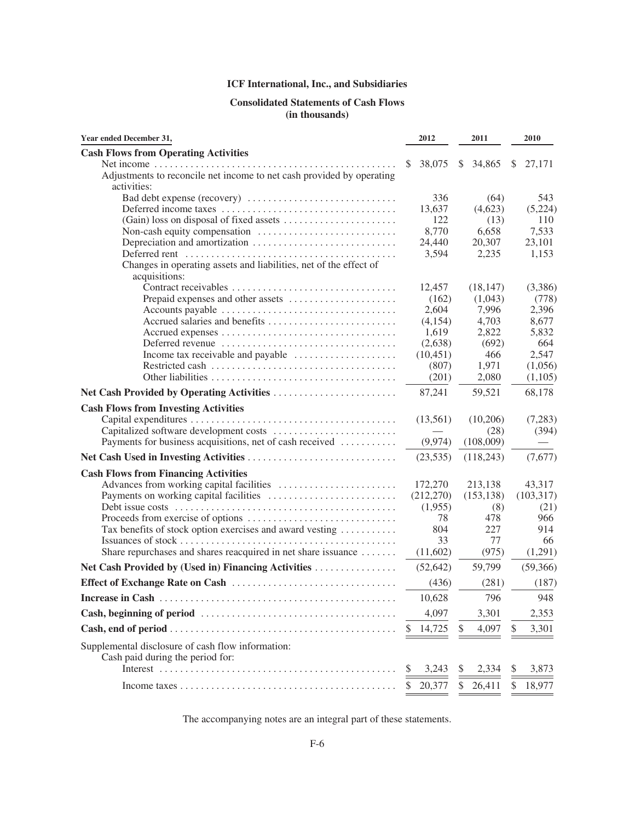# **Consolidated Statements of Cash Flows (in thousands)**

| Year ended December 31,                                                               |    | 2012       |     | 2011       |    | 2010       |
|---------------------------------------------------------------------------------------|----|------------|-----|------------|----|------------|
| <b>Cash Flows from Operating Activities</b>                                           |    |            |     |            |    |            |
|                                                                                       | S  | 38,075     | \$. | 34,865     | S. | 27,171     |
| Adjustments to reconcile net income to net cash provided by operating                 |    |            |     |            |    |            |
| activities:                                                                           |    |            |     |            |    |            |
|                                                                                       |    | 336        |     | (64)       |    | 543        |
|                                                                                       |    | 13,637     |     | (4,623)    |    | (5,224)    |
|                                                                                       |    | 122        |     | (13)       |    | 110        |
|                                                                                       |    | 8,770      |     | 6,658      |    | 7,533      |
|                                                                                       |    | 24,440     |     | 20,307     |    | 23,101     |
|                                                                                       |    | 3,594      |     | 2,235      |    | 1,153      |
| Changes in operating assets and liabilities, net of the effect of                     |    |            |     |            |    |            |
| acquisitions:                                                                         |    |            |     |            |    |            |
|                                                                                       |    | 12,457     |     | (18, 147)  |    | (3,386)    |
| Prepaid expenses and other assets                                                     |    | (162)      |     | (1,043)    |    | (778)      |
|                                                                                       |    | 2,604      |     | 7,996      |    | 2,396      |
| Accrued salaries and benefits                                                         |    | (4,154)    |     | 4,703      |    | 8,677      |
|                                                                                       |    | 1,619      |     | 2,822      |    | 5,832      |
|                                                                                       |    | (2,638)    |     | (692)      |    | 664        |
| Income tax receivable and payable                                                     |    | (10, 451)  |     | 466        |    | 2,547      |
|                                                                                       |    | (807)      |     | 1,971      |    | (1,056)    |
|                                                                                       |    | (201)      |     | 2,080      |    | (1,105)    |
|                                                                                       |    |            |     |            |    |            |
|                                                                                       |    | 87,241     |     | 59,521     |    | 68,178     |
| <b>Cash Flows from Investing Activities</b>                                           |    |            |     |            |    |            |
|                                                                                       |    | (13,561)   |     | (10,206)   |    | (7, 283)   |
|                                                                                       |    |            |     | (28)       |    | (394)      |
| Payments for business acquisitions, net of cash received                              |    | (9,974)    |     | (108,009)  |    |            |
|                                                                                       |    | (23, 535)  |     | (118, 243) |    | (7,677)    |
| <b>Cash Flows from Financing Activities</b>                                           |    |            |     |            |    |            |
|                                                                                       |    | 172,270    |     | 213,138    |    | 43,317     |
|                                                                                       |    | (212, 270) |     | (153, 138) |    | (103, 317) |
|                                                                                       |    | (1,955)    |     | (8)        |    | (21)       |
|                                                                                       |    | 78         |     | 478        |    | 966        |
| Tax benefits of stock option exercises and award vesting                              |    | 804        |     | 227        |    | 914        |
|                                                                                       |    | 33         |     | 77         |    | 66         |
| Share repurchases and shares reacquired in net share issuance                         |    | (11,602)   |     | (975)      |    | (1,291)    |
| Net Cash Provided by (Used in) Financing Activities                                   |    |            |     |            |    |            |
|                                                                                       |    | (52, 642)  |     | 59,799     |    | (59,366)   |
|                                                                                       |    | (436)      |     | (281)      |    | (187)      |
| <b>Increase in Cash</b>                                                               |    | 10,628     |     | 796        |    | 948        |
|                                                                                       |    | 4,097      |     | 3,301      |    | 2,353      |
|                                                                                       | \$ | 14,725     | \$  | 4,097      | \$ | 3,301      |
| Supplemental disclosure of cash flow information:<br>Cash paid during the period for: |    |            |     |            |    |            |
|                                                                                       | \$ | 3,243      |     | 2,334      | \$ | 3,873      |
|                                                                                       | \$ | 20,377     | \$  | 26,411     | \$ | 18,977     |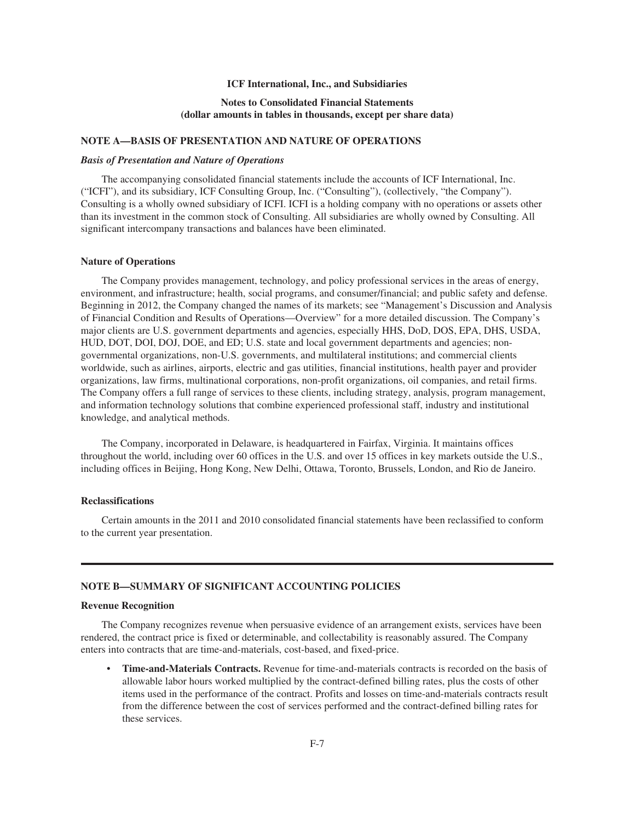## **Notes to Consolidated Financial Statements (dollar amounts in tables in thousands, except per share data)**

## **NOTE A—BASIS OF PRESENTATION AND NATURE OF OPERATIONS**

## *Basis of Presentation and Nature of Operations*

The accompanying consolidated financial statements include the accounts of ICF International, Inc. ("ICFI"), and its subsidiary, ICF Consulting Group, Inc. ("Consulting"), (collectively, "the Company"). Consulting is a wholly owned subsidiary of ICFI. ICFI is a holding company with no operations or assets other than its investment in the common stock of Consulting. All subsidiaries are wholly owned by Consulting. All significant intercompany transactions and balances have been eliminated.

### **Nature of Operations**

The Company provides management, technology, and policy professional services in the areas of energy, environment, and infrastructure; health, social programs, and consumer/financial; and public safety and defense. Beginning in 2012, the Company changed the names of its markets; see "Management's Discussion and Analysis of Financial Condition and Results of Operations—Overview" for a more detailed discussion. The Company's major clients are U.S. government departments and agencies, especially HHS, DoD, DOS, EPA, DHS, USDA, HUD, DOT, DOI, DOJ, DOE, and ED; U.S. state and local government departments and agencies; nongovernmental organizations, non-U.S. governments, and multilateral institutions; and commercial clients worldwide, such as airlines, airports, electric and gas utilities, financial institutions, health payer and provider organizations, law firms, multinational corporations, non-profit organizations, oil companies, and retail firms. The Company offers a full range of services to these clients, including strategy, analysis, program management, and information technology solutions that combine experienced professional staff, industry and institutional knowledge, and analytical methods.

The Company, incorporated in Delaware, is headquartered in Fairfax, Virginia. It maintains offices throughout the world, including over 60 offices in the U.S. and over 15 offices in key markets outside the U.S., including offices in Beijing, Hong Kong, New Delhi, Ottawa, Toronto, Brussels, London, and Rio de Janeiro.

## **Reclassifications**

Certain amounts in the 2011 and 2010 consolidated financial statements have been reclassified to conform to the current year presentation.

### **NOTE B—SUMMARY OF SIGNIFICANT ACCOUNTING POLICIES**

### **Revenue Recognition**

The Company recognizes revenue when persuasive evidence of an arrangement exists, services have been rendered, the contract price is fixed or determinable, and collectability is reasonably assured. The Company enters into contracts that are time-and-materials, cost-based, and fixed-price.

• **Time-and-Materials Contracts.** Revenue for time-and-materials contracts is recorded on the basis of allowable labor hours worked multiplied by the contract-defined billing rates, plus the costs of other items used in the performance of the contract. Profits and losses on time-and-materials contracts result from the difference between the cost of services performed and the contract-defined billing rates for these services.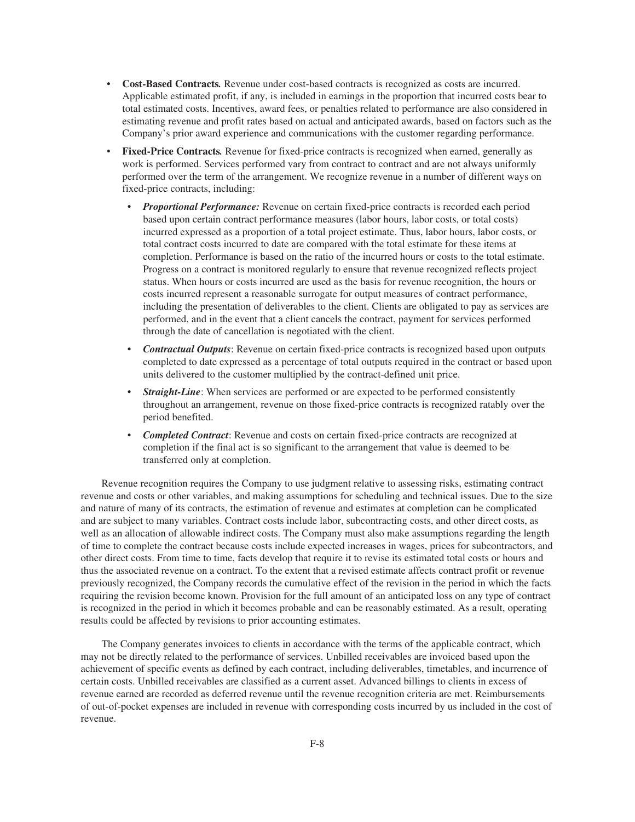- **Cost-Based Contracts***.* Revenue under cost-based contracts is recognized as costs are incurred. Applicable estimated profit, if any, is included in earnings in the proportion that incurred costs bear to total estimated costs. Incentives, award fees, or penalties related to performance are also considered in estimating revenue and profit rates based on actual and anticipated awards, based on factors such as the Company's prior award experience and communications with the customer regarding performance.
- **Fixed-Price Contracts***.* Revenue for fixed-price contracts is recognized when earned, generally as work is performed. Services performed vary from contract to contract and are not always uniformly performed over the term of the arrangement. We recognize revenue in a number of different ways on fixed-price contracts, including:
	- *Proportional Performance:* Revenue on certain fixed-price contracts is recorded each period based upon certain contract performance measures (labor hours, labor costs, or total costs) incurred expressed as a proportion of a total project estimate. Thus, labor hours, labor costs, or total contract costs incurred to date are compared with the total estimate for these items at completion. Performance is based on the ratio of the incurred hours or costs to the total estimate. Progress on a contract is monitored regularly to ensure that revenue recognized reflects project status. When hours or costs incurred are used as the basis for revenue recognition, the hours or costs incurred represent a reasonable surrogate for output measures of contract performance, including the presentation of deliverables to the client. Clients are obligated to pay as services are performed, and in the event that a client cancels the contract, payment for services performed through the date of cancellation is negotiated with the client.
	- *Contractual Outputs*: Revenue on certain fixed-price contracts is recognized based upon outputs completed to date expressed as a percentage of total outputs required in the contract or based upon units delivered to the customer multiplied by the contract-defined unit price.
	- *Straight-Line*: When services are performed or are expected to be performed consistently throughout an arrangement, revenue on those fixed-price contracts is recognized ratably over the period benefited.
	- *Completed Contract*: Revenue and costs on certain fixed-price contracts are recognized at completion if the final act is so significant to the arrangement that value is deemed to be transferred only at completion.

Revenue recognition requires the Company to use judgment relative to assessing risks, estimating contract revenue and costs or other variables, and making assumptions for scheduling and technical issues. Due to the size and nature of many of its contracts, the estimation of revenue and estimates at completion can be complicated and are subject to many variables. Contract costs include labor, subcontracting costs, and other direct costs, as well as an allocation of allowable indirect costs. The Company must also make assumptions regarding the length of time to complete the contract because costs include expected increases in wages, prices for subcontractors, and other direct costs. From time to time, facts develop that require it to revise its estimated total costs or hours and thus the associated revenue on a contract. To the extent that a revised estimate affects contract profit or revenue previously recognized, the Company records the cumulative effect of the revision in the period in which the facts requiring the revision become known. Provision for the full amount of an anticipated loss on any type of contract is recognized in the period in which it becomes probable and can be reasonably estimated. As a result, operating results could be affected by revisions to prior accounting estimates.

The Company generates invoices to clients in accordance with the terms of the applicable contract, which may not be directly related to the performance of services. Unbilled receivables are invoiced based upon the achievement of specific events as defined by each contract, including deliverables, timetables, and incurrence of certain costs. Unbilled receivables are classified as a current asset. Advanced billings to clients in excess of revenue earned are recorded as deferred revenue until the revenue recognition criteria are met. Reimbursements of out-of-pocket expenses are included in revenue with corresponding costs incurred by us included in the cost of revenue.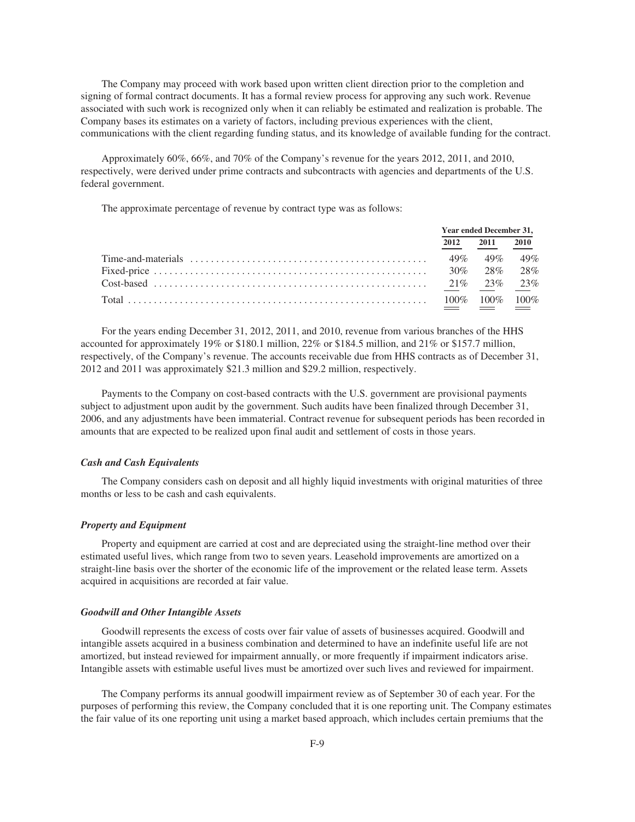The Company may proceed with work based upon written client direction prior to the completion and signing of formal contract documents. It has a formal review process for approving any such work. Revenue associated with such work is recognized only when it can reliably be estimated and realization is probable. The Company bases its estimates on a variety of factors, including previous experiences with the client, communications with the client regarding funding status, and its knowledge of available funding for the contract.

Approximately 60%, 66%, and 70% of the Company's revenue for the years 2012, 2011, and 2010, respectively, were derived under prime contracts and subcontracts with agencies and departments of the U.S. federal government.

The approximate percentage of revenue by contract type was as follows:

|                                                                                                                                           |      | Year ended December 31, |             |
|-------------------------------------------------------------------------------------------------------------------------------------------|------|-------------------------|-------------|
|                                                                                                                                           | 2012 | 2011                    | <b>2010</b> |
| Time-and-materials $\ldots$ , $\ldots$ , $\ldots$ , $\ldots$ , $\ldots$ , $\ldots$ , $\ldots$ , $\ldots$ , $\ldots$ , $\ldots$ , $\ldots$ |      | $49\%$ $49\%$ $49\%$    |             |
|                                                                                                                                           |      | 30\% 28\% 28\%          |             |
|                                                                                                                                           |      |                         |             |
|                                                                                                                                           |      |                         |             |

For the years ending December 31, 2012, 2011, and 2010, revenue from various branches of the HHS accounted for approximately 19% or \$180.1 million, 22% or \$184.5 million, and 21% or \$157.7 million, respectively, of the Company's revenue. The accounts receivable due from HHS contracts as of December 31, 2012 and 2011 was approximately \$21.3 million and \$29.2 million, respectively.

Payments to the Company on cost-based contracts with the U.S. government are provisional payments subject to adjustment upon audit by the government. Such audits have been finalized through December 31, 2006, and any adjustments have been immaterial. Contract revenue for subsequent periods has been recorded in amounts that are expected to be realized upon final audit and settlement of costs in those years.

### *Cash and Cash Equivalents*

The Company considers cash on deposit and all highly liquid investments with original maturities of three months or less to be cash and cash equivalents.

### *Property and Equipment*

Property and equipment are carried at cost and are depreciated using the straight-line method over their estimated useful lives, which range from two to seven years. Leasehold improvements are amortized on a straight-line basis over the shorter of the economic life of the improvement or the related lease term. Assets acquired in acquisitions are recorded at fair value.

#### *Goodwill and Other Intangible Assets*

Goodwill represents the excess of costs over fair value of assets of businesses acquired. Goodwill and intangible assets acquired in a business combination and determined to have an indefinite useful life are not amortized, but instead reviewed for impairment annually, or more frequently if impairment indicators arise. Intangible assets with estimable useful lives must be amortized over such lives and reviewed for impairment.

The Company performs its annual goodwill impairment review as of September 30 of each year. For the purposes of performing this review, the Company concluded that it is one reporting unit. The Company estimates the fair value of its one reporting unit using a market based approach, which includes certain premiums that the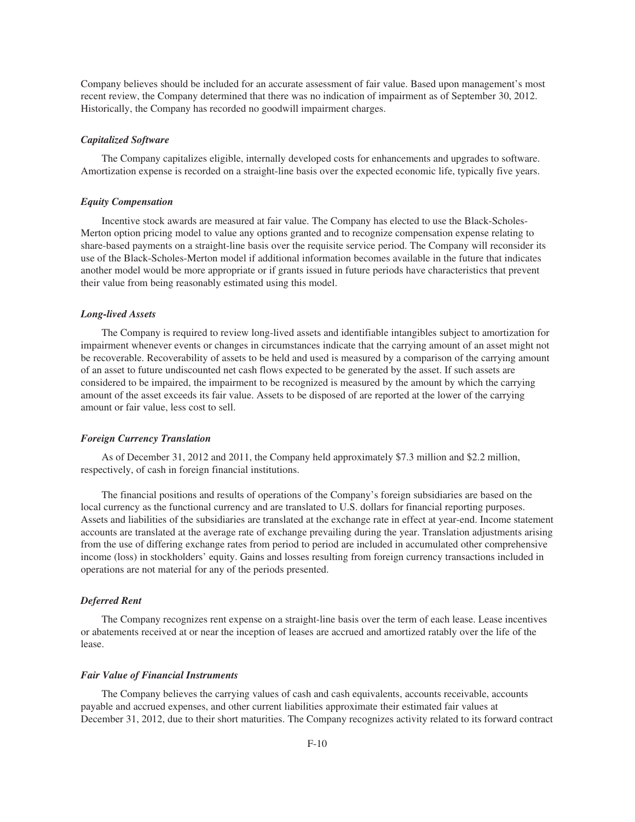Company believes should be included for an accurate assessment of fair value. Based upon management's most recent review, the Company determined that there was no indication of impairment as of September 30, 2012. Historically, the Company has recorded no goodwill impairment charges.

### *Capitalized Software*

The Company capitalizes eligible, internally developed costs for enhancements and upgrades to software. Amortization expense is recorded on a straight-line basis over the expected economic life, typically five years.

#### *Equity Compensation*

Incentive stock awards are measured at fair value. The Company has elected to use the Black-Scholes-Merton option pricing model to value any options granted and to recognize compensation expense relating to share-based payments on a straight-line basis over the requisite service period. The Company will reconsider its use of the Black-Scholes-Merton model if additional information becomes available in the future that indicates another model would be more appropriate or if grants issued in future periods have characteristics that prevent their value from being reasonably estimated using this model.

#### *Long-lived Assets*

The Company is required to review long-lived assets and identifiable intangibles subject to amortization for impairment whenever events or changes in circumstances indicate that the carrying amount of an asset might not be recoverable. Recoverability of assets to be held and used is measured by a comparison of the carrying amount of an asset to future undiscounted net cash flows expected to be generated by the asset. If such assets are considered to be impaired, the impairment to be recognized is measured by the amount by which the carrying amount of the asset exceeds its fair value. Assets to be disposed of are reported at the lower of the carrying amount or fair value, less cost to sell.

### *Foreign Currency Translation*

As of December 31, 2012 and 2011, the Company held approximately \$7.3 million and \$2.2 million, respectively, of cash in foreign financial institutions.

The financial positions and results of operations of the Company's foreign subsidiaries are based on the local currency as the functional currency and are translated to U.S. dollars for financial reporting purposes. Assets and liabilities of the subsidiaries are translated at the exchange rate in effect at year-end. Income statement accounts are translated at the average rate of exchange prevailing during the year. Translation adjustments arising from the use of differing exchange rates from period to period are included in accumulated other comprehensive income (loss) in stockholders' equity. Gains and losses resulting from foreign currency transactions included in operations are not material for any of the periods presented.

### *Deferred Rent*

The Company recognizes rent expense on a straight-line basis over the term of each lease. Lease incentives or abatements received at or near the inception of leases are accrued and amortized ratably over the life of the lease.

#### *Fair Value of Financial Instruments*

The Company believes the carrying values of cash and cash equivalents, accounts receivable, accounts payable and accrued expenses, and other current liabilities approximate their estimated fair values at December 31, 2012, due to their short maturities. The Company recognizes activity related to its forward contract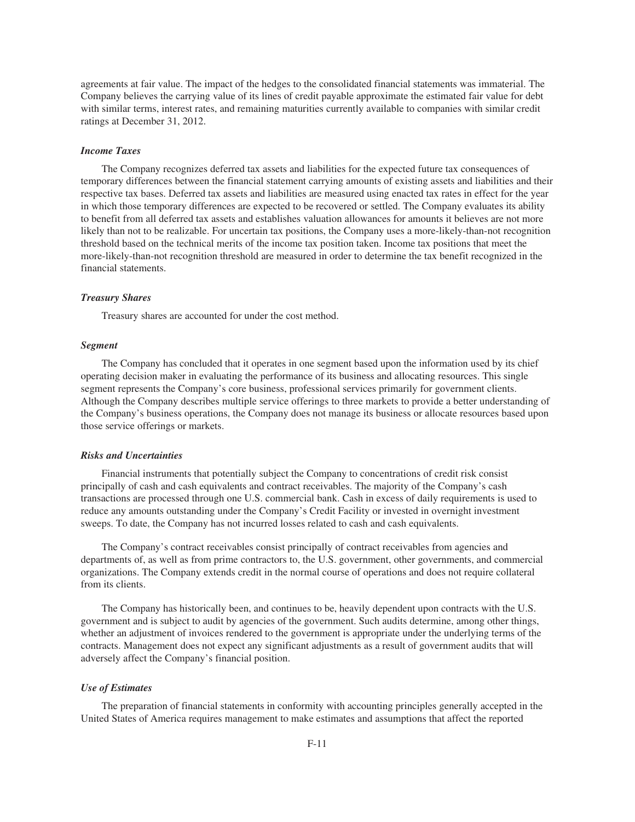agreements at fair value. The impact of the hedges to the consolidated financial statements was immaterial. The Company believes the carrying value of its lines of credit payable approximate the estimated fair value for debt with similar terms, interest rates, and remaining maturities currently available to companies with similar credit ratings at December 31, 2012.

### *Income Taxes*

The Company recognizes deferred tax assets and liabilities for the expected future tax consequences of temporary differences between the financial statement carrying amounts of existing assets and liabilities and their respective tax bases. Deferred tax assets and liabilities are measured using enacted tax rates in effect for the year in which those temporary differences are expected to be recovered or settled. The Company evaluates its ability to benefit from all deferred tax assets and establishes valuation allowances for amounts it believes are not more likely than not to be realizable. For uncertain tax positions, the Company uses a more-likely-than-not recognition threshold based on the technical merits of the income tax position taken. Income tax positions that meet the more-likely-than-not recognition threshold are measured in order to determine the tax benefit recognized in the financial statements.

#### *Treasury Shares*

Treasury shares are accounted for under the cost method.

### *Segment*

The Company has concluded that it operates in one segment based upon the information used by its chief operating decision maker in evaluating the performance of its business and allocating resources. This single segment represents the Company's core business, professional services primarily for government clients. Although the Company describes multiple service offerings to three markets to provide a better understanding of the Company's business operations, the Company does not manage its business or allocate resources based upon those service offerings or markets.

## *Risks and Uncertainties*

Financial instruments that potentially subject the Company to concentrations of credit risk consist principally of cash and cash equivalents and contract receivables. The majority of the Company's cash transactions are processed through one U.S. commercial bank. Cash in excess of daily requirements is used to reduce any amounts outstanding under the Company's Credit Facility or invested in overnight investment sweeps. To date, the Company has not incurred losses related to cash and cash equivalents.

The Company's contract receivables consist principally of contract receivables from agencies and departments of, as well as from prime contractors to, the U.S. government, other governments, and commercial organizations. The Company extends credit in the normal course of operations and does not require collateral from its clients.

The Company has historically been, and continues to be, heavily dependent upon contracts with the U.S. government and is subject to audit by agencies of the government. Such audits determine, among other things, whether an adjustment of invoices rendered to the government is appropriate under the underlying terms of the contracts. Management does not expect any significant adjustments as a result of government audits that will adversely affect the Company's financial position.

### *Use of Estimates*

The preparation of financial statements in conformity with accounting principles generally accepted in the United States of America requires management to make estimates and assumptions that affect the reported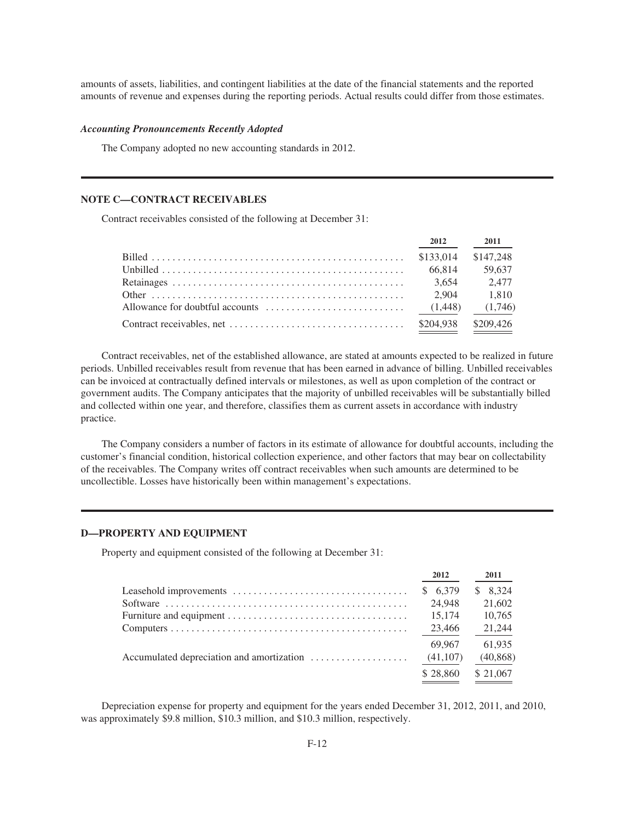amounts of assets, liabilities, and contingent liabilities at the date of the financial statements and the reported amounts of revenue and expenses during the reporting periods. Actual results could differ from those estimates.

### *Accounting Pronouncements Recently Adopted*

The Company adopted no new accounting standards in 2012.

## **NOTE C—CONTRACT RECEIVABLES**

Contract receivables consisted of the following at December 31:

| 2012 | 2011      |
|------|-----------|
|      | \$147,248 |
|      | 59,637    |
|      |           |
|      |           |
|      | (1,746)   |
|      |           |

Contract receivables, net of the established allowance, are stated at amounts expected to be realized in future periods. Unbilled receivables result from revenue that has been earned in advance of billing. Unbilled receivables can be invoiced at contractually defined intervals or milestones, as well as upon completion of the contract or government audits. The Company anticipates that the majority of unbilled receivables will be substantially billed and collected within one year, and therefore, classifies them as current assets in accordance with industry practice.

The Company considers a number of factors in its estimate of allowance for doubtful accounts, including the customer's financial condition, historical collection experience, and other factors that may bear on collectability of the receivables. The Company writes off contract receivables when such amounts are determined to be uncollectible. Losses have historically been within management's expectations.

### **D—PROPERTY AND EQUIPMENT**

Property and equipment consisted of the following at December 31:

|                                           | 2012     | 2011      |
|-------------------------------------------|----------|-----------|
|                                           | \$6,379  | \$8,324   |
|                                           | 24,948   | 21,602    |
|                                           | 15,174   | 10,765    |
|                                           | 23,466   | 21,244    |
|                                           | 69.967   | 61.935    |
| Accumulated depreciation and amortization | (41,107) | (40, 868) |
|                                           | \$28,860 | \$21,067  |
|                                           |          |           |

Depreciation expense for property and equipment for the years ended December 31, 2012, 2011, and 2010, was approximately \$9.8 million, \$10.3 million, and \$10.3 million, respectively.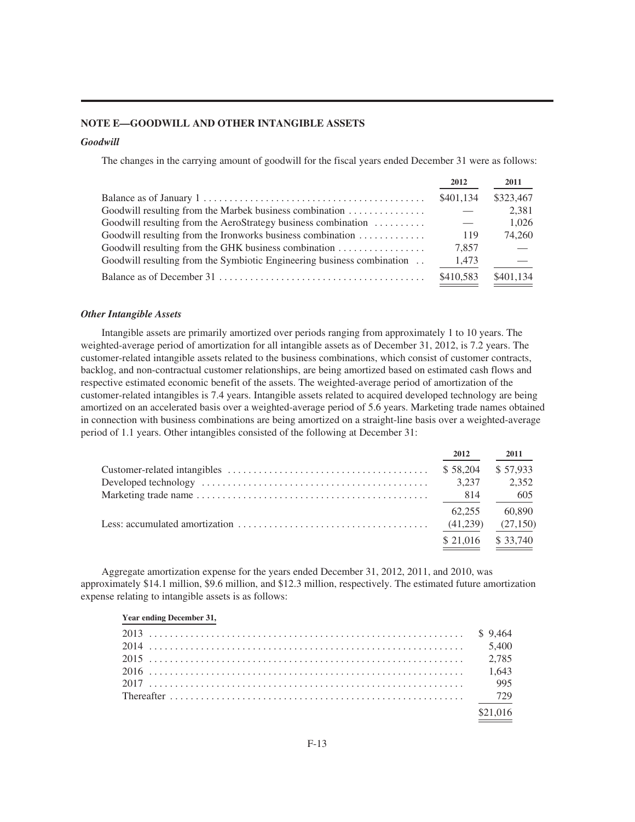## **NOTE E—GOODWILL AND OTHER INTANGIBLE ASSETS**

## *Goodwill*

The changes in the carrying amount of goodwill for the fiscal years ended December 31 were as follows:

|                                                                        | 2012      | 2011      |
|------------------------------------------------------------------------|-----------|-----------|
|                                                                        | \$401,134 | \$323,467 |
| Goodwill resulting from the Marbek business combination                |           | 2,381     |
| Goodwill resulting from the AeroStrategy business combination          |           | 1.026     |
| Goodwill resulting from the Ironworks business combination             | 119       | 74.260    |
| Goodwill resulting from the GHK business combination                   | 7.857     |           |
| Goodwill resulting from the Symbiotic Engineering business combination | 1,473     |           |
|                                                                        | \$410,583 | \$401,134 |

### *Other Intangible Assets*

**Year ending December 31,**

Intangible assets are primarily amortized over periods ranging from approximately 1 to 10 years. The weighted-average period of amortization for all intangible assets as of December 31, 2012, is 7.2 years. The customer-related intangible assets related to the business combinations, which consist of customer contracts, backlog, and non-contractual customer relationships, are being amortized based on estimated cash flows and respective estimated economic benefit of the assets. The weighted-average period of amortization of the customer-related intangibles is 7.4 years. Intangible assets related to acquired developed technology are being amortized on an accelerated basis over a weighted-average period of 5.6 years. Marketing trade names obtained in connection with business combinations are being amortized on a straight-line basis over a weighted-average period of 1.1 years. Other intangibles consisted of the following at December 31:

| 2012     | 2011      |
|----------|-----------|
| \$58,204 | \$57,933  |
| 3.237    | 2.352     |
| -814     | 605       |
| 62.255   | 60,890    |
| (41,239) | (27, 150) |
| \$21,016 | \$33,740  |

Aggregate amortization expense for the years ended December 31, 2012, 2011, and 2010, was approximately \$14.1 million, \$9.6 million, and \$12.3 million, respectively. The estimated future amortization expense relating to intangible assets is as follows:

|  |  |  |  |  |  |  |  |  |  |  |  |  |  |  |  |  |  |  |  |  |  |  |  |  |  |  |  | \$21.016 |
|--|--|--|--|--|--|--|--|--|--|--|--|--|--|--|--|--|--|--|--|--|--|--|--|--|--|--|--|----------|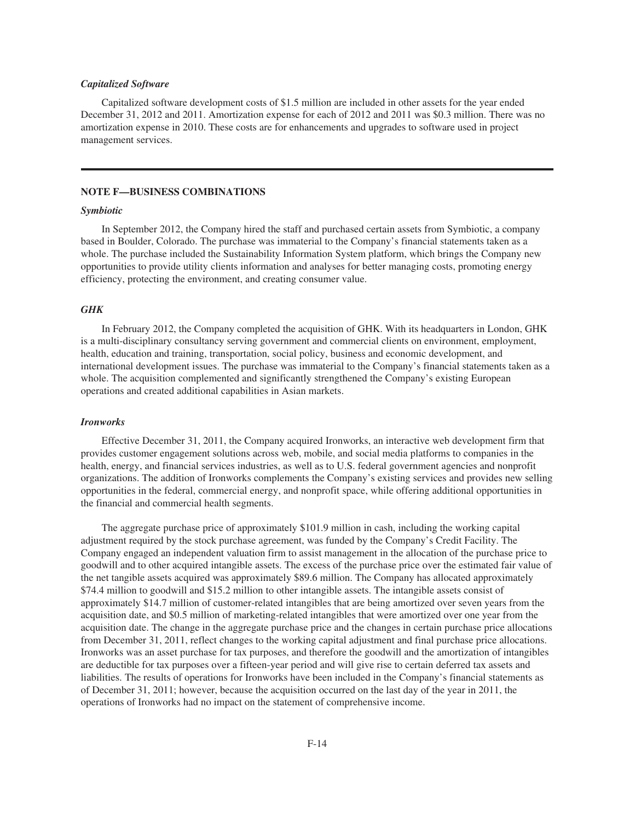## *Capitalized Software*

Capitalized software development costs of \$1.5 million are included in other assets for the year ended December 31, 2012 and 2011. Amortization expense for each of 2012 and 2011 was \$0.3 million. There was no amortization expense in 2010. These costs are for enhancements and upgrades to software used in project management services.

#### **NOTE F—BUSINESS COMBINATIONS**

### *Symbiotic*

In September 2012, the Company hired the staff and purchased certain assets from Symbiotic, a company based in Boulder, Colorado. The purchase was immaterial to the Company's financial statements taken as a whole. The purchase included the Sustainability Information System platform, which brings the Company new opportunities to provide utility clients information and analyses for better managing costs, promoting energy efficiency, protecting the environment, and creating consumer value.

#### *GHK*

In February 2012, the Company completed the acquisition of GHK. With its headquarters in London, GHK is a multi-disciplinary consultancy serving government and commercial clients on environment, employment, health, education and training, transportation, social policy, business and economic development, and international development issues. The purchase was immaterial to the Company's financial statements taken as a whole. The acquisition complemented and significantly strengthened the Company's existing European operations and created additional capabilities in Asian markets.

## *Ironworks*

Effective December 31, 2011, the Company acquired Ironworks, an interactive web development firm that provides customer engagement solutions across web, mobile, and social media platforms to companies in the health, energy, and financial services industries, as well as to U.S. federal government agencies and nonprofit organizations. The addition of Ironworks complements the Company's existing services and provides new selling opportunities in the federal, commercial energy, and nonprofit space, while offering additional opportunities in the financial and commercial health segments.

The aggregate purchase price of approximately \$101.9 million in cash, including the working capital adjustment required by the stock purchase agreement, was funded by the Company's Credit Facility. The Company engaged an independent valuation firm to assist management in the allocation of the purchase price to goodwill and to other acquired intangible assets. The excess of the purchase price over the estimated fair value of the net tangible assets acquired was approximately \$89.6 million. The Company has allocated approximately \$74.4 million to goodwill and \$15.2 million to other intangible assets. The intangible assets consist of approximately \$14.7 million of customer-related intangibles that are being amortized over seven years from the acquisition date, and \$0.5 million of marketing-related intangibles that were amortized over one year from the acquisition date. The change in the aggregate purchase price and the changes in certain purchase price allocations from December 31, 2011, reflect changes to the working capital adjustment and final purchase price allocations. Ironworks was an asset purchase for tax purposes, and therefore the goodwill and the amortization of intangibles are deductible for tax purposes over a fifteen-year period and will give rise to certain deferred tax assets and liabilities. The results of operations for Ironworks have been included in the Company's financial statements as of December 31, 2011; however, because the acquisition occurred on the last day of the year in 2011, the operations of Ironworks had no impact on the statement of comprehensive income.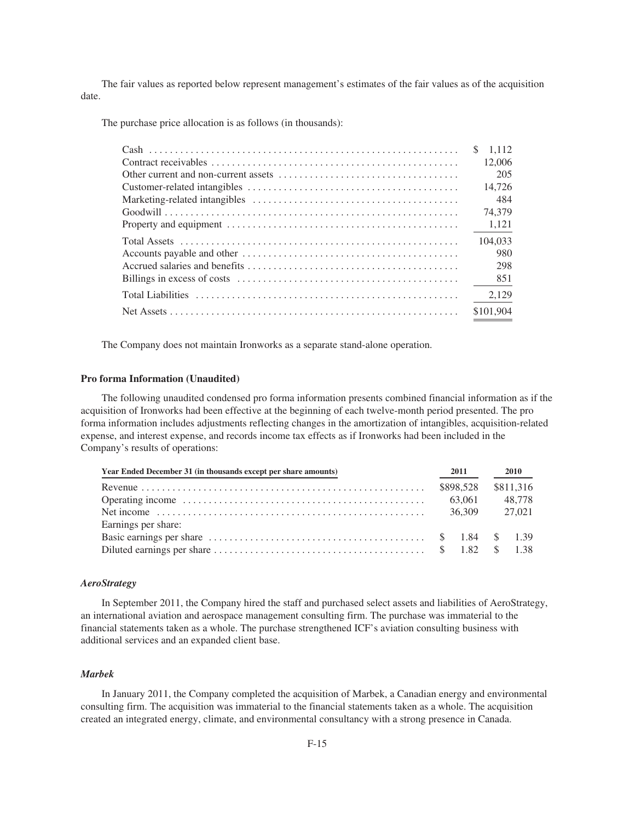The fair values as reported below represent management's estimates of the fair values as of the acquisition date.

The purchase price allocation is as follows (in thousands):

| \$1.112   |
|-----------|
| 12,006    |
| 205       |
| 14.726    |
| 484       |
| 74.379    |
| 1,121     |
| 104,033   |
| 980       |
| 298       |
| 851       |
| 2,129     |
| \$101,904 |

The Company does not maintain Ironworks as a separate stand-alone operation.

## **Pro forma Information (Unaudited)**

The following unaudited condensed pro forma information presents combined financial information as if the acquisition of Ironworks had been effective at the beginning of each twelve-month period presented. The pro forma information includes adjustments reflecting changes in the amortization of intangibles, acquisition-related expense, and interest expense, and records income tax effects as if Ironworks had been included in the Company's results of operations:

| Year Ended December 31 (in thousands except per share amounts)                                         | 2011      | <b>2010</b> |
|--------------------------------------------------------------------------------------------------------|-----------|-------------|
|                                                                                                        | \$898.528 | \$811,316   |
|                                                                                                        | 63,061    | 48.778      |
|                                                                                                        | 36,309    | 27,021      |
| Earnings per share:                                                                                    |           |             |
| Basic earnings per share $\dots \dots \dots \dots \dots \dots \dots \dots \dots \dots$ \$ 1.84 \$ 1.39 |           |             |
|                                                                                                        |           |             |

### *AeroStrategy*

In September 2011, the Company hired the staff and purchased select assets and liabilities of AeroStrategy, an international aviation and aerospace management consulting firm. The purchase was immaterial to the financial statements taken as a whole. The purchase strengthened ICF's aviation consulting business with additional services and an expanded client base.

## *Marbek*

In January 2011, the Company completed the acquisition of Marbek, a Canadian energy and environmental consulting firm. The acquisition was immaterial to the financial statements taken as a whole. The acquisition created an integrated energy, climate, and environmental consultancy with a strong presence in Canada.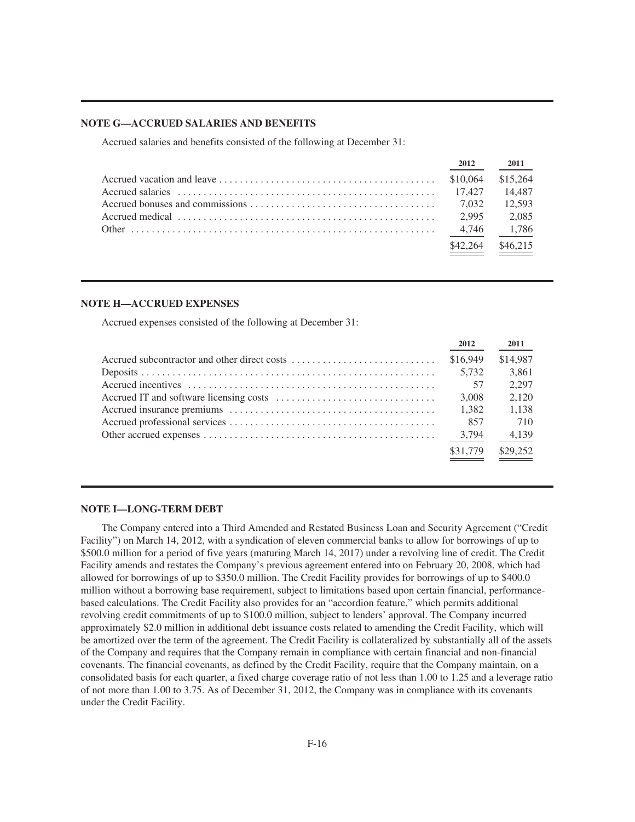### **NOTE G—ACCRUED SALARIES AND BENEFITS**

Accrued salaries and benefits consisted of the following at December 31:

| 2012     | 2011     |
|----------|----------|
| \$10,064 | \$15,264 |
|          | 14.487   |
|          | 12.593   |
| 2.995    | 2.085    |
| 4.746    | 1,786    |
| \$42.264 | \$46,215 |

### **NOTE H—ACCRUED EXPENSES**

Accrued expenses consisted of the following at December 31:

| 2012     | 2011     |
|----------|----------|
| \$16,949 | \$14,987 |
| 5.732    | 3.861    |
| 57       | 2.297    |
| 3,008    | 2.120    |
| 1.382    | 1.138    |
| 857      | 710      |
| 3,794    | 4,139    |
| \$31,779 | \$29,252 |

#### **NOTE I—LONG-TERM DEBT**

The Company entered into a Third Amended and Restated Business Loan and Security Agreement ("Credit Facility") on March 14, 2012, with a syndication of eleven commercial banks to allow for borrowings of up to \$500.0 million for a period of five years (maturing March 14, 2017) under a revolving line of credit. The Credit Facility amends and restates the Company's previous agreement entered into on February 20, 2008, which had allowed for borrowings of up to \$350.0 million. The Credit Facility provides for borrowings of up to \$400.0 million without a borrowing base requirement, subject to limitations based upon certain financial, performancebased calculations. The Credit Facility also provides for an "accordion feature," which permits additional revolving credit commitments of up to \$100.0 million, subject to lenders' approval. The Company incurred approximately \$2.0 million in additional debt issuance costs related to amending the Credit Facility, which will be amortized over the term of the agreement. The Credit Facility is collateralized by substantially all of the assets of the Company and requires that the Company remain in compliance with certain financial and non-financial covenants. The financial covenants, as defined by the Credit Facility, require that the Company maintain, on a consolidated basis for each quarter, a fixed charge coverage ratio of not less than 1.00 to 1.25 and a leverage ratio of not more than 1.00 to 3.75. As of December 31, 2012, the Company was in compliance with its covenants under the Credit Facility.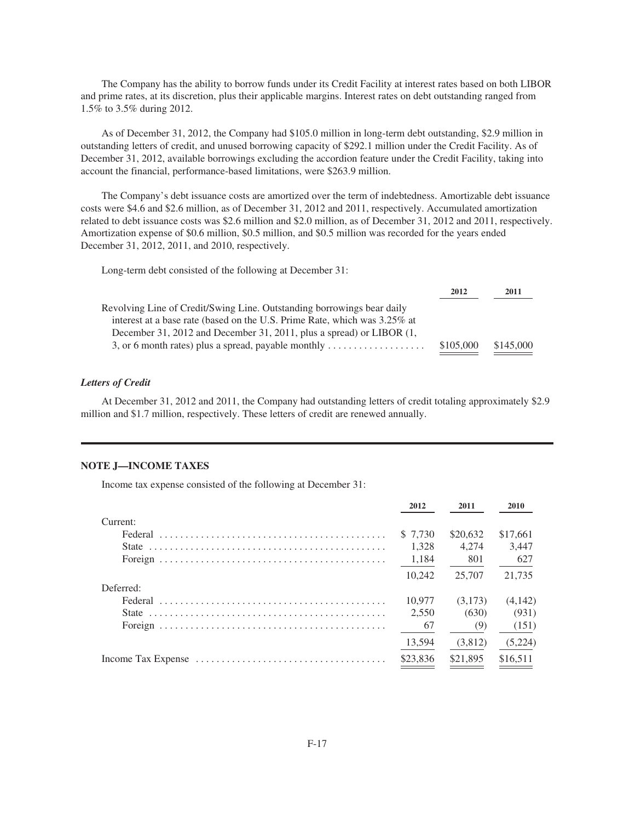The Company has the ability to borrow funds under its Credit Facility at interest rates based on both LIBOR and prime rates, at its discretion, plus their applicable margins. Interest rates on debt outstanding ranged from 1.5% to 3.5% during 2012.

As of December 31, 2012, the Company had \$105.0 million in long-term debt outstanding, \$2.9 million in outstanding letters of credit, and unused borrowing capacity of \$292.1 million under the Credit Facility. As of December 31, 2012, available borrowings excluding the accordion feature under the Credit Facility, taking into account the financial, performance-based limitations, were \$263.9 million.

The Company's debt issuance costs are amortized over the term of indebtedness. Amortizable debt issuance costs were \$4.6 and \$2.6 million, as of December 31, 2012 and 2011, respectively. Accumulated amortization related to debt issuance costs was \$2.6 million and \$2.0 million, as of December 31, 2012 and 2011, respectively. Amortization expense of \$0.6 million, \$0.5 million, and \$0.5 million was recorded for the years ended December 31, 2012, 2011, and 2010, respectively.

Long-term debt consisted of the following at December 31:

|                                                                                      | 2012      | 2011      |
|--------------------------------------------------------------------------------------|-----------|-----------|
| Revolving Line of Credit/Swing Line. Outstanding borrowings bear daily               |           |           |
| interest at a base rate (based on the U.S. Prime Rate, which was 3.25% at            |           |           |
| December 31, 2012 and December 31, 2011, plus a spread) or LIBOR (1,                 |           |           |
| 3, or 6 month rates) plus a spread, payable monthly $\dots\dots\dots\dots\dots\dots$ | \$105,000 | \$145,000 |
|                                                                                      |           |           |

## *Letters of Credit*

At December 31, 2012 and 2011, the Company had outstanding letters of credit totaling approximately \$2.9 million and \$1.7 million, respectively. These letters of credit are renewed annually.

### **NOTE J—INCOME TAXES**

Income tax expense consisted of the following at December 31:

|           | 2012     | 2011     | 2010     |
|-----------|----------|----------|----------|
| Current:  |          |          |          |
|           | \$ 7.730 | \$20,632 | \$17,661 |
|           | 1.328    | 4.274    | 3.447    |
|           | 1,184    | 801      | 627      |
|           | 10.242   | 25,707   | 21.735   |
| Deferred: |          |          |          |
|           | 10.977   | (3.173)  | (4,142)  |
|           | 2.550    | (630)    | (931)    |
|           | 67       | (9)      | (151)    |
|           | 13,594   | (3,812)  | (5,224)  |
|           | \$23,836 | \$21,895 | \$16,511 |
|           |          |          |          |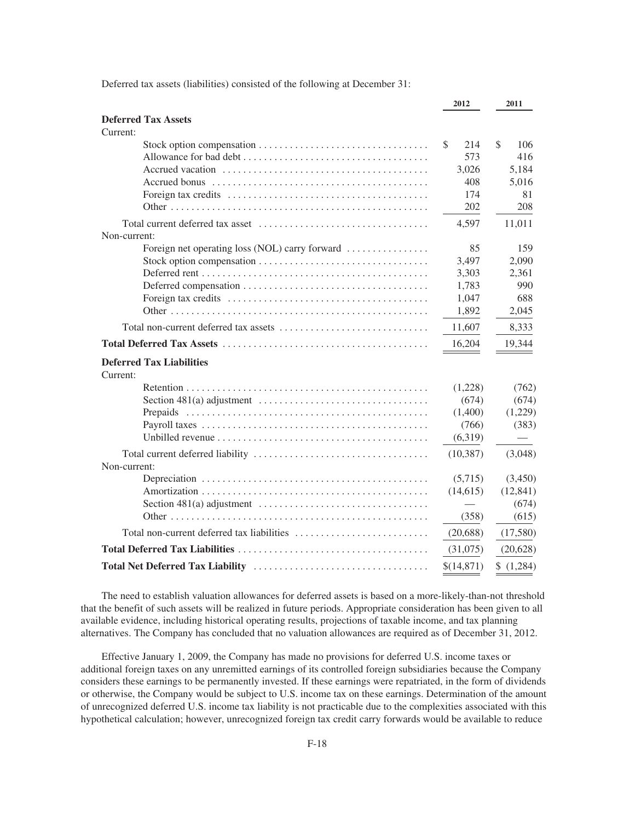|                                                                | 2012                | 2011      |
|----------------------------------------------------------------|---------------------|-----------|
| <b>Deferred Tax Assets</b>                                     |                     |           |
| Current:                                                       |                     |           |
|                                                                | $\mathbb{S}$<br>214 | \$<br>106 |
|                                                                | 573                 | 416       |
|                                                                | 3,026               | 5,184     |
|                                                                | 408                 | 5,016     |
|                                                                | 174                 | 81        |
|                                                                | 202                 | 208       |
|                                                                | 4,597               | 11,011    |
| Non-current:<br>Foreign net operating loss (NOL) carry forward | 85                  | 159       |
|                                                                | 3,497               | 2,090     |
|                                                                | 3,303               | 2,361     |
|                                                                | 1,783               | 990       |
|                                                                | 1,047               | 688       |
|                                                                | 1,892               | 2,045     |
|                                                                | 11,607              | 8,333     |
|                                                                | 16,204              | 19,344    |
| <b>Deferred Tax Liabilities</b>                                |                     |           |
| Current:                                                       |                     |           |
|                                                                | (1,228)             | (762)     |
|                                                                | (674)               | (674)     |
|                                                                | (1,400)             | (1,229)   |
|                                                                | (766)               | (383)     |
|                                                                | (6,319)             |           |
| Non-current:                                                   | (10, 387)           | (3,048)   |
|                                                                | (5,715)             | (3,450)   |
|                                                                | (14,615)            | (12, 841) |
|                                                                |                     | (674)     |
|                                                                | (358)               | (615)     |
| Total non-current deferred tax liabilities                     | (20, 688)           | (17,580)  |
|                                                                | (31,075)            | (20,628)  |
|                                                                | \$(14,871)          | \$(1,284) |

Deferred tax assets (liabilities) consisted of the following at December 31:

The need to establish valuation allowances for deferred assets is based on a more-likely-than-not threshold that the benefit of such assets will be realized in future periods. Appropriate consideration has been given to all available evidence, including historical operating results, projections of taxable income, and tax planning alternatives. The Company has concluded that no valuation allowances are required as of December 31, 2012.

Effective January 1, 2009, the Company has made no provisions for deferred U.S. income taxes or additional foreign taxes on any unremitted earnings of its controlled foreign subsidiaries because the Company considers these earnings to be permanently invested. If these earnings were repatriated, in the form of dividends or otherwise, the Company would be subject to U.S. income tax on these earnings. Determination of the amount of unrecognized deferred U.S. income tax liability is not practicable due to the complexities associated with this hypothetical calculation; however, unrecognized foreign tax credit carry forwards would be available to reduce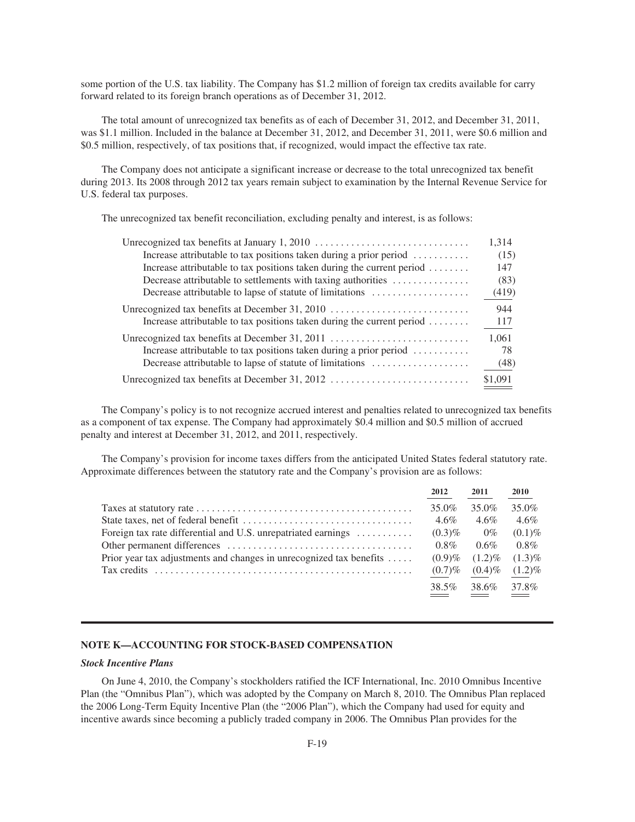some portion of the U.S. tax liability. The Company has \$1.2 million of foreign tax credits available for carry forward related to its foreign branch operations as of December 31, 2012.

The total amount of unrecognized tax benefits as of each of December 31, 2012, and December 31, 2011, was \$1.1 million. Included in the balance at December 31, 2012, and December 31, 2011, were \$0.6 million and \$0.5 million, respectively, of tax positions that, if recognized, would impact the effective tax rate.

The Company does not anticipate a significant increase or decrease to the total unrecognized tax benefit during 2013. Its 2008 through 2012 tax years remain subject to examination by the Internal Revenue Service for U.S. federal tax purposes.

The unrecognized tax benefit reconciliation, excluding penalty and interest, is as follows:

|                                                                                     | 1,314   |
|-------------------------------------------------------------------------------------|---------|
| Increase attributable to tax positions taken during a prior period                  | (15)    |
| Increase attributable to tax positions taken during the current period              | 147     |
| Decrease attributable to settlements with taxing authorities                        | (83)    |
| Decrease attributable to lapse of statute of limitations                            | (419)   |
|                                                                                     | 944     |
| Increase attributable to tax positions taken during the current period $\dots\dots$ | 117     |
|                                                                                     | 1,061   |
| Increase attributable to tax positions taken during a prior period                  | 78      |
| Decrease attributable to lapse of statute of limitations                            | (48)    |
|                                                                                     | \$1,091 |

The Company's policy is to not recognize accrued interest and penalties related to unrecognized tax benefits as a component of tax expense. The Company had approximately \$0.4 million and \$0.5 million of accrued penalty and interest at December 31, 2012, and 2011, respectively.

The Company's provision for income taxes differs from the anticipated United States federal statutory rate. Approximate differences between the statutory rate and the Company's provision are as follows:

|                                                                     | 2012      | 2011      | 2010      |
|---------------------------------------------------------------------|-----------|-----------|-----------|
|                                                                     | 35.0%     | 35.0%     | 35.0%     |
|                                                                     | $4.6\%$   | $4.6\%$   | $4.6\%$   |
| Foreign tax rate differential and U.S. unrepatriated earnings       | $(0.3)\%$ | $0\%$     | $(0.1)\%$ |
|                                                                     | $0.8\%$   | $0.6\%$   | $0.8\%$   |
| Prior year tax adjustments and changes in unrecognized tax benefits | $(0.9)\%$ | $(1.2)\%$ | $(1.3)\%$ |
|                                                                     | $(0.7)\%$ | $(0.4)\%$ | $(1.2)\%$ |
|                                                                     | 38.5%     | 38.6%     | 37.8%     |

## **NOTE K—ACCOUNTING FOR STOCK-BASED COMPENSATION**

#### *Stock Incentive Plans*

On June 4, 2010, the Company's stockholders ratified the ICF International, Inc. 2010 Omnibus Incentive Plan (the "Omnibus Plan"), which was adopted by the Company on March 8, 2010. The Omnibus Plan replaced the 2006 Long-Term Equity Incentive Plan (the "2006 Plan"), which the Company had used for equity and incentive awards since becoming a publicly traded company in 2006. The Omnibus Plan provides for the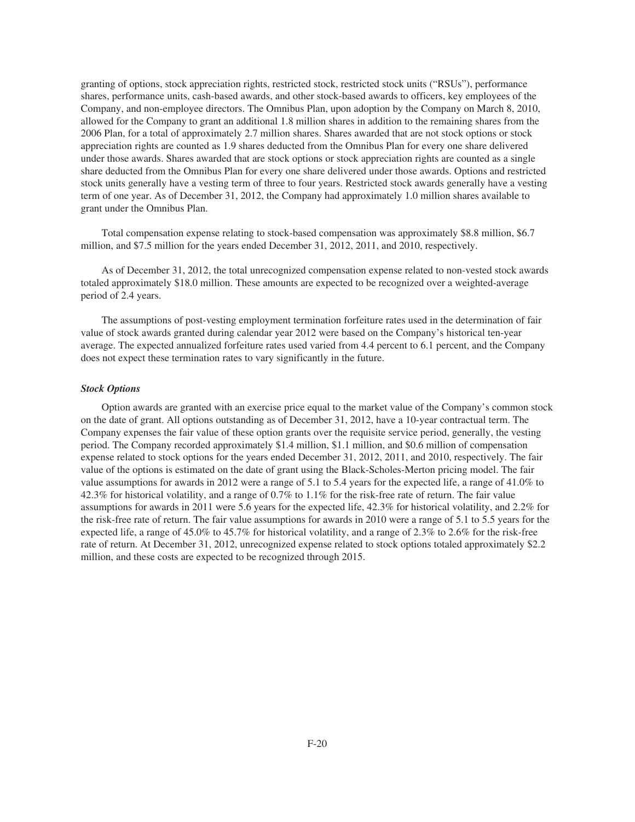granting of options, stock appreciation rights, restricted stock, restricted stock units ("RSUs"), performance shares, performance units, cash-based awards, and other stock-based awards to officers, key employees of the Company, and non-employee directors. The Omnibus Plan, upon adoption by the Company on March 8, 2010, allowed for the Company to grant an additional 1.8 million shares in addition to the remaining shares from the 2006 Plan, for a total of approximately 2.7 million shares. Shares awarded that are not stock options or stock appreciation rights are counted as 1.9 shares deducted from the Omnibus Plan for every one share delivered under those awards. Shares awarded that are stock options or stock appreciation rights are counted as a single share deducted from the Omnibus Plan for every one share delivered under those awards. Options and restricted stock units generally have a vesting term of three to four years. Restricted stock awards generally have a vesting term of one year. As of December 31, 2012, the Company had approximately 1.0 million shares available to grant under the Omnibus Plan.

Total compensation expense relating to stock-based compensation was approximately \$8.8 million, \$6.7 million, and \$7.5 million for the years ended December 31, 2012, 2011, and 2010, respectively.

As of December 31, 2012, the total unrecognized compensation expense related to non-vested stock awards totaled approximately \$18.0 million. These amounts are expected to be recognized over a weighted-average period of 2.4 years.

The assumptions of post-vesting employment termination forfeiture rates used in the determination of fair value of stock awards granted during calendar year 2012 were based on the Company's historical ten-year average. The expected annualized forfeiture rates used varied from 4.4 percent to 6.1 percent, and the Company does not expect these termination rates to vary significantly in the future.

### *Stock Options*

Option awards are granted with an exercise price equal to the market value of the Company's common stock on the date of grant. All options outstanding as of December 31, 2012, have a 10-year contractual term. The Company expenses the fair value of these option grants over the requisite service period, generally, the vesting period. The Company recorded approximately \$1.4 million, \$1.1 million, and \$0.6 million of compensation expense related to stock options for the years ended December 31, 2012, 2011, and 2010, respectively. The fair value of the options is estimated on the date of grant using the Black-Scholes-Merton pricing model. The fair value assumptions for awards in 2012 were a range of 5.1 to 5.4 years for the expected life, a range of 41.0% to 42.3% for historical volatility, and a range of 0.7% to 1.1% for the risk-free rate of return. The fair value assumptions for awards in 2011 were 5.6 years for the expected life, 42.3% for historical volatility, and 2.2% for the risk-free rate of return. The fair value assumptions for awards in 2010 were a range of 5.1 to 5.5 years for the expected life, a range of 45.0% to 45.7% for historical volatility, and a range of 2.3% to 2.6% for the risk-free rate of return. At December 31, 2012, unrecognized expense related to stock options totaled approximately \$2.2 million, and these costs are expected to be recognized through 2015.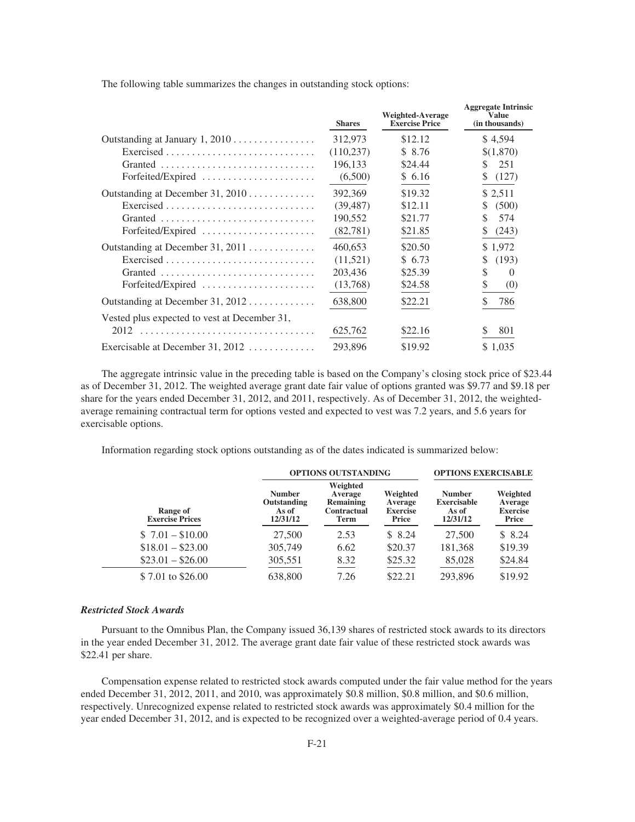The following table summarizes the changes in outstanding stock options:

|                                              | <b>Shares</b> | <b>Weighted-Average</b><br><b>Exercise Price</b> | <b>Aggregate Intrinsic</b><br>Value<br>(in thousands) |
|----------------------------------------------|---------------|--------------------------------------------------|-------------------------------------------------------|
|                                              | 312,973       | \$12.12                                          | \$4,594                                               |
|                                              | (110, 237)    | \$8.76                                           | \$(1,870)                                             |
| Granted                                      | 196,133       | \$24.44                                          | 251<br>S.                                             |
| Forfeited/Expired                            | (6,500)       | \$6.16                                           | \$<br>(127)                                           |
| Outstanding at December 31, $2010$           | 392,369       | \$19.32                                          | \$2,511                                               |
|                                              | (39, 487)     | \$12.11                                          | (500)<br>S.                                           |
| Granted                                      | 190,552       | \$21.77                                          | \$<br>574                                             |
| Forfeited/Expired                            | (82,781)      | \$21.85                                          | \$<br>(243)                                           |
| Outstanding at December 31, $2011$           | 460,653       | \$20.50                                          | \$1,972                                               |
|                                              | (11,521)      | \$ 6.73                                          | (193)<br>S.                                           |
| Granted                                      | 203,436       | \$25.39                                          | \$<br>$\theta$                                        |
| Forfeited/Expired                            | (13,768)      | \$24.58                                          | \$<br>(0)                                             |
| Outstanding at December 31, 2012             | 638,800       | \$22.21                                          | \$<br>786                                             |
| Vested plus expected to vest at December 31, |               |                                                  |                                                       |
| 2012                                         | 625,762       | \$22.16                                          | 801<br>S                                              |
| Exercisable at December 31, $2012$           | 293,896       | \$19.92                                          | \$1,035                                               |

The aggregate intrinsic value in the preceding table is based on the Company's closing stock price of \$23.44 as of December 31, 2012. The weighted average grant date fair value of options granted was \$9.77 and \$9.18 per share for the years ended December 31, 2012, and 2011, respectively. As of December 31, 2012, the weightedaverage remaining contractual term for options vested and expected to vest was 7.2 years, and 5.6 years for exercisable options.

Information regarding stock options outstanding as of the dates indicated is summarized below:

|                                    |                                                   | <b>OPTIONS OUTSTANDING</b>                                            |                                                 |                                                          | <b>OPTIONS EXERCISABLE</b>                      |
|------------------------------------|---------------------------------------------------|-----------------------------------------------------------------------|-------------------------------------------------|----------------------------------------------------------|-------------------------------------------------|
| Range of<br><b>Exercise Prices</b> | <b>Number</b><br>Outstanding<br>As of<br>12/31/12 | Weighted<br>Average<br><b>Remaining</b><br><b>Contractual</b><br>Term | Weighted<br>Average<br><b>Exercise</b><br>Price | <b>Number</b><br><b>Exercisable</b><br>As of<br>12/31/12 | Weighted<br>Average<br><b>Exercise</b><br>Price |
| $$7.01 - $10.00$                   | 27,500                                            | 2.53                                                                  | \$8.24                                          | 27,500                                                   | \$8.24                                          |
| $$18.01 - $23.00$                  | 305,749                                           | 6.62                                                                  | \$20.37                                         | 181,368                                                  | \$19.39                                         |
| $$23.01 - $26.00$                  | 305,551                                           | 8.32                                                                  | \$25.32                                         | 85,028                                                   | \$24.84                                         |
| \$7.01 to \$26.00                  | 638,800                                           | 7.26                                                                  | \$22.21                                         | 293.896                                                  | \$19.92                                         |

## *Restricted Stock Awards*

Pursuant to the Omnibus Plan, the Company issued 36,139 shares of restricted stock awards to its directors in the year ended December 31, 2012. The average grant date fair value of these restricted stock awards was \$22.41 per share.

Compensation expense related to restricted stock awards computed under the fair value method for the years ended December 31, 2012, 2011, and 2010, was approximately \$0.8 million, \$0.8 million, and \$0.6 million, respectively. Unrecognized expense related to restricted stock awards was approximately \$0.4 million for the year ended December 31, 2012, and is expected to be recognized over a weighted-average period of 0.4 years.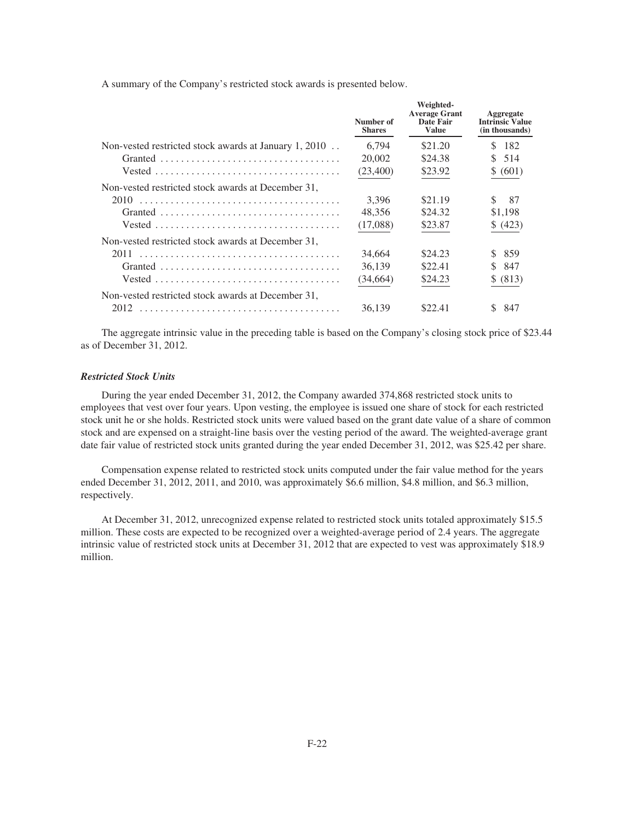A summary of the Company's restricted stock awards is presented below.

|                                                       | Number of<br><b>Shares</b> | Weighted-<br><b>Average Grant</b><br>Date Fair<br><b>Value</b> | Aggregate<br><b>Intrinsic Value</b><br>(in thousands) |
|-------------------------------------------------------|----------------------------|----------------------------------------------------------------|-------------------------------------------------------|
| Non-vested restricted stock awards at January 1, 2010 | 6.794                      | \$21.20                                                        | S.<br>182                                             |
| Granted                                               | 20,002                     | \$24.38                                                        | \$514                                                 |
|                                                       | (23,400)                   | \$23.92                                                        | \$ (601)                                              |
| Non-vested restricted stock awards at December 31,    |                            |                                                                |                                                       |
|                                                       | 3.396                      | \$21.19                                                        | -87<br>S.                                             |
|                                                       | 48,356                     | \$24.32                                                        | \$1,198                                               |
|                                                       | (17,088)                   | \$23.87                                                        | \$ (423)                                              |
| Non-vested restricted stock awards at December 31,    |                            |                                                                |                                                       |
|                                                       | 34.664                     | \$24.23                                                        | 859                                                   |
|                                                       | 36,139                     | \$22.41                                                        | -847                                                  |
|                                                       | (34, 664)                  | \$24.23                                                        | \$ (813)                                              |
| Non-vested restricted stock awards at December 31,    |                            |                                                                |                                                       |
| 2012                                                  | 36,139                     |                                                                | 847                                                   |

The aggregate intrinsic value in the preceding table is based on the Company's closing stock price of \$23.44 as of December 31, 2012.

## *Restricted Stock Units*

During the year ended December 31, 2012, the Company awarded 374,868 restricted stock units to employees that vest over four years. Upon vesting, the employee is issued one share of stock for each restricted stock unit he or she holds. Restricted stock units were valued based on the grant date value of a share of common stock and are expensed on a straight-line basis over the vesting period of the award. The weighted-average grant date fair value of restricted stock units granted during the year ended December 31, 2012, was \$25.42 per share.

Compensation expense related to restricted stock units computed under the fair value method for the years ended December 31, 2012, 2011, and 2010, was approximately \$6.6 million, \$4.8 million, and \$6.3 million, respectively.

At December 31, 2012, unrecognized expense related to restricted stock units totaled approximately \$15.5 million. These costs are expected to be recognized over a weighted-average period of 2.4 years. The aggregate intrinsic value of restricted stock units at December 31, 2012 that are expected to vest was approximately \$18.9 million.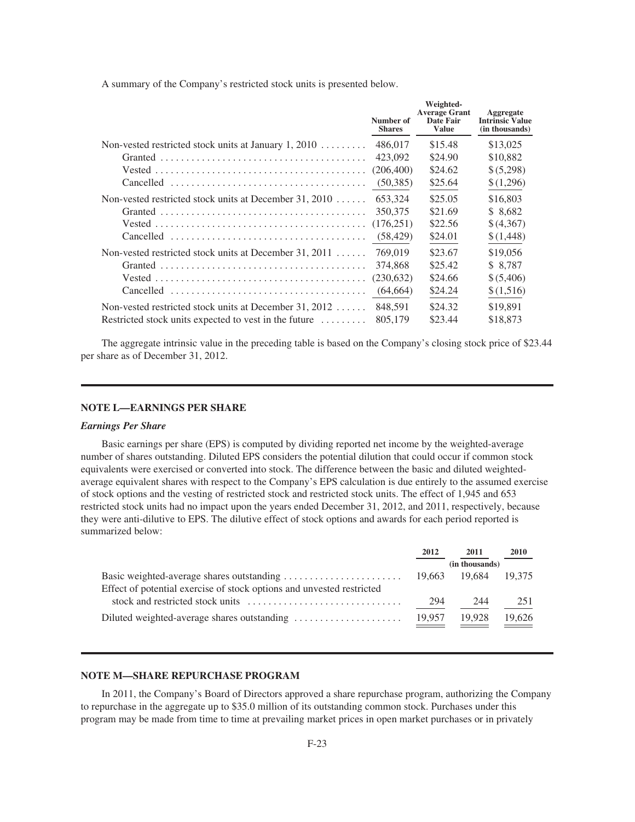A summary of the Company's restricted stock units is presented below.

|                                                                         | Number of<br><b>Shares</b> | Weighted-<br><b>Average Grant</b><br>Date Fair<br><b>Value</b> | Aggregate<br><b>Intrinsic Value</b><br>(in thousands) |
|-------------------------------------------------------------------------|----------------------------|----------------------------------------------------------------|-------------------------------------------------------|
| Non-vested restricted stock units at January 1, 2010 $\dots \dots$      | 486,017                    | \$15.48                                                        | \$13,025                                              |
|                                                                         | 423,092                    | \$24.90                                                        | \$10,882                                              |
|                                                                         | (206, 400)                 | \$24.62                                                        | \$ (5,298)                                            |
|                                                                         | (50, 385)                  | \$25.64                                                        | \$(1,296)                                             |
| Non-vested restricted stock units at December 31, 2010 $\dots$          | 653.324                    | \$25.05                                                        | \$16,803                                              |
|                                                                         | 350,375                    | \$21.69                                                        | \$ 8,682                                              |
|                                                                         | (176,251)                  | \$22.56                                                        | \$(4,367)                                             |
|                                                                         | (58, 429)                  | \$24.01                                                        | \$(1,448)                                             |
| Non-vested restricted stock units at December 31, 2011 $\dots$          | 769,019                    | \$23.67                                                        | \$19,056                                              |
|                                                                         | 374,868                    | \$25.42                                                        | \$ 8.787                                              |
|                                                                         | (230,632)                  | \$24.66                                                        | \$ (5,406)                                            |
|                                                                         | (64, 664)                  | \$24.24                                                        | \$(1,516)                                             |
| Non-vested restricted stock units at December 31, $2012$                | 848.591                    | \$24.32                                                        | \$19,891                                              |
| Restricted stock units expected to vest in the future $\dots\dots\dots$ | 805,179                    | \$23.44                                                        | \$18,873                                              |

The aggregate intrinsic value in the preceding table is based on the Company's closing stock price of \$23.44 per share as of December 31, 2012.

## **NOTE L—EARNINGS PER SHARE**

### *Earnings Per Share*

Basic earnings per share (EPS) is computed by dividing reported net income by the weighted-average number of shares outstanding. Diluted EPS considers the potential dilution that could occur if common stock equivalents were exercised or converted into stock. The difference between the basic and diluted weightedaverage equivalent shares with respect to the Company's EPS calculation is due entirely to the assumed exercise of stock options and the vesting of restricted stock and restricted stock units. The effect of 1,945 and 653 restricted stock units had no impact upon the years ended December 31, 2012, and 2011, respectively, because they were anti-dilutive to EPS. The dilutive effect of stock options and awards for each period reported is summarized below:

|                                                                       | 2012   | 2011           | 2010   |
|-----------------------------------------------------------------------|--------|----------------|--------|
|                                                                       |        | (in thousands) |        |
| Effect of potential exercise of stock options and unvested restricted | 19.663 | - 19.684       | 19.375 |
|                                                                       | 294    | 244            | 251    |
|                                                                       | 19,957 | 19.928         | 19,626 |

## **NOTE M—SHARE REPURCHASE PROGRAM**

In 2011, the Company's Board of Directors approved a share repurchase program, authorizing the Company to repurchase in the aggregate up to \$35.0 million of its outstanding common stock. Purchases under this program may be made from time to time at prevailing market prices in open market purchases or in privately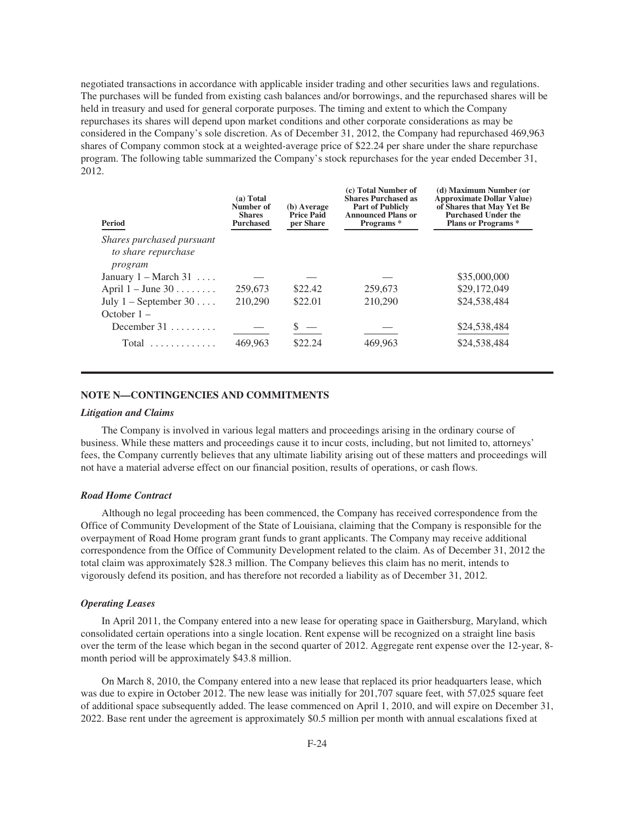negotiated transactions in accordance with applicable insider trading and other securities laws and regulations. The purchases will be funded from existing cash balances and/or borrowings, and the repurchased shares will be held in treasury and used for general corporate purposes. The timing and extent to which the Company repurchases its shares will depend upon market conditions and other corporate considerations as may be considered in the Company's sole discretion. As of December 31, 2012, the Company had repurchased 469,963 shares of Company common stock at a weighted-average price of \$22.24 per share under the share repurchase program. The following table summarized the Company's stock repurchases for the year ended December 31, 2012.

| Period                                                      | (a) Total<br>Number of<br><b>Shares</b><br><b>Purchased</b> | (b) Average<br><b>Price Paid</b><br>per Share | (c) Total Number of<br><b>Shares Purchased as</b><br><b>Part of Publicly</b><br><b>Announced Plans or</b><br>Programs <sup>*</sup> | (d) Maximum Number (or<br><b>Approximate Dollar Value)</b><br>of Shares that May Yet Be<br><b>Purchased Under the</b><br><b>Plans or Programs</b> * |
|-------------------------------------------------------------|-------------------------------------------------------------|-----------------------------------------------|------------------------------------------------------------------------------------------------------------------------------------|-----------------------------------------------------------------------------------------------------------------------------------------------------|
| Shares purchased pursuant<br>to share repurchase<br>program |                                                             |                                               |                                                                                                                                    |                                                                                                                                                     |
| January $1 - \text{March } 31 \ldots$                       |                                                             |                                               |                                                                                                                                    | \$35,000,000                                                                                                                                        |
| April $1 -$ June $30 \ldots \ldots$                         | 259,673                                                     | \$22.42                                       | 259,673                                                                                                                            | \$29,172,049                                                                                                                                        |
| July $1$ – September 30                                     | 210,290                                                     | \$22.01                                       | 210,290                                                                                                                            | \$24,538,484                                                                                                                                        |
| October $1 -$                                               |                                                             |                                               |                                                                                                                                    |                                                                                                                                                     |
| December $31$                                               |                                                             | $s =$                                         |                                                                                                                                    | \$24,538,484                                                                                                                                        |
|                                                             | 469,963                                                     | \$22.24                                       | 469,963                                                                                                                            | \$24,538,484                                                                                                                                        |

### **NOTE N—CONTINGENCIES AND COMMITMENTS**

#### *Litigation and Claims*

The Company is involved in various legal matters and proceedings arising in the ordinary course of business. While these matters and proceedings cause it to incur costs, including, but not limited to, attorneys' fees, the Company currently believes that any ultimate liability arising out of these matters and proceedings will not have a material adverse effect on our financial position, results of operations, or cash flows.

## *Road Home Contract*

Although no legal proceeding has been commenced, the Company has received correspondence from the Office of Community Development of the State of Louisiana, claiming that the Company is responsible for the overpayment of Road Home program grant funds to grant applicants. The Company may receive additional correspondence from the Office of Community Development related to the claim. As of December 31, 2012 the total claim was approximately \$28.3 million. The Company believes this claim has no merit, intends to vigorously defend its position, and has therefore not recorded a liability as of December 31, 2012.

## *Operating Leases*

In April 2011, the Company entered into a new lease for operating space in Gaithersburg, Maryland, which consolidated certain operations into a single location. Rent expense will be recognized on a straight line basis over the term of the lease which began in the second quarter of 2012. Aggregate rent expense over the 12-year, 8 month period will be approximately \$43.8 million.

On March 8, 2010, the Company entered into a new lease that replaced its prior headquarters lease, which was due to expire in October 2012. The new lease was initially for 201,707 square feet, with 57,025 square feet of additional space subsequently added. The lease commenced on April 1, 2010, and will expire on December 31, 2022. Base rent under the agreement is approximately \$0.5 million per month with annual escalations fixed at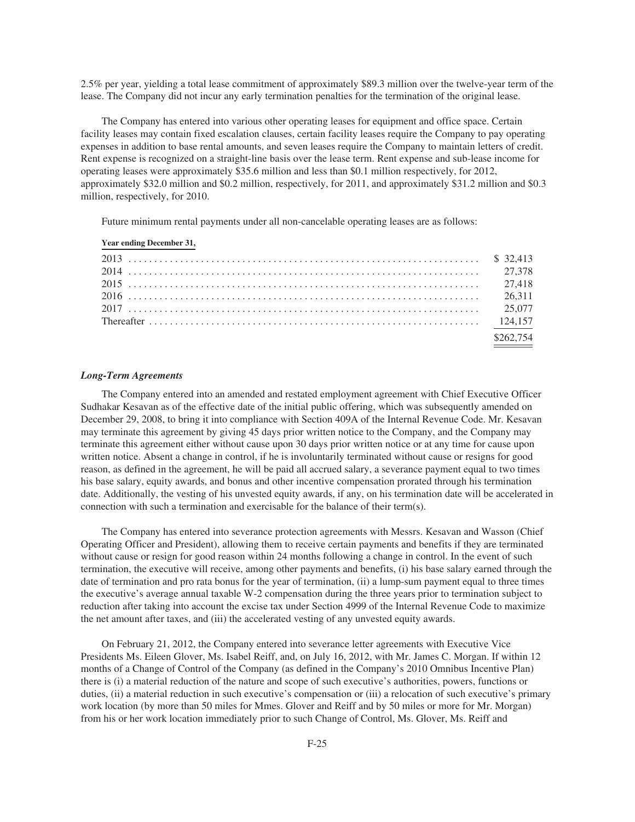2.5% per year, yielding a total lease commitment of approximately \$89.3 million over the twelve-year term of the lease. The Company did not incur any early termination penalties for the termination of the original lease.

The Company has entered into various other operating leases for equipment and office space. Certain facility leases may contain fixed escalation clauses, certain facility leases require the Company to pay operating expenses in addition to base rental amounts, and seven leases require the Company to maintain letters of credit. Rent expense is recognized on a straight-line basis over the lease term. Rent expense and sub-lease income for operating leases were approximately \$35.6 million and less than \$0.1 million respectively, for 2012, approximately \$32.0 million and \$0.2 million, respectively, for 2011, and approximately \$31.2 million and \$0.3 million, respectively, for 2010.

Future minimum rental payments under all non-cancelable operating leases are as follows:

## **Year ending December 31,**

| \$262,754 |
|-----------|

#### *Long-Term Agreements*

The Company entered into an amended and restated employment agreement with Chief Executive Officer Sudhakar Kesavan as of the effective date of the initial public offering, which was subsequently amended on December 29, 2008, to bring it into compliance with Section 409A of the Internal Revenue Code. Mr. Kesavan may terminate this agreement by giving 45 days prior written notice to the Company, and the Company may terminate this agreement either without cause upon 30 days prior written notice or at any time for cause upon written notice. Absent a change in control, if he is involuntarily terminated without cause or resigns for good reason, as defined in the agreement, he will be paid all accrued salary, a severance payment equal to two times his base salary, equity awards, and bonus and other incentive compensation prorated through his termination date. Additionally, the vesting of his unvested equity awards, if any, on his termination date will be accelerated in connection with such a termination and exercisable for the balance of their term(s).

The Company has entered into severance protection agreements with Messrs. Kesavan and Wasson (Chief Operating Officer and President), allowing them to receive certain payments and benefits if they are terminated without cause or resign for good reason within 24 months following a change in control. In the event of such termination, the executive will receive, among other payments and benefits, (i) his base salary earned through the date of termination and pro rata bonus for the year of termination, (ii) a lump-sum payment equal to three times the executive's average annual taxable W-2 compensation during the three years prior to termination subject to reduction after taking into account the excise tax under Section 4999 of the Internal Revenue Code to maximize the net amount after taxes, and (iii) the accelerated vesting of any unvested equity awards.

On February 21, 2012, the Company entered into severance letter agreements with Executive Vice Presidents Ms. Eileen Glover, Ms. Isabel Reiff, and, on July 16, 2012, with Mr. James C. Morgan. If within 12 months of a Change of Control of the Company (as defined in the Company's 2010 Omnibus Incentive Plan) there is (i) a material reduction of the nature and scope of such executive's authorities, powers, functions or duties, (ii) a material reduction in such executive's compensation or (iii) a relocation of such executive's primary work location (by more than 50 miles for Mmes. Glover and Reiff and by 50 miles or more for Mr. Morgan) from his or her work location immediately prior to such Change of Control, Ms. Glover, Ms. Reiff and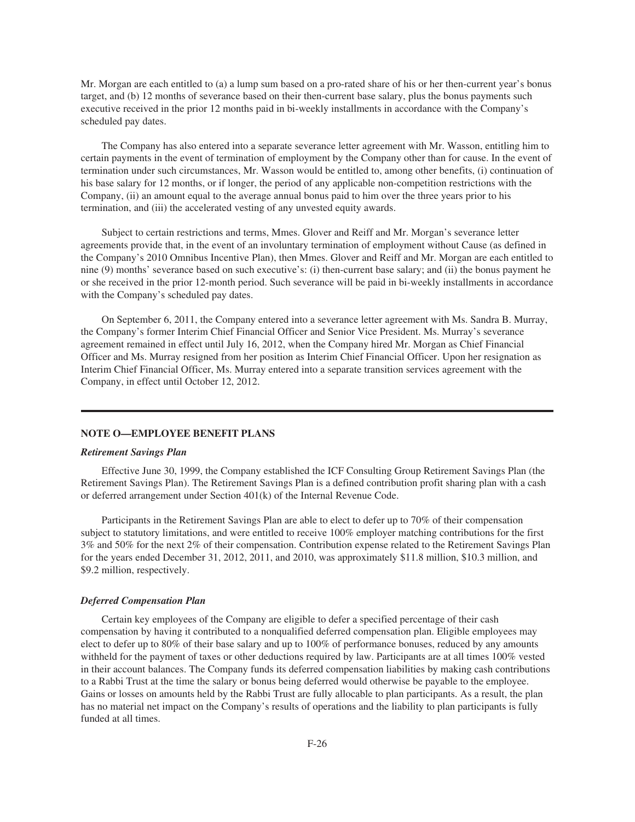Mr. Morgan are each entitled to (a) a lump sum based on a pro-rated share of his or her then-current year's bonus target, and (b) 12 months of severance based on their then-current base salary, plus the bonus payments such executive received in the prior 12 months paid in bi-weekly installments in accordance with the Company's scheduled pay dates.

The Company has also entered into a separate severance letter agreement with Mr. Wasson, entitling him to certain payments in the event of termination of employment by the Company other than for cause. In the event of termination under such circumstances, Mr. Wasson would be entitled to, among other benefits, (i) continuation of his base salary for 12 months, or if longer, the period of any applicable non-competition restrictions with the Company, (ii) an amount equal to the average annual bonus paid to him over the three years prior to his termination, and (iii) the accelerated vesting of any unvested equity awards.

Subject to certain restrictions and terms, Mmes. Glover and Reiff and Mr. Morgan's severance letter agreements provide that, in the event of an involuntary termination of employment without Cause (as defined in the Company's 2010 Omnibus Incentive Plan), then Mmes. Glover and Reiff and Mr. Morgan are each entitled to nine (9) months' severance based on such executive's: (i) then-current base salary; and (ii) the bonus payment he or she received in the prior 12-month period. Such severance will be paid in bi-weekly installments in accordance with the Company's scheduled pay dates.

On September 6, 2011, the Company entered into a severance letter agreement with Ms. Sandra B. Murray, the Company's former Interim Chief Financial Officer and Senior Vice President. Ms. Murray's severance agreement remained in effect until July 16, 2012, when the Company hired Mr. Morgan as Chief Financial Officer and Ms. Murray resigned from her position as Interim Chief Financial Officer. Upon her resignation as Interim Chief Financial Officer, Ms. Murray entered into a separate transition services agreement with the Company, in effect until October 12, 2012.

#### **NOTE O—EMPLOYEE BENEFIT PLANS**

## *Retirement Savings Plan*

Effective June 30, 1999, the Company established the ICF Consulting Group Retirement Savings Plan (the Retirement Savings Plan). The Retirement Savings Plan is a defined contribution profit sharing plan with a cash or deferred arrangement under Section 401(k) of the Internal Revenue Code.

Participants in the Retirement Savings Plan are able to elect to defer up to 70% of their compensation subject to statutory limitations, and were entitled to receive 100% employer matching contributions for the first 3% and 50% for the next 2% of their compensation. Contribution expense related to the Retirement Savings Plan for the years ended December 31, 2012, 2011, and 2010, was approximately \$11.8 million, \$10.3 million, and \$9.2 million, respectively.

## *Deferred Compensation Plan*

Certain key employees of the Company are eligible to defer a specified percentage of their cash compensation by having it contributed to a nonqualified deferred compensation plan. Eligible employees may elect to defer up to 80% of their base salary and up to 100% of performance bonuses, reduced by any amounts withheld for the payment of taxes or other deductions required by law. Participants are at all times 100% vested in their account balances. The Company funds its deferred compensation liabilities by making cash contributions to a Rabbi Trust at the time the salary or bonus being deferred would otherwise be payable to the employee. Gains or losses on amounts held by the Rabbi Trust are fully allocable to plan participants. As a result, the plan has no material net impact on the Company's results of operations and the liability to plan participants is fully funded at all times.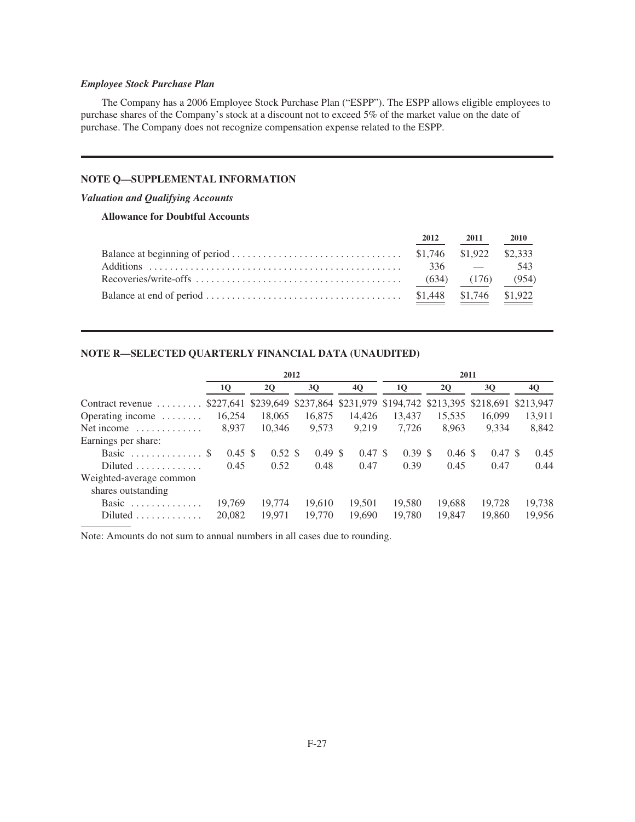## *Employee Stock Purchase Plan*

The Company has a 2006 Employee Stock Purchase Plan ("ESPP"). The ESPP allows eligible employees to purchase shares of the Company's stock at a discount not to exceed 5% of the market value on the date of purchase. The Company does not recognize compensation expense related to the ESPP.

# **NOTE Q—SUPPLEMENTAL INFORMATION**

# *Valuation and Qualifying Accounts*

# **Allowance for Doubtful Accounts**

| 2012 | 2011    | <b>2010</b> |
|------|---------|-------------|
|      |         |             |
|      | $336 -$ | 543         |
|      | (176)   | (954)       |
|      |         |             |

## **NOTE R—SELECTED QUARTERLY FINANCIAL DATA (UNAUDITED)**

|                                | 2012               |                    |                    |                    |           | 2011                |                                                                       |           |
|--------------------------------|--------------------|--------------------|--------------------|--------------------|-----------|---------------------|-----------------------------------------------------------------------|-----------|
|                                | <b>1Q</b>          | 2Q                 | 3Q                 | 40                 | 10        | 2Q                  | 3Q                                                                    | <b>4Q</b> |
| Contract revenue               | \$227,641          |                    |                    |                    |           |                     | \$239,649 \$237,864 \$231,979 \$194,742 \$213,395 \$218,691 \$213,947 |           |
| Operating income $\dots\dots$  | 16,254             | 18,065             | 16,875             | 14.426             | 13,437    | 15,535              | 16.099                                                                | 13,911    |
| Net income $\dots \dots \dots$ | 8,937              | 10,346             | 9,573              | 9,219              | 7.726     | 8,963               | 9,334                                                                 | 8,842     |
| Earnings per share:            |                    |                    |                    |                    |           |                     |                                                                       |           |
| Basic $\mathbb{S}$             | $0.45 \text{ }$ \$ | $0.52 \text{ }$ \$ | $0.49 \text{ }$ \$ | $0.47 \text{ }$ \$ | $0.39$ \$ | $0.46 \text{ \$\$}$ | $0.47 \text{ }$ \$                                                    | 0.45      |
| Diluted                        | 0.45               | 0.52               | 0.48               | 0.47               | 0.39      | 0.45                | 0.47                                                                  | 0.44      |
| Weighted-average common        |                    |                    |                    |                    |           |                     |                                                                       |           |
| shares outstanding             |                    |                    |                    |                    |           |                     |                                                                       |           |
| Basic                          | 19.769             | 19,774             | 19,610             | 19,501             | 19,580    | 19,688              | 19.728                                                                | 19,738    |
| $Diluted \ldots \ldots \ldots$ | 20,082             | 19.971             | 19,770             | 19.690             | 19.780    | 19.847              | 19.860                                                                | 19.956    |

Note: Amounts do not sum to annual numbers in all cases due to rounding.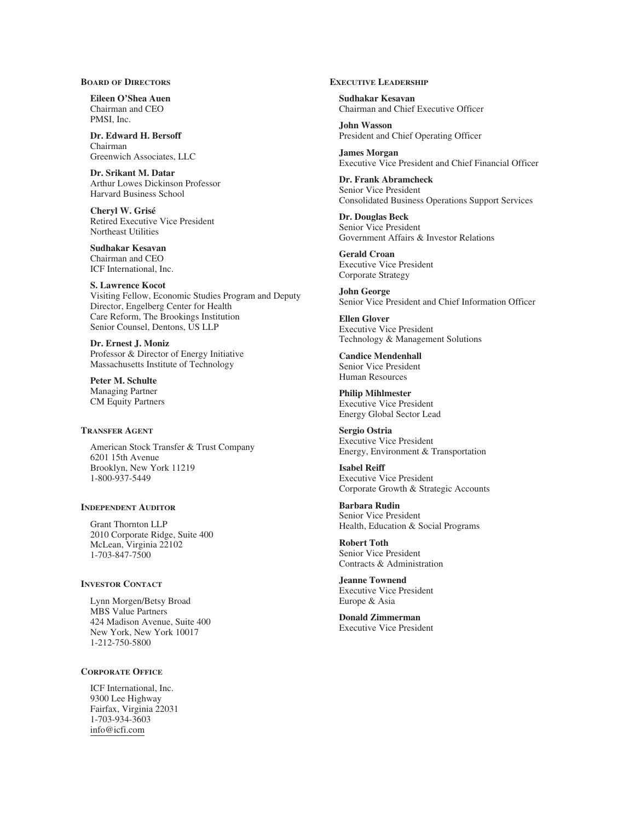#### **BOARD OF DIRECTORS**

**Eileen O'Shea Auen** Chairman and CEO PMSI, Inc.

**Dr. Edward H. Bersoff** Chairman Greenwich Associates, LLC

**Dr. Srikant M. Datar** Arthur Lowes Dickinson Professor Harvard Business School

**Cheryl W. Grisé** Retired Executive Vice President Northeast Utilities

**Sudhakar Kesavan** Chairman and CEO ICF International, Inc.

**S. Lawrence Kocot** Visiting Fellow, Economic Studies Program and Deputy Director, Engelberg Center for Health Care Reform, The Brookings Institution Senior Counsel, Dentons, US LLP

**Dr. Ernest J. Moniz** Professor & Director of Energy Initiative Massachusetts Institute of Technology

**Peter M. Schulte** Managing Partner CM Equity Partners

## **TRANSFER AGENT**

American Stock Transfer & Trust Company 6201 15th Avenue Brooklyn, New York 11219 1-800-937-5449

## **INDEPENDENT AUDITOR**

Grant Thornton LLP 2010 Corporate Ridge, Suite 400 McLean, Virginia 22102 1-703-847-7500

## **INVESTOR CONTACT**

Lynn Morgen/Betsy Broad MBS Value Partners 424 Madison Avenue, Suite 400 New York, New York 10017 1-212-750-5800

### **CORPORATE OFFICE**

ICF International, Inc. 9300 Lee Highway Fairfax, Virginia 22031 1-703-934-3603 info@icfi.com

#### **EXECUTIVE LEADERSHIP**

**Sudhakar Kesavan** Chairman and Chief Executive Officer

**John Wasson** President and Chief Operating Officer

**James Morgan** Executive Vice President and Chief Financial Officer

**Dr. Frank Abramcheck** Senior Vice President Consolidated Business Operations Support Services

**Dr. Douglas Beck** Senior Vice President Government Affairs & Investor Relations

**Gerald Croan** Executive Vice President Corporate Strategy

**John George** Senior Vice President and Chief Information Officer

**Ellen Glover** Executive Vice President Technology & Management Solutions

**Candice Mendenhall** Senior Vice President Human Resources

**Philip Mihlmester** Executive Vice President Energy Global Sector Lead

**Sergio Ostria** Executive Vice President Energy, Environment & Transportation

**Isabel Reiff** Executive Vice President Corporate Growth & Strategic Accounts

**Barbara Rudin** Senior Vice President Health, Education & Social Programs

**Robert Toth** Senior Vice President Contracts & Administration

**Jeanne Townend** Executive Vice President Europe & Asia

**Donald Zimmerman** Executive Vice President